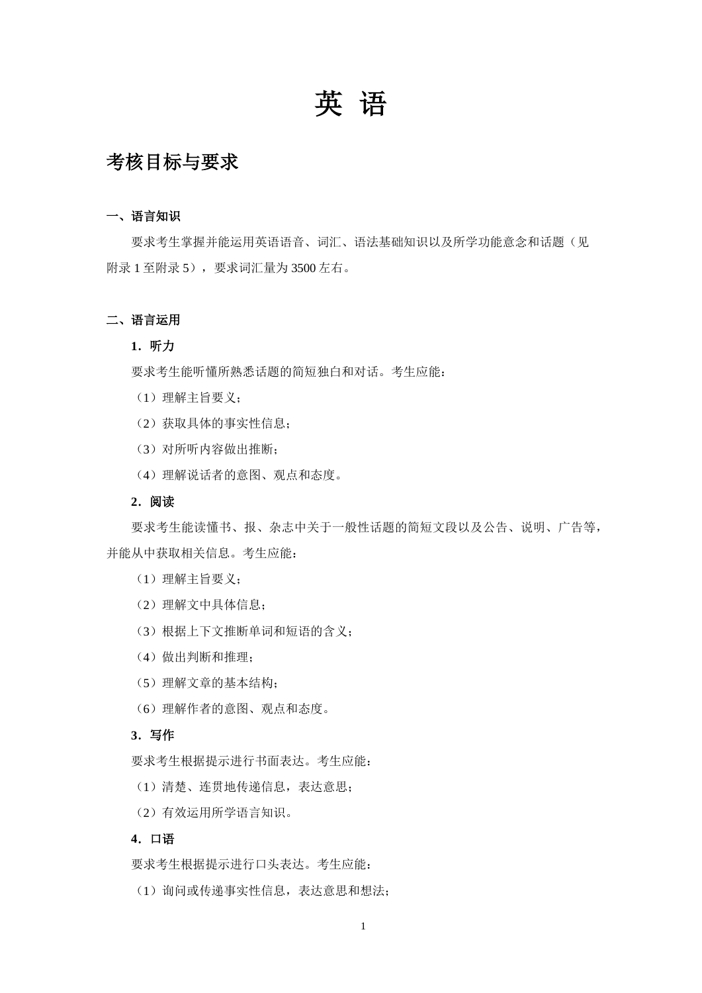# 英 语

## 考核目标与要求

#### 一、语言知识

要求考生掌握并能运用英语语音、词汇、语法基础知识以及所学功能意念和话题(见 附录 1 至附录 5),要求词汇量为 3500 左右。

#### 二、语言运用

#### **1**.听力

要求考生能听懂所熟悉话题的简短独白和对话。考生应能:

- (1)理解主旨要义;
- (2)获取具体的事实性信息;
- (3)对所听内容做出推断;
- (4)理解说话者的意图、观点和态度。

#### **2**.阅读

要求考生能读懂书、报、杂志中关于一般性话题的简短文段以及公告、说明、广告等, 并能从中获取相关信息。考生应能:

- (1)理解主旨要义;
- (2)理解文中具体信息;
- (3)根据上下文推断单词和短语的含义;
- (4)做出判断和推理;
- (5)理解文章的基本结构;
- (6)理解作者的意图、观点和态度。

### **3**.写作

要求考生根据提示进行书面表达。考生应能:

- (1)清楚、连贯地传递信息,表达意思;
- (2)有效运用所学语言知识。

### **4**.口语

要求考生根据提示进行口头表达。考生应能:

(1)询问或传递事实性信息,表达意思和想法;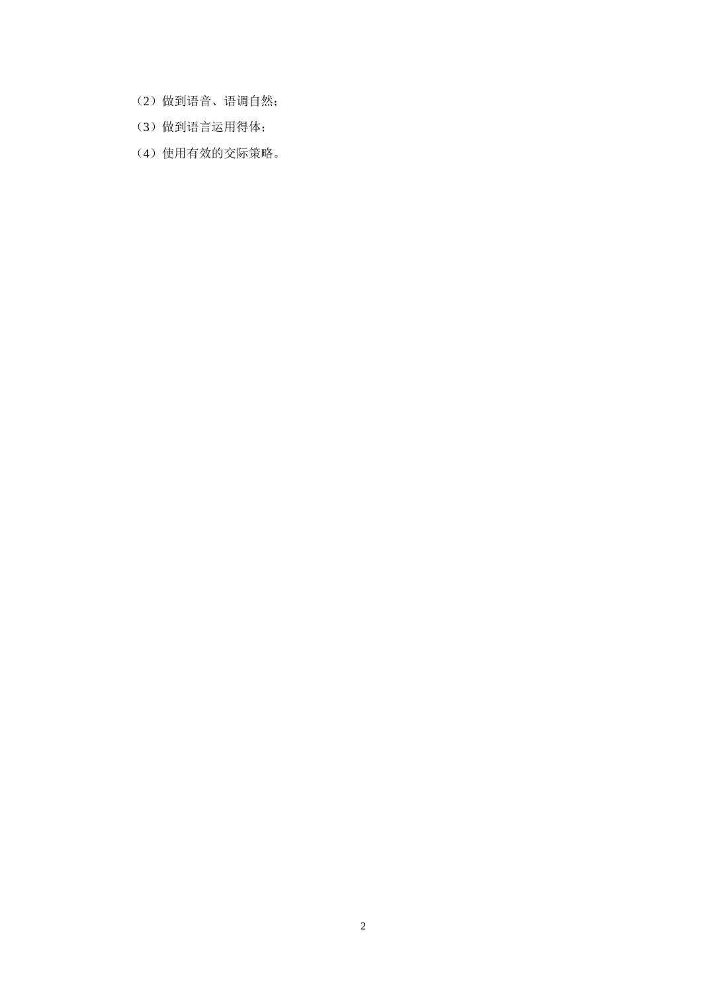- (2)做到语音、语调自然;
- (3)做到语言运用得体;
- (4)使用有效的交际策略。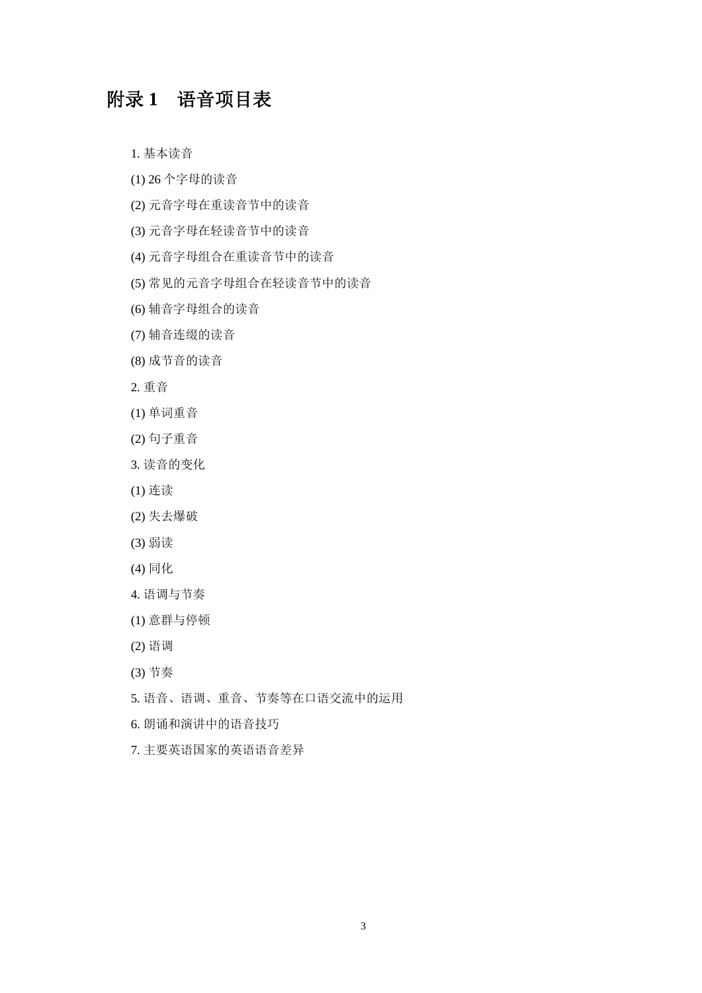## 附录 **1** 语音项目表

1. 基本读音

- (1) 26 个字母的读音
- (2) 元音字母在重读音节中的读音
- (3) 元音字母在轻读音节中的读音
- (4) 元音字母组合在重读音节中的读音
- (5) 常见的元音字母组合在轻读音节中的读音
- (6) 辅音字母组合的读音
- (7) 辅音连缀的读音
- (8) 成节音的读音
- 2. 重音
- (1) 单词重音
- (2) 句子重音
- 3. 读音的变化
- (1) 连读
- (2) 失去爆破
- (3) 弱读
- (4) 同化
- 4. 语调与节奏
- (1) 意群与停顿
- (2) 语调
- (3) 节奏
- 5. 语音、语调、重音、节奏等在口语交流中的运用
- 6. 朗诵和演讲中的语音技巧
- 7. 主要英语国家的英语语音差异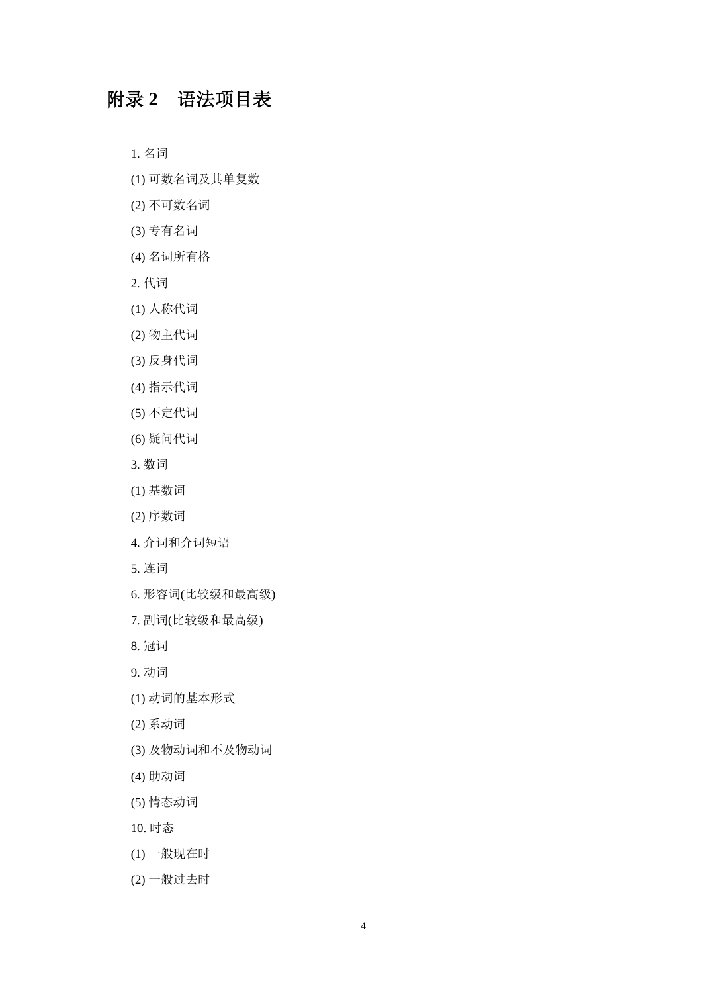# 附录 **2** 语法项目表

1. 名词

- (1) 可数名词及其单复数
- (2) 不可数名词
- (3) 专有名词
- (4) 名词所有格
- 2. 代词
- (1) 人称代词
- (2) 物主代词
- (3) 反身代词
- (4) 指示代词
- (5) 不定代词
- (6) 疑问代词
- 3. 数词
- (1) 基数词
- (2) 序数词
- 4. 介词和介词短语
- 5. 连词
- 6. 形容词(比较级和最高级)
- 7. 副词(比较级和最高级)
- 8. 冠词
- 9. 动词
- (1) 动词的基本形式
- (2) 系动词
- (3) 及物动词和不及物动词
- (4) 助动词
- (5) 情态动词
- 10. 时态
- (1) 一般现在时
- (2) 一般过去时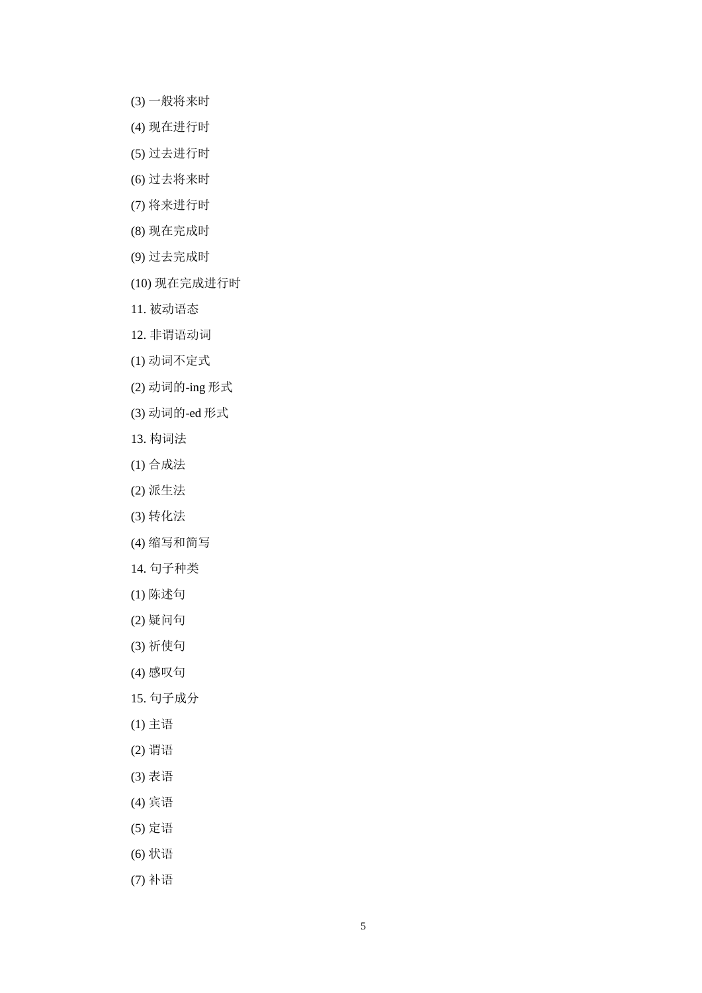- (3) 一般将来时
- (4) 现在进行时
- (5) 过去进行时
- (6) 过去将来时
- (7) 将来进行时
- (8) 现在完成时
- (9) 过去完成时
- (10) 现在完成进行时
- 11. 被动语态
- 12. 非谓语动词
- (1) 动词不定式
- (2) 动词的-ing 形式
- (3) 动词的-ed 形式
- 13. 构词法
- (1) 合成法
- (2) 派生法
- (3) 转化法
- (4) 缩写和简写
- 14. 句子种类
- (1) 陈述句
- (2) 疑问句
- (3) 祈使句
- (4) 感叹句
- 15. 句子成分
- (1) 主语
- (2) 谓语
- (3) 表语
- (4) 宾语
- (5) 定语
- (6) 状语
- (7) 补语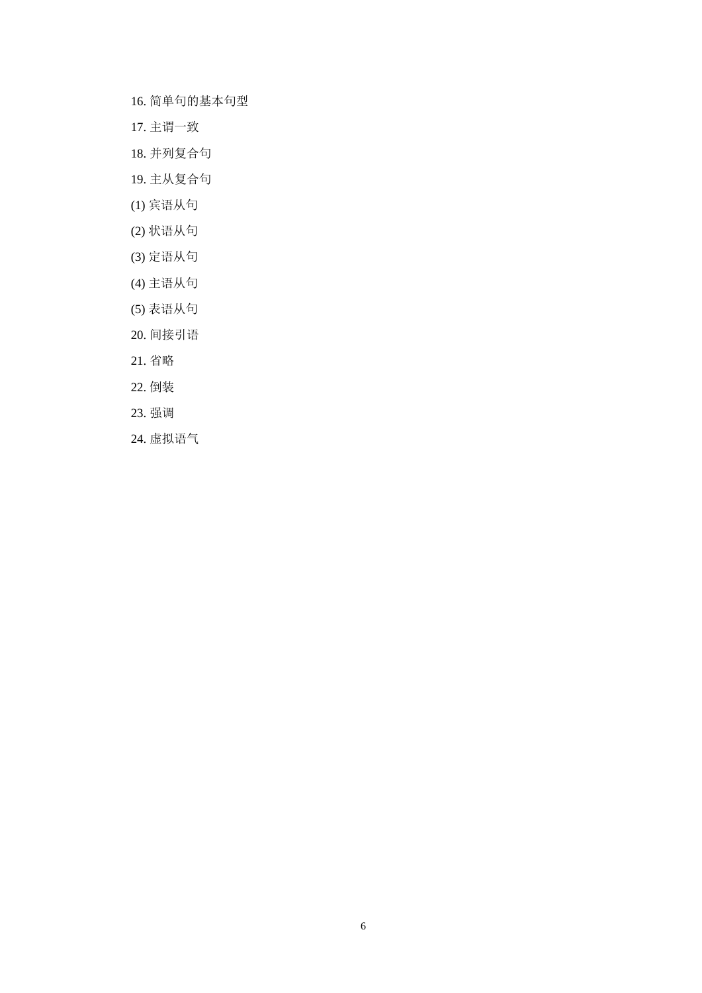- 16. 简单句的基本句型
- 17. 主谓一致
- 18. 并列复合句
- 19. 主从复合句
- (1) 宾语从句
- (2) 状语从句
- (3) 定语从句
- (4) 主语从句
- (5) 表语从句
- 20. 间接引语
- 21. 省略
- 22. 倒装
- 23. 强调
- 24. 虚拟语气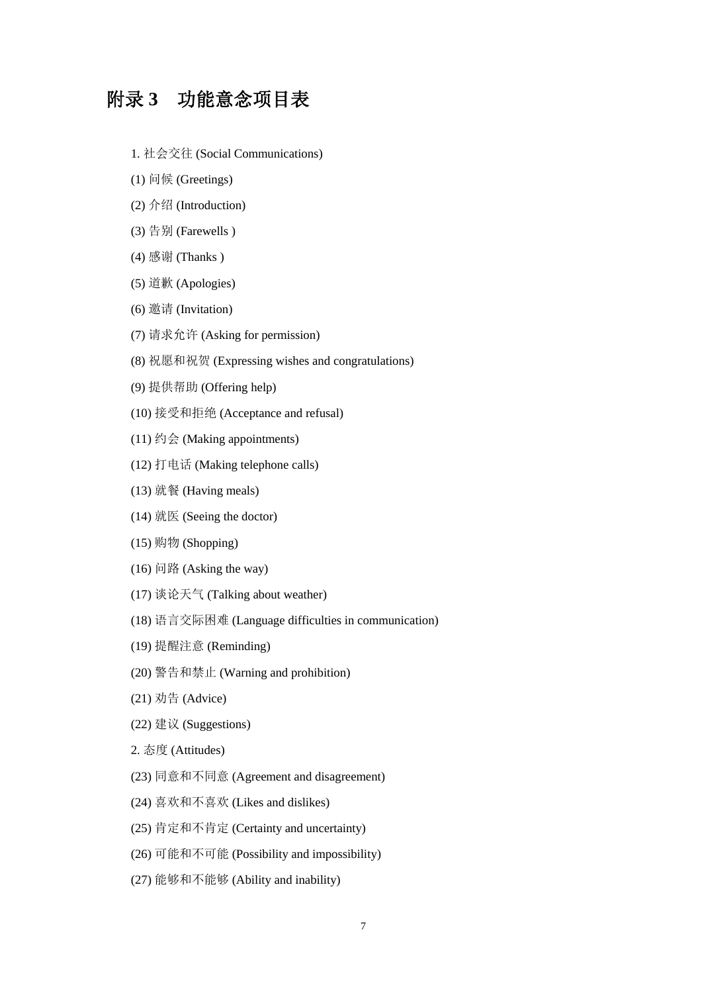### 附录 **3** 功能意念项目表

- 1. 社会交往 (Social Communications)
- (1) 问候 (Greetings)
- (2) 介绍 (Introduction)
- (3) 告别 (Farewells )
- (4) 感谢 (Thanks )
- (5) 道歉 (Apologies)
- (6) 邀请 (Invitation)
- (7) 请求允许 (Asking for permission)
- (8) 祝愿和祝贺 (Expressing wishes and congratulations)
- (9) 提供帮助 (Offering help)
- (10) 接受和拒绝 (Acceptance and refusal)
- (11) 约会 (Making appointments)
- (12) 打电话 (Making telephone calls)
- (13) 就餐 (Having meals)
- (14) 就医 (Seeing the doctor)
- (15) 购物 (Shopping)
- $(16)$  问路 (Asking the way)
- (17) 谈论天气 (Talking about weather)
- (18) 语言交际困难 (Language difficulties in communication)
- (19) 提醒注意 (Reminding)
- (20) 警告和禁止 (Warning and prohibition)
- (21) 劝告 (Advice)
- (22) 建议 (Suggestions)
- 2. 态度 (Attitudes)
- (23) 同意和不同意 (Agreement and disagreement)
- (24) 喜欢和不喜欢 (Likes and dislikes)
- (25) 肯定和不肯定 (Certainty and uncertainty)
- (26) 可能和不可能 (Possibility and impossibility)
- (27) 能够和不能够 (Ability and inability)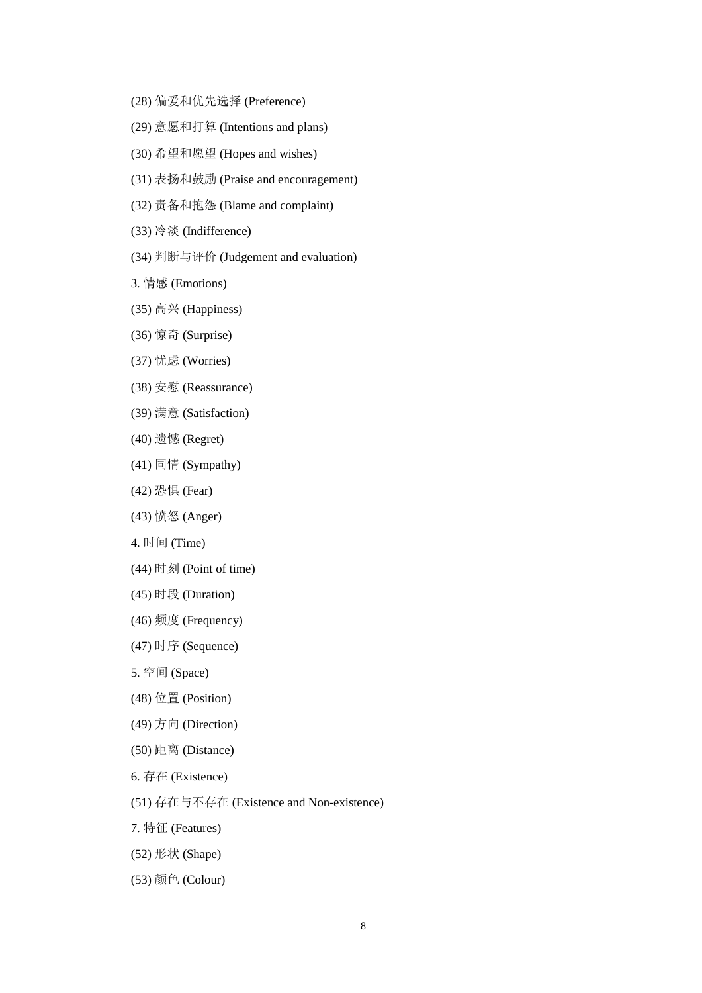- (28) 偏爱和优先选择 (Preference)
- (29) 意愿和打算 (Intentions and plans)
- (30) 希望和愿望 (Hopes and wishes)
- (31) 表扬和鼓励 (Praise and encouragement)
- (32) 责备和抱怨 (Blame and complaint)
- (33) 冷淡 (Indifference)
- (34) 判断与评价 (Judgement and evaluation)
- 3. 情感 (Emotions)
- (35) 高兴 (Happiness)
- (36) 惊奇 (Surprise)
- (37) 忧虑 (Worries)
- (38) 安慰 (Reassurance)
- (39) 满意 (Satisfaction)
- (40) 遗憾 (Regret)
- (41) 同情 (Sympathy)
- (42) 恐惧 (Fear)
- (43) 愤怒 (Anger)
- 4. 时间 (Time)
- (44) 时刻 (Point of time)
- (45) 时段 (Duration)
- (46) 频度 (Frequency)
- (47) 时序 (Sequence)
- 5. 空间 (Space)
- (48) 位置 (Position)
- (49) 方向 (Direction)
- (50) 距离 (Distance)
- 6. 存在 (Existence)
- (51) 存在与不存在 (Existence and Non-existence)
- 7. 特征 (Features)
- (52) 形状 (Shape)
- (53) 颜色 (Colour)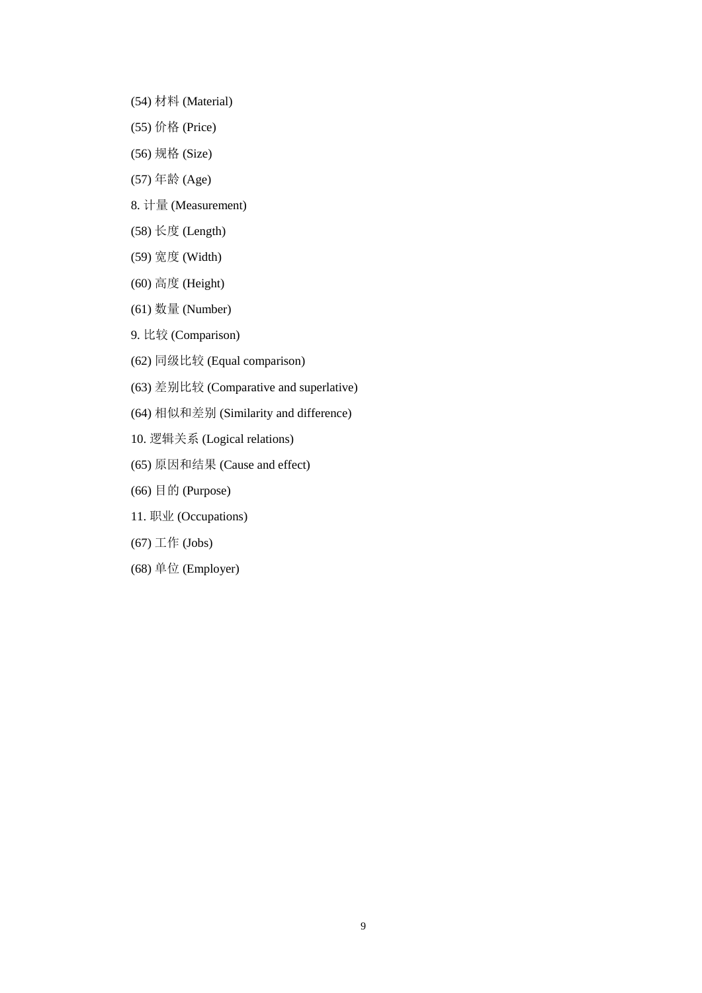- (54) 材料 (Material)
- (55) 价格 (Price)
- (56) 规格 (Size)
- (57) 年龄 (Age)
- 8. 计量 (Measurement)
- (58) 长度 (Length)
- (59) 宽度 (Width)
- (60) 高度 (Height)
- (61) 数量 (Number)
- 9. 比较 (Comparison)
- (62) 同级比较 (Equal comparison)
- (63) 差别比较 (Comparative and superlative)
- (64) 相似和差别 (Similarity and difference)
- 10. 逻辑关系 (Logical relations)
- (65) 原因和结果 (Cause and effect)
- (66) 目的 (Purpose)
- 11. 职业 (Occupations)
- (67) 工作 (Jobs)
- (68) 单位 (Employer)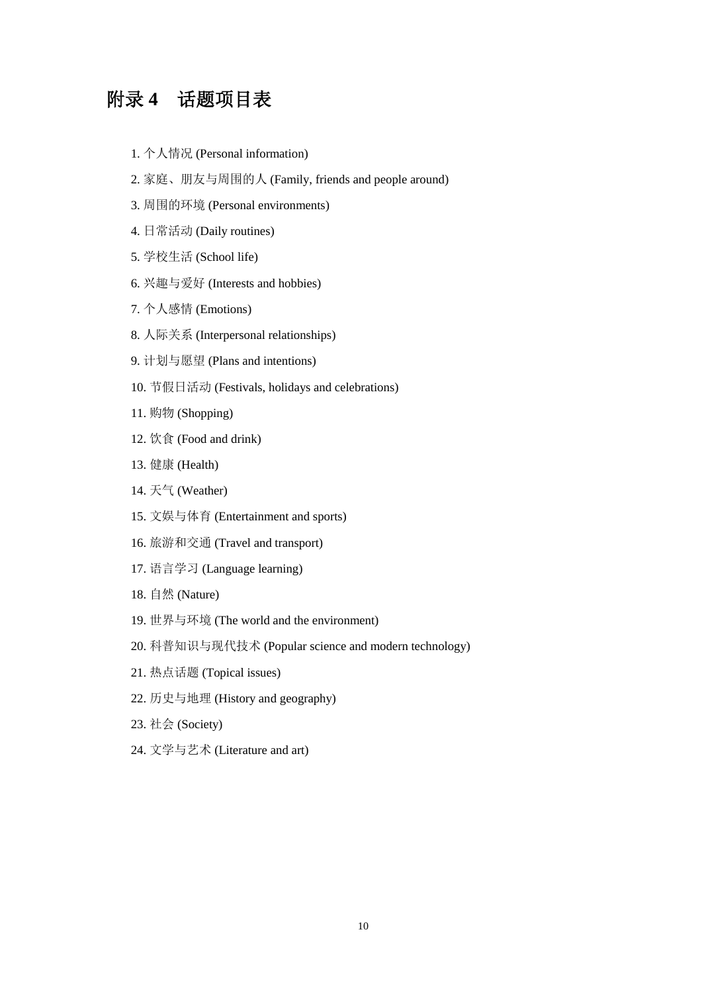# 附录 **4** 话题项目表

- 1. 个人情况 (Personal information)
- 2. 家庭、朋友与周围的人 (Family, friends and people around)
- 3. 周围的环境 (Personal environments)
- 4. 日常活动 (Daily routines)
- 5. 学校生活 (School life)
- 6. 兴趣与爱好 (Interests and hobbies)
- 7. 个人感情 (Emotions)
- 8. 人际关系 (Interpersonal relationships)
- 9. 计划与愿望 (Plans and intentions)
- 10. 节假日活动 (Festivals, holidays and celebrations)
- 11. 购物 (Shopping)
- 12. 饮食 (Food and drink)
- 13. 健康 (Health)
- 14. 天气 (Weather)
- 15. 文娱与体育 (Entertainment and sports)
- 16. 旅游和交通 (Travel and transport)
- 17. 语言学习 (Language learning)
- 18. 自然 (Nature)
- 19. 世界与环境 (The world and the environment)
- 20. 科普知识与现代技术 (Popular science and modern technology)
- 21. 热点话题 (Topical issues)
- 22. 历史与地理 (History and geography)
- 23. 社会 (Society)
- 24. 文学与艺术 (Literature and art)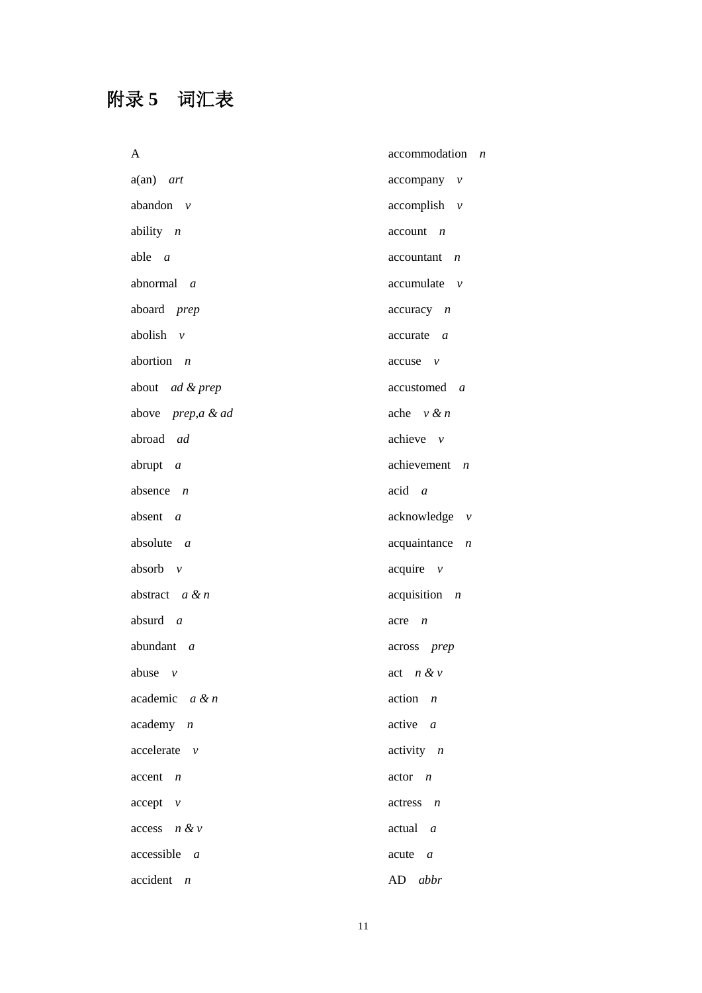# 附录 **5** 词汇表

| A                                | accommodation<br>$\boldsymbol{n}$ |
|----------------------------------|-----------------------------------|
| $a(an)$ art                      | $accompany$ $v$                   |
| abandon $v$                      | $accomplish \quad v$              |
| ability $n$                      | $account \t n$                    |
| able $a$                         | $accountant$ <i>n</i>             |
| abnormal a                       | accumulate v                      |
| aboard prep                      | $accuracy \t n$                   |
| abolish $v$                      | $accurate \, a$                   |
| abortion $n$                     | $accuse \quad v$                  |
| about ad & prep                  | accustomed <i>a</i>               |
| above prep,a & ad                | ache $v \& n$                     |
| abroad ad                        | achieve $\nu$                     |
| abrupt $a$                       | achievement<br>$\boldsymbol{n}$   |
| absence $n$                      | $acid \ a$                        |
| absent a                         | acknowledge v                     |
| absolute $a$                     | acquaintance<br>$\boldsymbol{n}$  |
| absorb $v$                       | $acquire$ $v$                     |
| abstract $a & n$                 | $acquisition$ $n$                 |
| absurd $a$                       | acre<br>$\boldsymbol{n}$          |
| abundant $a$                     | across prep                       |
| abuse $\nu$                      | act $n \& v$                      |
| academic $a \& n$                | $action \t n$                     |
| $academy$ $n$                    | $active \t a$                     |
| $accelerate$ $v$                 | $\text{activity}$ <i>n</i>        |
| $\operatorname{accept}$ <i>n</i> | $actor \t n$                      |
| $accept$ $v$                     | $actors \t n$                     |
| $access$ $n \& v$                | actual a                          |
| $accessible$ a                   | acute a                           |
| $accident$ $n$                   | AD abbr                           |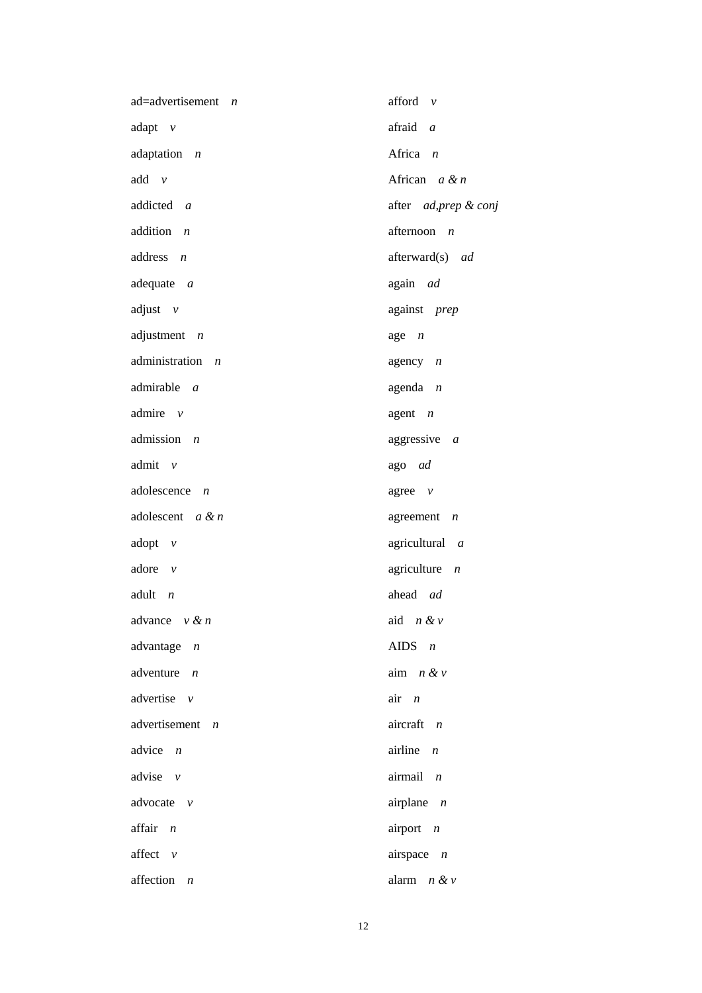| $ad = advert isement$ <i>n</i>   | afford $v$                      |
|----------------------------------|---------------------------------|
| adapt $v$                        | afraid a                        |
| adaptation $n$                   | Africa $n$                      |
| $add \quad v$                    | African $a \& n$                |
| addicted a                       | after ad, prep & conj           |
| addition $n$                     | afternoon $n$                   |
| $address \t n$                   | afterward(s) ad                 |
| adequate $a$                     | again ad                        |
| adjust $v$                       | against prep                    |
| adjustment $n$                   | $age \t n$                      |
| administration<br>$\overline{n}$ | agency $n$                      |
| $admirable$ $a$                  | agenda $n$                      |
| admire $\nu$                     | agent $n$                       |
| admission $n$                    | aggressive $a$                  |
| admit v                          | ago ad                          |
| adolescence $n$                  | agree $\nu$                     |
| adolescent $a & n$               | agreement $n$                   |
| adopt $\nu$                      | agricultural a                  |
| adore $v$                        | agriculture<br>$\boldsymbol{n}$ |
| adult $n$                        | ahead ad                        |
| advance $v \& n$                 | aid $n \& v$                    |
| advantage $n$                    | AIDS $n$                        |
| adventure $n$                    | aim $n \& v$                    |
| advertise $v$                    | $air \t n$                      |
| advertisement<br>$\overline{n}$  | aircraft $n$                    |
| advice $n$                       | airline $n$                     |
| advise $v$                       | airmail n                       |
| advocate $\nu$                   | airplane $n$                    |
| affair n                         | airport $n$                     |
| affect $v$                       | airspace $n$                    |
| affection<br>$\boldsymbol{n}$    | alarm<br>n & v                  |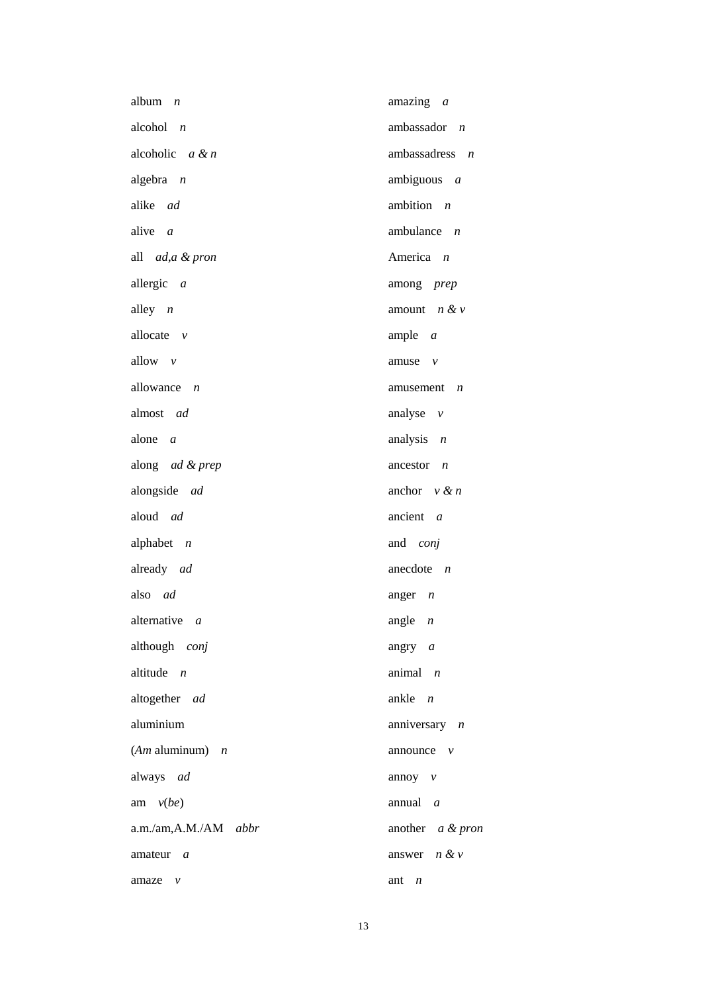| album<br>$\overline{n}$    | amazing a                   |
|----------------------------|-----------------------------|
| alcohol $n$                | ambassador $n$              |
| alcoholic $a \& n$         | ambassadress $n$            |
| algebra $n$                | ambiguous $a$               |
| alike ad                   | ambition $n$                |
| alive $a$                  | ambulance $n$               |
| all <i>ad,a &amp; pron</i> | America n                   |
| allergic a                 | among prep                  |
| alley $n$                  | amount $n & v$              |
| allocate $\nu$             | ample $a$                   |
| allow v                    | amuse $\nu$                 |
| allowance $n$              | amusement $n$               |
| almost ad                  | analyse $v$                 |
| alone a                    | analysis $n$                |
| along ad & prep            | ancestor $n$                |
| alongside ad               | anchor $v \& n$             |
| aloud ad                   | ancient<br>$\boldsymbol{a}$ |
| alphabet $n$               | and <i>conj</i>             |
| already ad                 | anecdote $n$                |
| also ad                    | anger $n$                   |
| alternative <i>a</i>       | angle $n$                   |
| although conj              | angry $a$                   |
| altitude $n$               | animal $n$                  |
| altogether ad              | ankle $n$                   |
| aluminium                  | anniversary $n$             |
| $(Am$ aluminum) $n$        | announce $\nu$              |
| always ad                  | annoy $v$                   |
| am $v(be)$                 | annual $a$                  |
| a.m./am,A.M./AM abbr       | another a & pron            |
| amateur a                  | answer $n \& v$             |
| amaze<br>$\mathcal V$      | ant<br>$\boldsymbol{n}$     |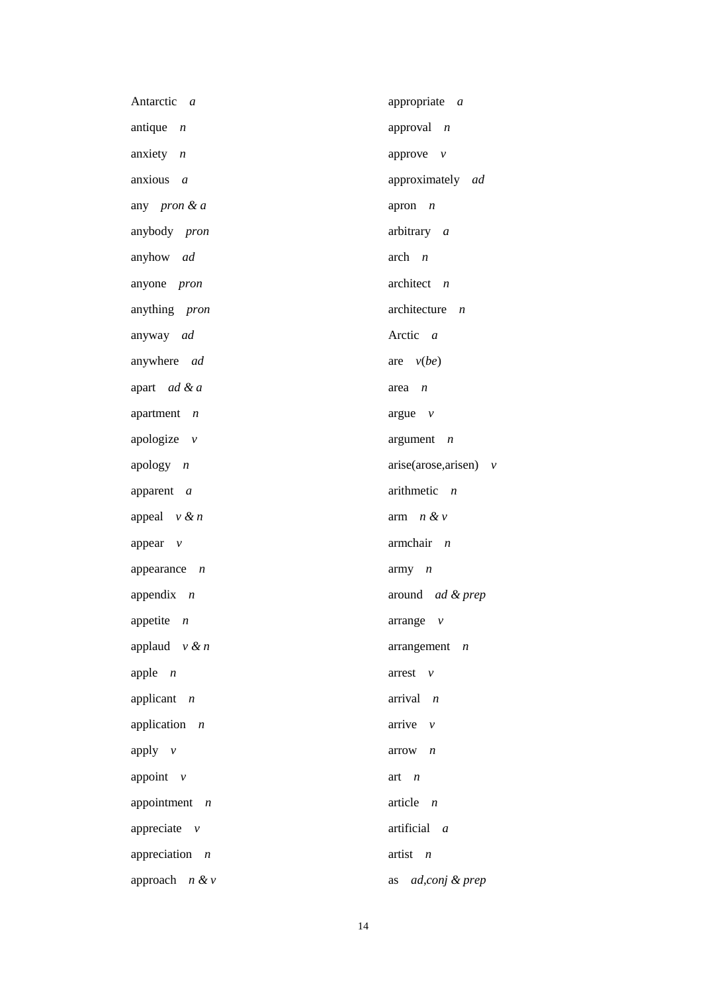| Antarctic a       | appropriate a              |
|-------------------|----------------------------|
| antique $n$       | approval $n$               |
| anxiety $n$       | approve $v$                |
| anxious $a$       | approximately ad           |
| any pron & a      | apron $n$                  |
| anybody pron      | arbitrary a                |
| anyhow ad         | $arch \t n$                |
| anyone pron       | architect $n$              |
| anything pron     | architecture $n$           |
| anyway ad         | Arctic a                   |
| anywhere ad       | are $v(be)$                |
| apart ad & a      | $area \t n$                |
| apartment $n$     | argue $v$                  |
| apologize $v$     | argument<br>$\overline{n}$ |
| apology $n$       | arise(arose,arisen) v      |
| apparent a        | arithmetic $n$             |
| appeal $v \& n$   | arm $n \& v$               |
| appear $v$        | $armchair$ $n$             |
| appearance $n$    | $\text{army}$ $n$          |
| appendix $n$      | around ad & prep           |
| appetite $n$      | $\alpha$ arrange $\nu$     |
| applaud $v \& n$  | $arrangement$ <i>n</i>     |
| apple $n$         | arrest<br>$\nu$            |
| applicant $n$     | arrival n                  |
| application $n$   | arrive $\nu$               |
| apply $v$         | $arrow$ $n$                |
| appoint $\nu$     | art $n$                    |
| appointment $n$   | article $n$                |
| appreciate $v$    | artificial a               |
| appreciation $n$  | artist $n$                 |
| approach $n \& v$ | ad,conj & prep<br>as       |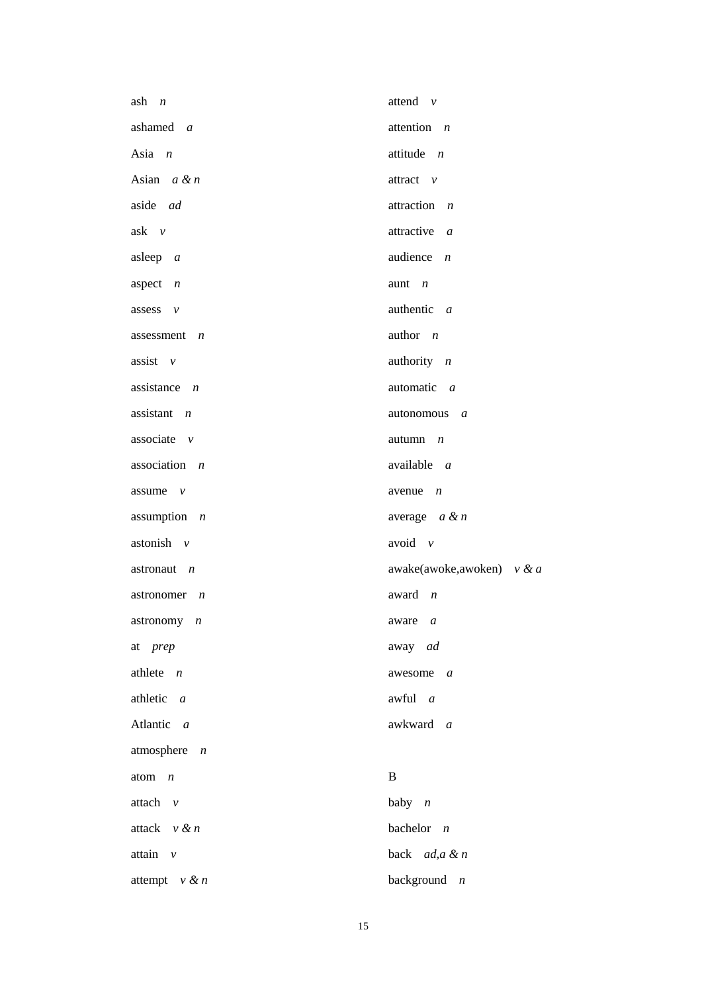| $ash$ $n$        | attend $v$                   |
|------------------|------------------------------|
| ashamed a        | attention $n$                |
| Asia $n$         | attitude $n$                 |
| Asian $a \& n$   | attract $v$                  |
| aside ad         | attraction <i>n</i>          |
| $ask \quad v$    | attractive a                 |
| asleep $a$       | audience $n$                 |
| aspect $n$       | aunt $n$                     |
| assess $v$       | authentic a                  |
| assessment $n$   | author $n$                   |
| assist $v$       | authority $n$                |
| assistance $n$   | automatic a                  |
| assistant $n$    | autonomous a                 |
| associate $\nu$  | $autumn$ $n$                 |
| association $n$  | available a                  |
| assume $\nu$     | avenue $n$                   |
| assumption $n$   | average $a \& n$             |
| astonish $v$     | avoid $\nu$                  |
| astronaut $n$    | awake(awoke,awoken) $v \& a$ |
| astronomer $n$   | award<br>$\boldsymbol{n}$    |
| astronomy $n$    | aware <i>a</i>               |
| at prep          | away ad                      |
| athlete $n$      | awesome $a$                  |
| athletic $a$     | awful a                      |
| Atlantic a       | awkward a                    |
| atmosphere $n$   |                              |
| atom $n$         | B                            |
| attach $v$       | baby $n$                     |
| attack $v \& n$  | bachelor $n$                 |
| attain $\nu$     | back ad,a & n                |
| attempt $v \& n$ | background $n$               |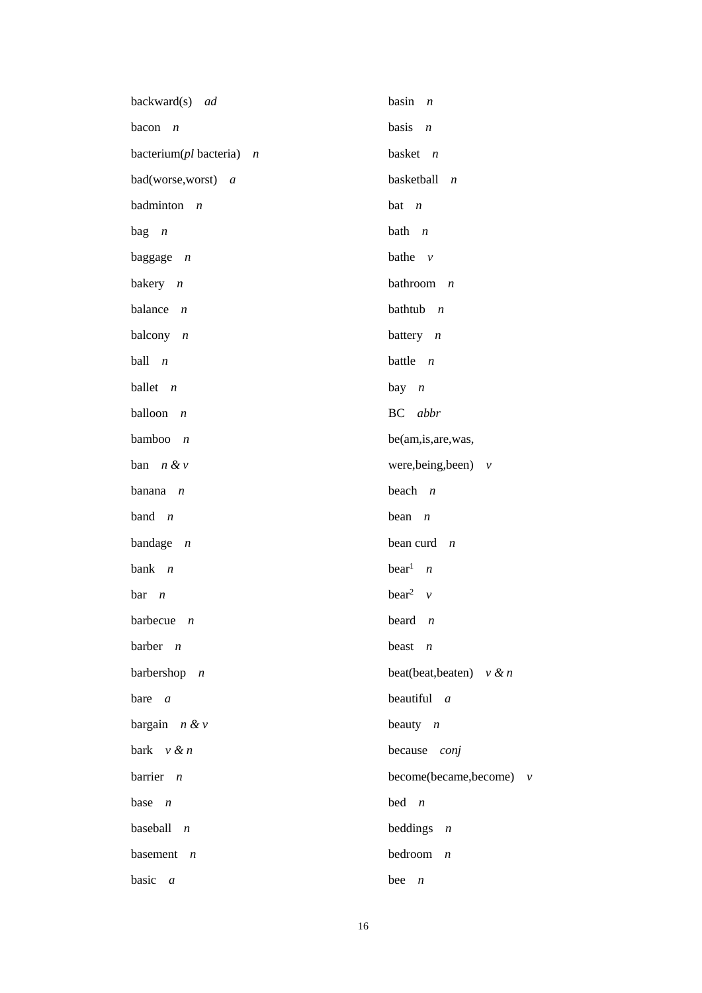| backward(s) ad                | basin<br>$\overline{n}$        |
|-------------------------------|--------------------------------|
| bacon<br>$\boldsymbol{n}$     | basis<br>$\overline{n}$        |
| bacterium( $pl$ bacteria) $n$ | basket $n$                     |
| bad(worse,worst) a            | basketball<br>$\boldsymbol{n}$ |
| badminton $n$                 | $bat$ <i>n</i>                 |
| $bag \t n$                    | bath $n$                       |
| baggage $n$                   | bathe $v$                      |
| bakery $n$                    | bathroom $n$                   |
| balance $n$                   | bathtub $n$                    |
| balcony $n$                   | battery $n$                    |
| ball<br>$\overline{n}$        | battle $n$                     |
| ballet $n$                    | $bay$ $n$                      |
| balloon<br>$\overline{n}$     | BC abbr                        |
| bamboo<br>$\boldsymbol{n}$    | be(am,is, are, was,            |
| ban $n \& v$                  | were, being, been) $v$         |
| banana<br>$\overline{n}$      | beach<br>$\overline{n}$        |
| band $n$                      | bean<br>$\boldsymbol{n}$       |
| bandage $n$                   | bean curd $n$                  |
| bank $n$                      | $\text{bear}^1$ <i>n</i>       |
| bar<br>$\overline{n}$         | bear <sup>2</sup> $\nu$        |
| barbecue $n$                  | beard $n$                      |
| barber $n$                    | beast $n$                      |
| barbershop $n$                | beat(beat, beaten) $v \& n$    |
| bare $a$                      | beautiful $a$                  |
| bargain $n \& v$              | beauty $n$                     |
| bark $v \& n$                 | because<br>conj                |
| barrier $n$                   | become(became,become) v        |
| base $n$                      | bed<br>$\overline{n}$          |
| baseball<br>$\overline{n}$    | beddings<br>$\boldsymbol{n}$   |
| basement $n$                  | bedroom<br>$\boldsymbol{n}$    |
| basic<br>$\boldsymbol{a}$     | bee<br>$\boldsymbol{n}$        |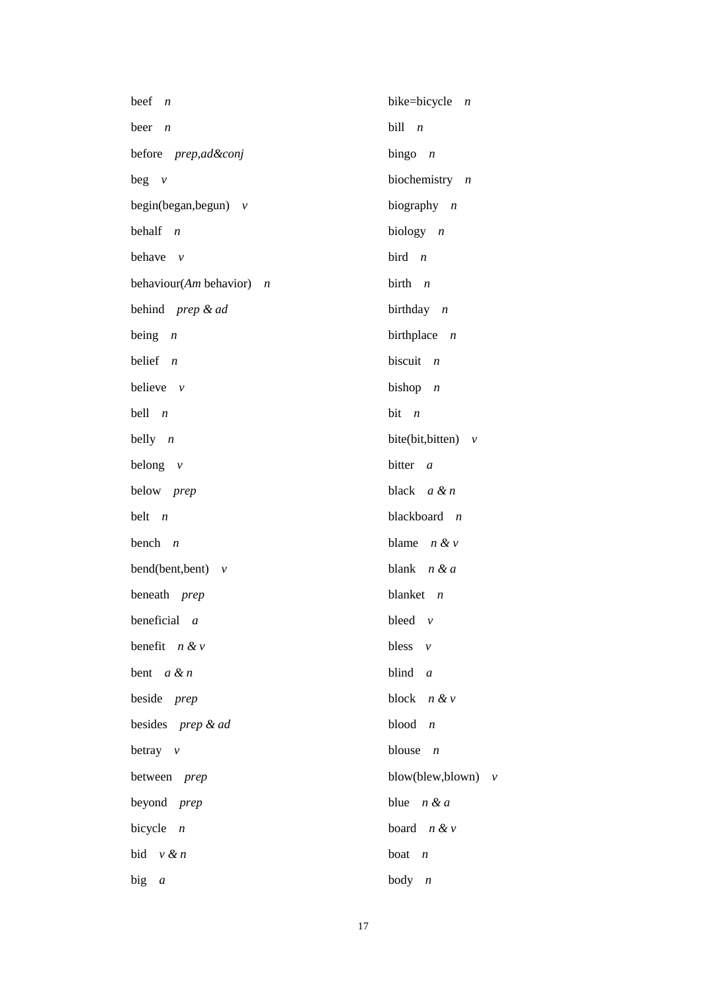| beef<br>$\overline{n}$     | bike=bicycle $n$                       |
|----------------------------|----------------------------------------|
| beer<br>$\boldsymbol{n}$   | $b$ ill $n$                            |
| before prep,ad&conj        | bingo $n$                              |
| $beg \ v$                  | biochemistry $n$                       |
| begin(began, begun) $v$    | biography $n$                          |
| behalf $n$                 | biology $n$                            |
| behave<br>$\nu$            | bird $n$                               |
| behaviour(Am behavior) $n$ | birth $n$                              |
| behind prep & ad           | birthday $n$                           |
| being $n$                  | birthplace $n$                         |
| belief $n$                 | biscuit $n$                            |
| believe $v$                | bishop $n$                             |
| bell $n$                   | $bit$ $n$                              |
| belly $n$                  | bite(bit,bitten) $v$                   |
| belong $v$                 | bitter<br>$\boldsymbol{a}$             |
| below prep                 | black $a \& n$                         |
| belt $n$                   | blackboard $n$                         |
| bench $n$                  | blame $n \& v$                         |
| bend(bent,bent) $v$        | blank $n & d$                          |
| beneath <i>prep</i>        | blanket $n$                            |
| beneficial $a$             | bleed $v$                              |
| benefit $n \& v$           | bless $v$                              |
| bent $a \& n$              | blind $a$                              |
| beside prep                | block $n & v$                          |
| besides prep & ad          | blood<br>$\boldsymbol{n}$              |
| betray $v$                 | blouse<br>$\boldsymbol{n}$             |
| between prep               | blow(blew,blown)<br>$\boldsymbol{\nu}$ |
| beyond <i>prep</i>         | blue $n & d$                           |
| bicycle<br>$\overline{n}$  | board $n \& v$                         |
| bid $v \& n$               | boat<br>$\boldsymbol{n}$               |
| big $a$                    | body $n$                               |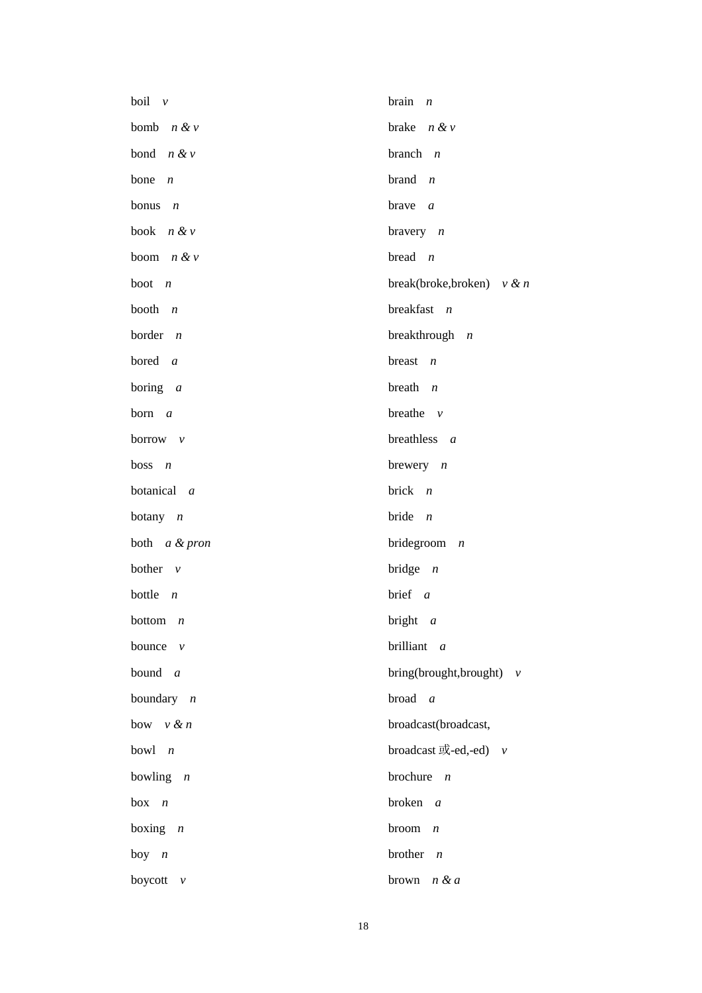| boil $\nu$               | brain<br>$\boldsymbol{n}$                 |
|--------------------------|-------------------------------------------|
| bomb $n \& v$            | brake $n \& v$                            |
| bond $n & v$             | branch $n$                                |
| bone<br>$\boldsymbol{n}$ | brand $n$                                 |
| bonus $n$                | brave $a$                                 |
| book $n \& v$            | bravery $n$                               |
| boom $n & v$             | bread $n$                                 |
| boot $n$                 | break(broke,broken) $v \& n$              |
| booth $n$                | breakfast $n$                             |
| border $n$               | breakthrough $n$                          |
| bored $a$                | breast $n$                                |
| boring $a$               | breath $n$                                |
| born $a$                 | breathe $\nu$                             |
| borrow $\nu$             | breathless $a$                            |
| boss $n$                 | brewery $n$                               |
| botanical a              | brick $n$                                 |
| botany $n$               | bride $n$                                 |
| both a & pron            | bridegroom $n$                            |
| bother $\nu$             | bridge $n$                                |
| bottle $n$               | brief $a$                                 |
| bottom $n$               | bright $a$                                |
| bounce<br>$\mathcal V$   | brilliant a                               |
| bound $a$                | bring(brought,brought) $v$                |
| boundary $n$             | broad<br>$\overline{a}$                   |
| bow $v \& n$             | broadcast(broadcast,                      |
| bowl $n$                 | broadcast $\vec{\mathbb{E}}$ -ed,-ed) $v$ |
| bowling $n$              | brochure $n$                              |
| $box \space n$           | broken $a$                                |
| boxing $n$               | broom<br>$\boldsymbol{n}$                 |
| boy $n$                  | brother<br>$\boldsymbol{n}$               |
| boycott<br>$\mathcal V$  | n & a<br>brown                            |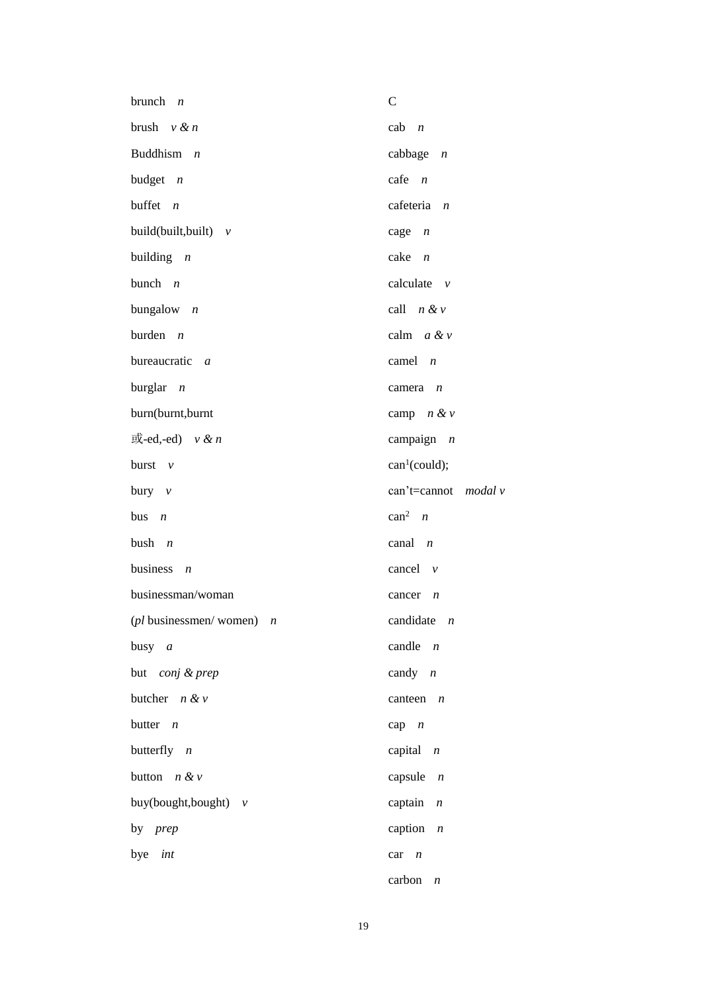| brunch $n$                         | $\mathcal{C}$               |
|------------------------------------|-----------------------------|
| brush $v \& n$                     | $cab \t n$                  |
| Buddhism $n$                       | cabbage $n$                 |
| budget $n$                         | $\text{safe}$ <i>n</i>      |
| buffet $n$                         | cafeteria $n$               |
| build(built,built) $v$             | cage $n$                    |
| building $n$                       | $\cake$ $n$                 |
| bunch $n$                          | calculate $\nu$             |
| bungalow $n$                       | call $n \& v$               |
| burden $n$                         | calm $a \& v$               |
| bureaucratic a                     | camel $n$                   |
| burglar $n$                        | camera $n$                  |
| burn(burnt,burnt                   | camp $n \& v$               |
| 或-ed,-ed) $v \& n$                 | campaign $n$                |
| burst $v$                          | can <sup>1</sup> (could);   |
| bury $v$                           | can't=cannot $\mod a$ v     |
| bus $n$                            | $can^2$ <i>n</i>            |
| bush $n$                           | canal $n$                   |
| business<br>$\boldsymbol{n}$       | cancel $\nu$                |
| businessman/woman                  | cancer $n$                  |
| ( <i>pl</i> businessmen/women) $n$ | candidate $n$               |
| busy $a$                           | candle $n$                  |
| but conj & prep                    | candy $n$                   |
| butcher $n \& v$                   | canteen $n$                 |
| butter $n$                         | $cap \t n$                  |
| butterfly $n$                      | capital $n$                 |
| button $n \& v$                    | capsule $n$                 |
| buy(bought,bought) $v$             | captain<br>$\boldsymbol{n}$ |
| by <i>prep</i>                     | caption<br>$\overline{n}$   |
| bye int                            | car<br>$\boldsymbol{n}$     |
|                                    | carbon<br>$\boldsymbol{n}$  |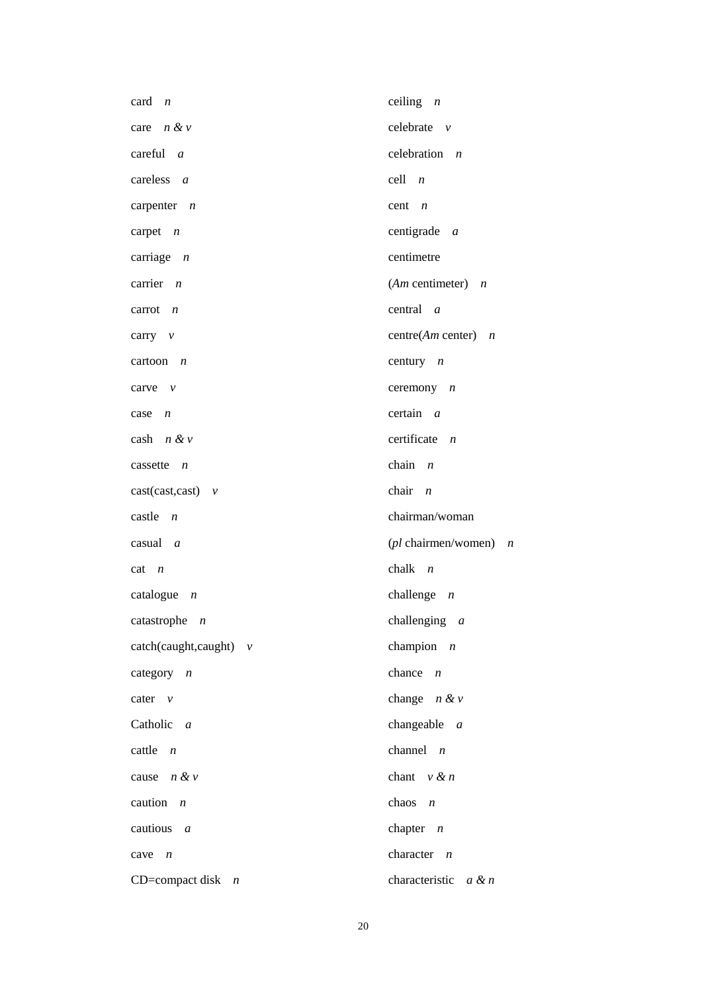| card $n$                  | ceiling $n$                |
|---------------------------|----------------------------|
| care $n \& v$             | celebrate $v$              |
| careful $a$               | celebration $n$            |
| careless $a$              | $cell \t n$                |
| carpenter $n$             | cent $n$                   |
| carpet $n$                | centigrade $a$             |
| carriage $n$              | centimetre                 |
| carrier $n$               | $(Am$ centimeter) $n$      |
| carrot $n$                | central $a$                |
| carry $v$                 | centre( $Am$ center) $n$   |
| cartoon $n$               | century $n$                |
| carve $\nu$               | ceremony $n$               |
| case $n$                  | certain a                  |
| cash $n \& v$             | certificate $n$            |
| cassette $n$              | chain $n$                  |
| $cast(cast, cast)$ v      | chair $n$                  |
| castle<br>$\overline{n}$  | chairman/woman             |
| $casual \, a$             | ( $pl$ chairmen/women) $n$ |
| $cat \t n$                | chalk $n$                  |
| catalogue $n$             | challenge $n$              |
| catastrophe $n$           | challenging $a$            |
| $catch(caught, caught)$ v | champion $n$               |
| category $n$              | chance $n$                 |
| cater $v$                 | change $n \& v$            |
| Catholic a                | changeable $a$             |
| cattle $n$                | channel $n$                |
| cause $n & v$             | chant $v \& n$             |
| caution $n$               | chaos $n$                  |
| cautious $a$              | chapter $n$                |
| cave $n$                  | character $n$              |
| CD=compact disk $n$       | characteristic $a \& n$    |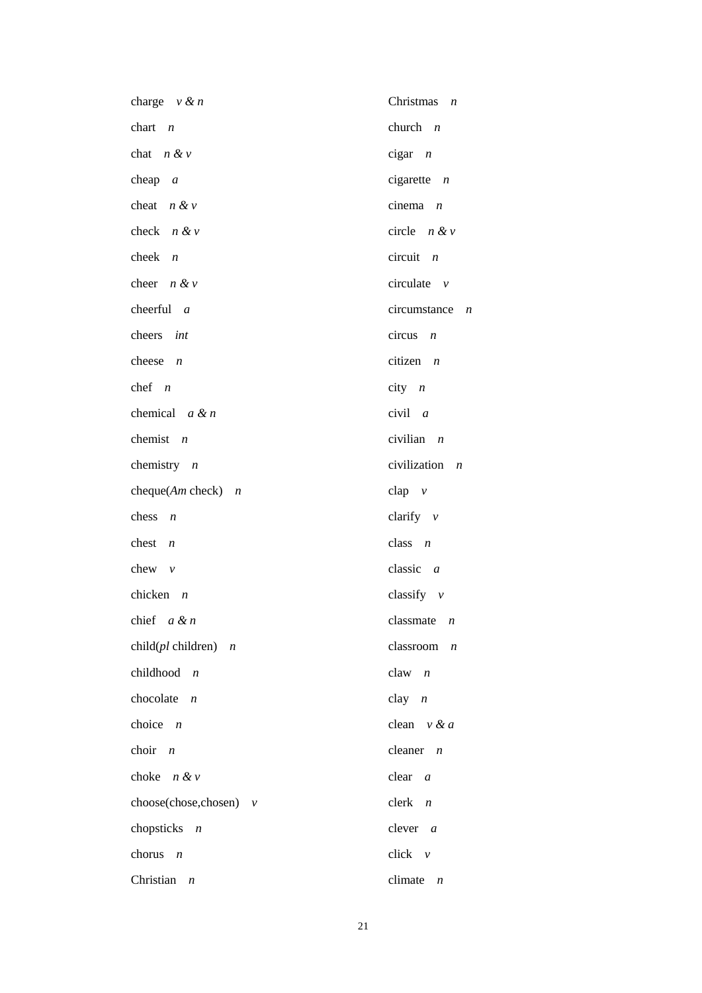| charge $v \& n$                      | Christmas $n$                  |
|--------------------------------------|--------------------------------|
| chart $n$                            | church $n$                     |
| chat $n \& v$                        | $cigar \t n$                   |
| cheap $a$                            | cigarette $n$                  |
| cheat $n & v$                        | cinema $n$                     |
| check $n \& v$                       | circle $n & v$                 |
| cheek $n$                            | $circuit$ <i>n</i>             |
| cheer $n & v$                        | circulate $\nu$                |
| cheerful $a$                         | $circumstance$ <i>n</i>        |
| cheers int                           | $circus$ <i>n</i>              |
| cheese $n$                           | citizen $n$                    |
| chef $n$                             | $city$ <i>n</i>                |
| chemical $a \& n$                    | $civil \t a$                   |
| chemist $n$                          | civilian $n$                   |
| chemistry $n$                        | civilization<br>$\overline{n}$ |
| cheque $(Am \text{ check})$ <i>n</i> | $clap \quad v$                 |
| chess $n$                            | clarify $v$                    |
| chest $n$                            | class $n$                      |
| chew $v$                             | classic $a$                    |
| chicken $n$                          | classify $\nu$                 |
| chief $a \& n$                       | classmate $n$                  |
| child $(pl$ children) $n$            | classroom<br>$\boldsymbol{n}$  |
| childhood $n$                        | $claw$ $n$                     |
| chocolate<br>$\overline{n}$          | clay $n$                       |
| choice $n$                           | clean $v \& a$                 |
| choir $n$                            | cleaner<br>$\boldsymbol{n}$    |
| choke $n \& v$                       | clear $a$                      |
| choose(chose,chosen) $v$             | clerk<br>$\boldsymbol{n}$      |
| chopsticks $n$                       | clever $a$                     |
| chorus<br>$\overline{n}$             | $click$ $v$                    |
| Christian $n$                        | climate $n$                    |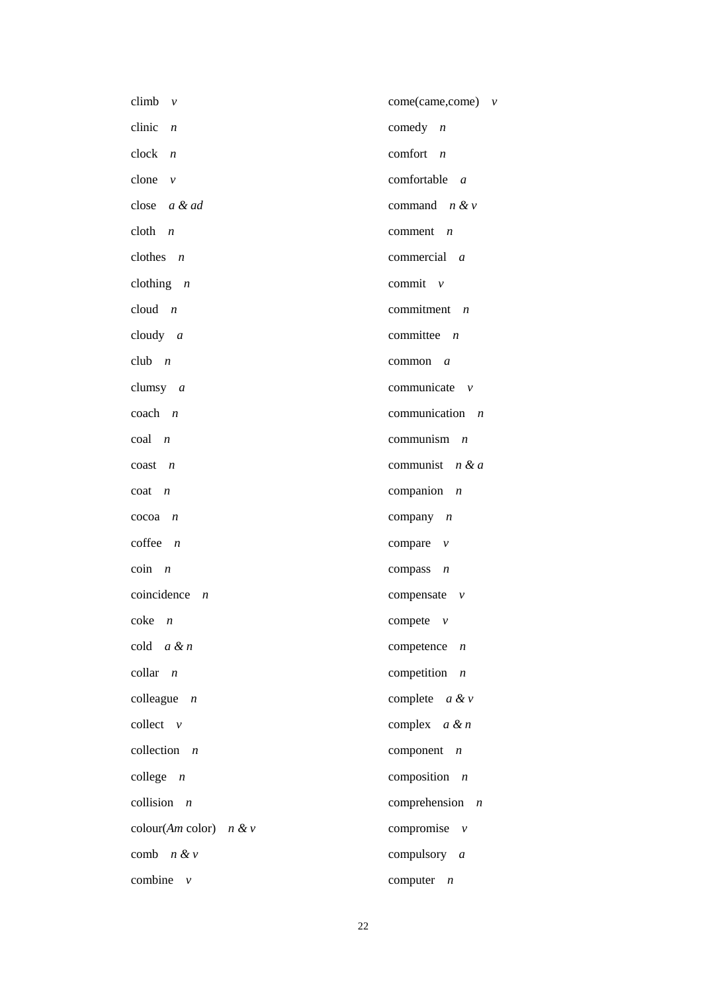| climb $v$                                       | $come(came, come)$ v          |
|-------------------------------------------------|-------------------------------|
| clinic $n$                                      | comedy $n$                    |
| $clock$ $n$                                     | comfort $n$                   |
| clone $v$                                       | comfortable a                 |
| close $a \& ad$                                 | command $n \& v$              |
| $\text{cloth}$ $n$                              | comment $n$                   |
| clothes $n$                                     | commercial a                  |
| clothing $n$                                    | commit $\nu$                  |
| cloud $n$                                       | commitment $n$                |
| cloudy $a$                                      | committee $n$                 |
| club $n$                                        | $common \, a$                 |
| clumsy $a$                                      | communicate $\nu$             |
| $\operatorname{coach}$ $n$                      | communication $n$             |
| $\cosh$ <i>n</i>                                | communism $n$                 |
| $\cos t$ $n$                                    | communist $n \& a$            |
| coat<br>$\overline{n}$                          | companion $n$                 |
| cocoa<br>$\boldsymbol{n}$                       | company $n$                   |
| $cofree$ $n$                                    | compare $\nu$                 |
| $\begin{bmatrix} \text{coin} & n \end{bmatrix}$ | compass $n$                   |
| coincidence $n$                                 | compensate $v$                |
| $\csc n$                                        | compete $v$                   |
| cold $a \& n$                                   | competence $n$                |
| $\text{collar}$ <i>n</i>                        | competition $n$               |
| colleague $n$                                   | complete $a \& v$             |
| collect $v$                                     | complex $a \& n$              |
| collection<br>$\boldsymbol{n}$                  | component<br>$\boldsymbol{n}$ |
| college $n$                                     | composition $n$               |
| collision $n$                                   | comprehension $n$             |
| colour(Am color) $n \& v$                       | compromise $v$                |
| comb $n & v$                                    | compulsory $a$                |
| combine<br>$\mathcal V$                         | computer<br>$\boldsymbol{n}$  |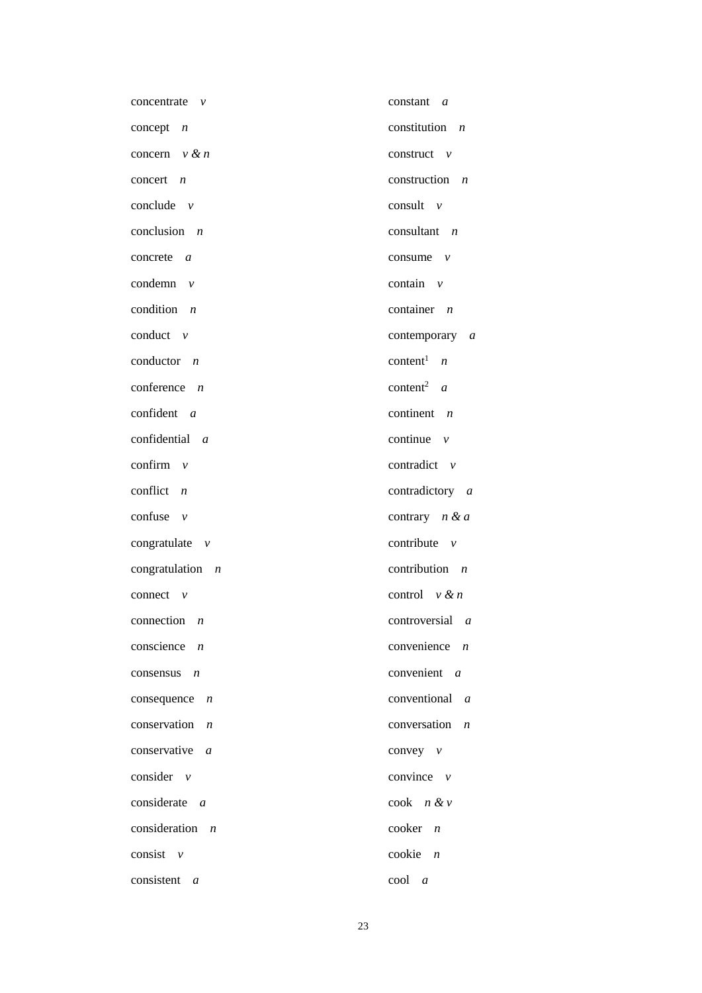| concentrate<br>$\mathcal V$     | constant $a$                     |
|---------------------------------|----------------------------------|
| concept $n$                     | constitution<br>$\overline{n}$   |
| concern $v \& n$                | construct $v$                    |
| concert $n$                     | construction<br>$\boldsymbol{n}$ |
| conclude $v$                    | consult $\nu$                    |
| conclusion $n$                  | consultant $n$                   |
| concrete $a$                    | consume $\nu$                    |
| condemn $v$                     | contain $\nu$                    |
| condition $n$                   | container $n$                    |
| conduct $v$                     | contemporary a                   |
| conductor $n$                   | content <sup>1</sup> $n$         |
| conference $n$                  | content <sup>2</sup> $a$         |
| confident $a$                   | continent $n$                    |
| confidential a                  | continue $\nu$                   |
| confirm $v$                     | contradict $\nu$                 |
| conflict $n$                    | contradictory a                  |
| confuse $v$                     | contrary $n & a$                 |
| congratulate $v$                | contribute $\nu$                 |
| congratulation $n$              | contribution $n$                 |
| connect $v$                     | control $v \& n$                 |
| connection $n$                  | $controversial \t a$             |
| conscience $n$                  | convenience<br>$\boldsymbol{n}$  |
| consensus $n$                   | convenient a                     |
| consequence $n$                 | conventional<br>$\mathfrak a$    |
| conservation $n$                | conversation<br>$\boldsymbol{n}$ |
| conservative $a$                | convey $v$                       |
| consider $\nu$                  | convince $\nu$                   |
| considerate a                   | $\cosh$ $n \& v$                 |
| consideration<br>$\overline{n}$ | cooker<br>$\boldsymbol{n}$       |
| consist $\nu$                   | cookie<br>$\boldsymbol{n}$       |
| consistent $a$                  | cool<br>$\overline{a}$           |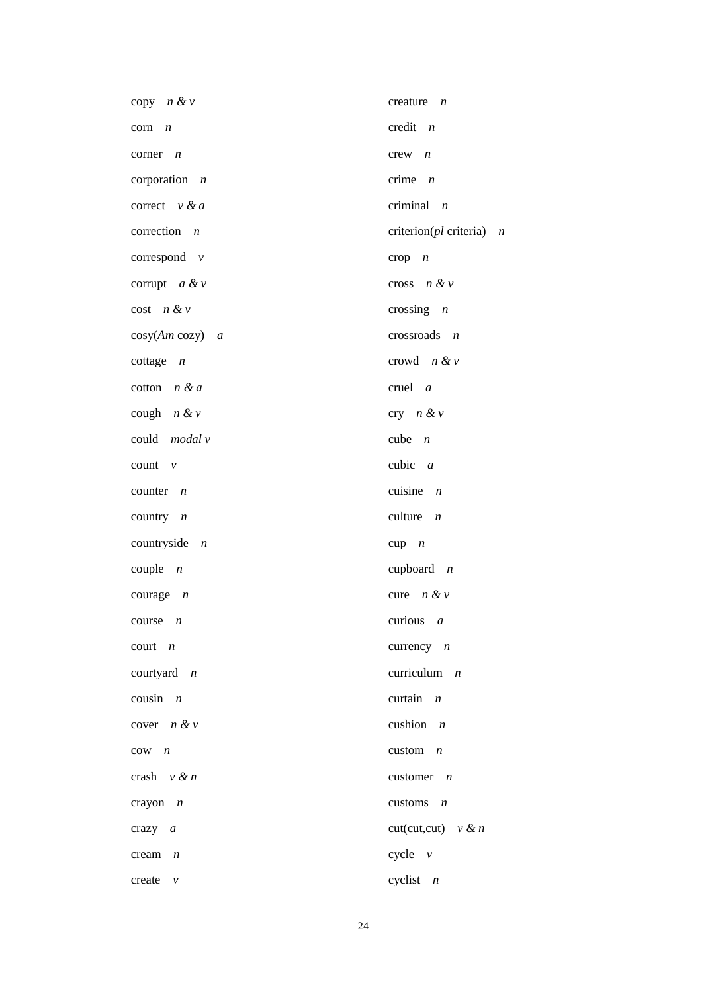| copy $n \& v$                | creature $n$                  |
|------------------------------|-------------------------------|
| corn<br>$\overline{n}$       | credit $n$                    |
| corner<br>$\overline{n}$     | $crew$ $n$                    |
| corporation $n$              | crime $n$                     |
| correct $v \& a$             | criminal $n$                  |
| correction $n$               | criterion( $pl$ criteria) $n$ |
| correspond $v$               | $\text{crop}$ $n$             |
| corrupt $a \& v$             | cross $n \& v$                |
| $cost$ $n & v$               | crossing $n$                  |
| $cosy(Am cosy)$ a            | $crossroads$ <i>n</i>         |
| cottage $n$                  | crowd $n \& v$                |
| cotton $n & d$               | cruel $a$                     |
| cough $n \& v$               | cry $n \& v$                  |
| could modal v                | cube $n$                      |
| count $\nu$                  | cubic $a$                     |
| counter $n$                  | cuisine $n$                   |
| country $n$                  | culture $n$                   |
| countryside $n$              | $cup p$ $n$                   |
| couple $n$                   | cupboard $n$                  |
| courage $n$                  | cure $n \& v$                 |
| $course \t n$                | curious $a$                   |
| $court \t n$                 | currency $n$                  |
| courtyard $n$                | curriculum $n$                |
| cousin $n$                   | curtain $n$                   |
| cover $n & v$                | cushion $n$                   |
| $cow \t n$                   | custom $n$                    |
| crash $v \& n$               | customer $n$                  |
| crayon $n$                   | customs $n$                   |
| crazy $a$                    | $cut(cut, cut)$ v & n         |
| cream<br>$\boldsymbol{n}$    | cycle $v$                     |
| create<br>$\boldsymbol{\nu}$ | cyclist $n$                   |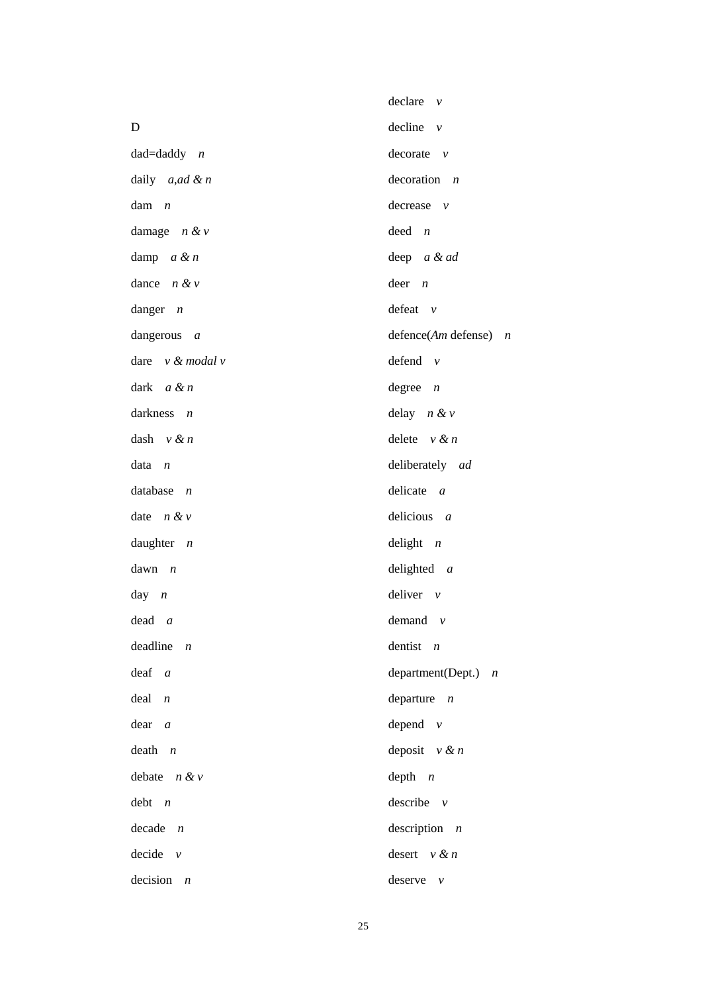|                             | $\text{ declare } v$       |
|-----------------------------|----------------------------|
| D                           | decline $v$                |
| $dad = daddy$ <i>n</i>      | decorate v                 |
| daily $a, ad \& n$          | $decoration$ <i>n</i>      |
| $d$ am $n$                  | decrease $v$               |
| damage $n \& v$             | $deed$ $n$                 |
| damp $a & n$                | deep a & ad                |
| dance $n \& v$              | $deer$ <i>n</i>            |
| danger $n$                  | $defeat$ $v$               |
| dangerous $a$               | defence( $Am$ defense) $n$ |
| dare $v \& \text{modal } v$ | defend $v$                 |
| dark $a \& n$               | degree $n$                 |
| darkness $n$                | delay $n \& v$             |
| dash $v \& n$               | delete $v \& n$            |
| $data \t n$                 | deliberately ad            |
| database $n$                | delicate $a$               |
| date $n & v$                | delicious $a$              |
| daughter $n$                | delight $n$                |
| $dawn$ <i>n</i>             | delighted $a$              |
| day $n$                     | deliver $v$                |
| $dead \, a$                 | demand $v$                 |
| deadline n                  | dentist $n$                |
| $deaf$ a                    | department(Dept.) $n$      |
| $deal$ $n$                  | departure $n$              |
| $dear \ a$                  | depend $v$                 |
| $death$ <i>n</i>            | deposit $v \& n$           |
| debate $n & v$              | $depth$ $n$                |
| $debt$ <i>n</i>             | describe $v$               |
| $decade$ $n$                | description $n$            |
| $decide$ $v$                | desert $v$ & $n$           |
| $decision \t n$             | deserve $v$                |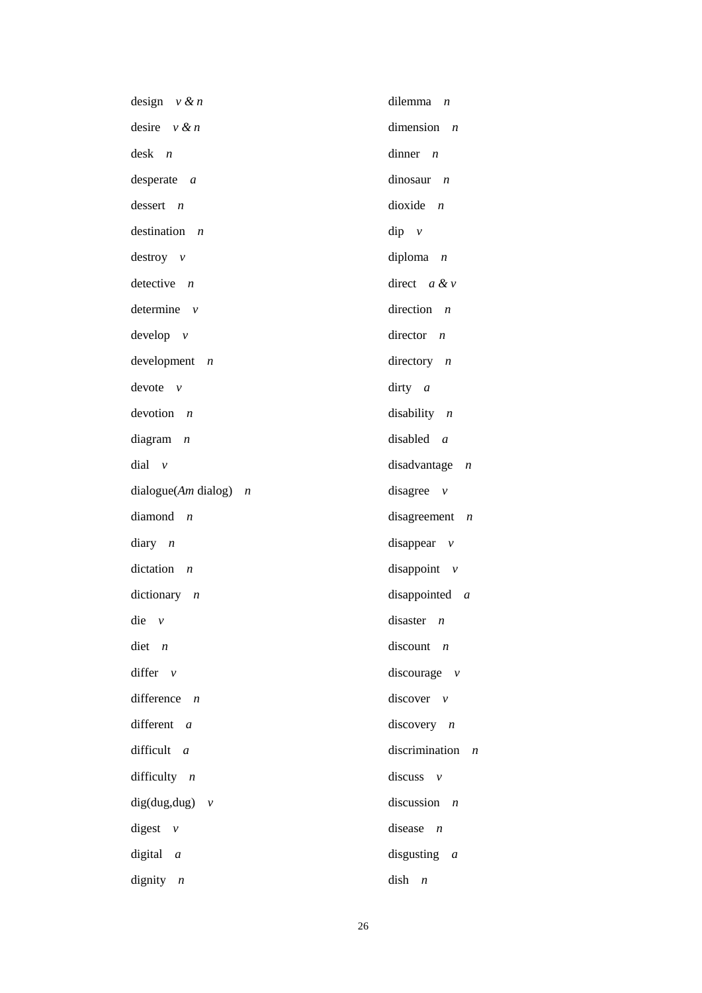| design $v \& n$                            | dilemma $n$                        |
|--------------------------------------------|------------------------------------|
| desire $v \& n$                            | dimension $n$                      |
| $\text{desk}$ <i>n</i>                     | dinner $n$                         |
| $desperate \ a$                            | dinosaur<br>$\overline{n}$         |
| $desert$ <i>n</i>                          | dioxide $n$                        |
| destination $n$                            | $dip$ $\nu$                        |
| $destroy \nu$                              | diploma<br>$\overline{n}$          |
| detective $n$                              | direct $a \& v$                    |
| determine $v$                              | direction $n$                      |
| $develp$ $v$                               | director<br>$\overline{n}$         |
| $development$ $n$                          | directory $n$                      |
| $devote$ $v$                               | dirty $a$                          |
| $devotion$ $n$                             | disability $n$                     |
| diagram<br>$\overline{n}$                  | disabled $a$                       |
| $dial$ $v$                                 | disadvantage<br>$\boldsymbol{n}$   |
| $dialogue(Am\ dialog)$<br>$\boldsymbol{n}$ | disagree<br>$\mathcal{V}$          |
| diamond<br>$\overline{n}$                  | disagreement<br>$\boldsymbol{n}$   |
| $diary$ <i>n</i>                           | disappear $\nu$                    |
| dictation<br>$\overline{n}$                | disappoint $v$                     |
| dictionary $n$                             | disappointed $a$                   |
| $\text{die}$ v                             | disaster $n$                       |
| diet<br>$\boldsymbol{n}$                   | discount<br>$\overline{n}$         |
| differ $v$                                 | discourage $v$                     |
| difference $n$                             | discover $v$                       |
| different<br>$\overline{a}$                | discovery<br>$\boldsymbol{n}$      |
| difficult<br>$\overline{a}$                | discrimination<br>$\boldsymbol{n}$ |
| difficulty $n$                             | discuss<br>$\mathcal{V}$           |
| $dig(dug, dug)$ v                          | discussion<br>$\boldsymbol{n}$     |
| digest<br>$\nu$                            | disease<br>$\boldsymbol{n}$        |
| digital $a$                                | disgusting $a$                     |
| dignity $n$                                | dish<br>$\boldsymbol{n}$           |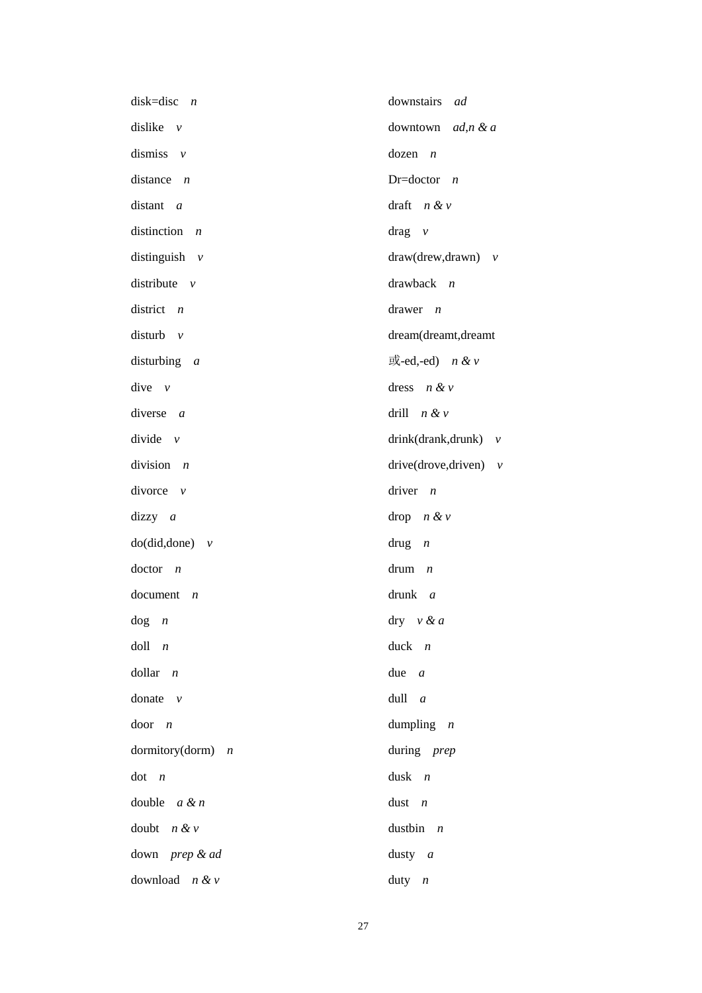| disk=disc<br>$\overline{n}$  | downstairs<br>ad         |
|------------------------------|--------------------------|
| dislike $\nu$                | downtown $ad, n \& a$    |
| dismiss $v$                  | dozen<br>$\overline{n}$  |
| distance $n$                 | Dr=doctor $n$            |
| distant a                    | draft $n & v$            |
| distinction $n$              | $drag \nu$               |
| distinguish $v$              | $draw(drew, drawn)$ v    |
| distribute $\nu$             | drawback $n$             |
| district $n$                 | drawer $n$               |
| disturb $v$                  | dream(dreamt,dreamt      |
| disturbing $a$               | 或-ed,-ed) $n & v$        |
| $dive$ $v$                   | dress $n \& v$           |
| diverse $a$                  | drill $n \& v$           |
| divide $\nu$                 | $drink(drank,drunk)$ v   |
| division $n$                 | drive(drove,driven) $v$  |
| divorce $\nu$                | driver $n$               |
| $dizzy \t a$                 | drop $n \& v$            |
| $do(di, done)$ v             | drug<br>$\boldsymbol{n}$ |
| $doctor \t n$                | drum<br>$\boldsymbol{n}$ |
| document<br>$\boldsymbol{n}$ | drunk $a$                |
| $\log$ <i>n</i>              | $\text{dry}$ v & a       |
| $d$ oll $n$                  | $duck$ <i>n</i>          |
| $dollar$ <i>n</i>            | due $a$                  |
| donate $\nu$                 | $dull \ a$               |
| $door \t n$                  | dumpling $n$             |
| dormitory(dorm) $n$          | during prep              |
| dot n                        | $dusk$ <i>n</i>          |
| double $a \& n$              | dust $n$                 |
| doubt $n & v$                | dustbin $n$              |
| down prep & ad               | dusty $a$                |
| download $n & v$             | duty $n$                 |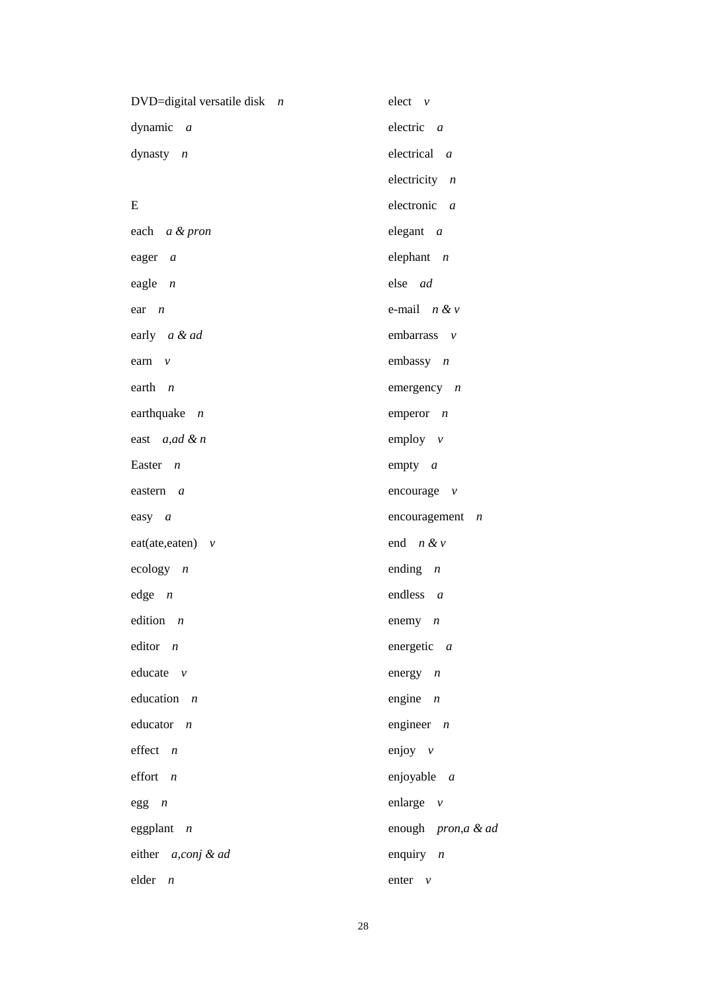| DVD=digital versatile disk $n$ | $elect \nu$                   |
|--------------------------------|-------------------------------|
| dynamic $a$                    | electric $a$                  |
| dynasty $n$                    | electrical a                  |
|                                | electricity $n$               |
| E                              | electronic $a$                |
| each a & pron                  | elegant $a$                   |
| eager a                        | elephant $n$                  |
| eagle $n$                      | else ad                       |
| $ear \t n$                     | e-mail $n \& v$               |
| early a & ad                   | embarrass $v$                 |
| earn<br>$\mathcal V$           | embassy $n$                   |
| earth $n$                      | emergency $n$                 |
| earthquake $n$                 | emperor $n$                   |
| east $a, ad \& n$              | employ $v$                    |
| Easter $n$                     | empty $a$                     |
| eastern a                      | encourage $v$                 |
| easy $a$                       | encouragement $n$             |
| $eat(ate, eaten)$ v            | end $n \& v$                  |
| ecology $n$                    | ending $n$                    |
| edge n                         | endless $a$                   |
| edition $n$                    | enemy $n$                     |
| editor $n$                     | energetic a                   |
| educate $v$                    | energy $n$                    |
| education $n$                  | engine $n$                    |
| educator $n$                   | engineer $n$                  |
| $effect$ <i>n</i>              | enjoy $v$                     |
| effort $n$                     | enjoyable a                   |
| $egg$ $n$                      | enlarge $v$                   |
| eggplant $n$                   | enough <i>pron,a &amp; ad</i> |
| either a,conj & ad             | enquiry $n$                   |
| $elder \t n$                   | enter $v$                     |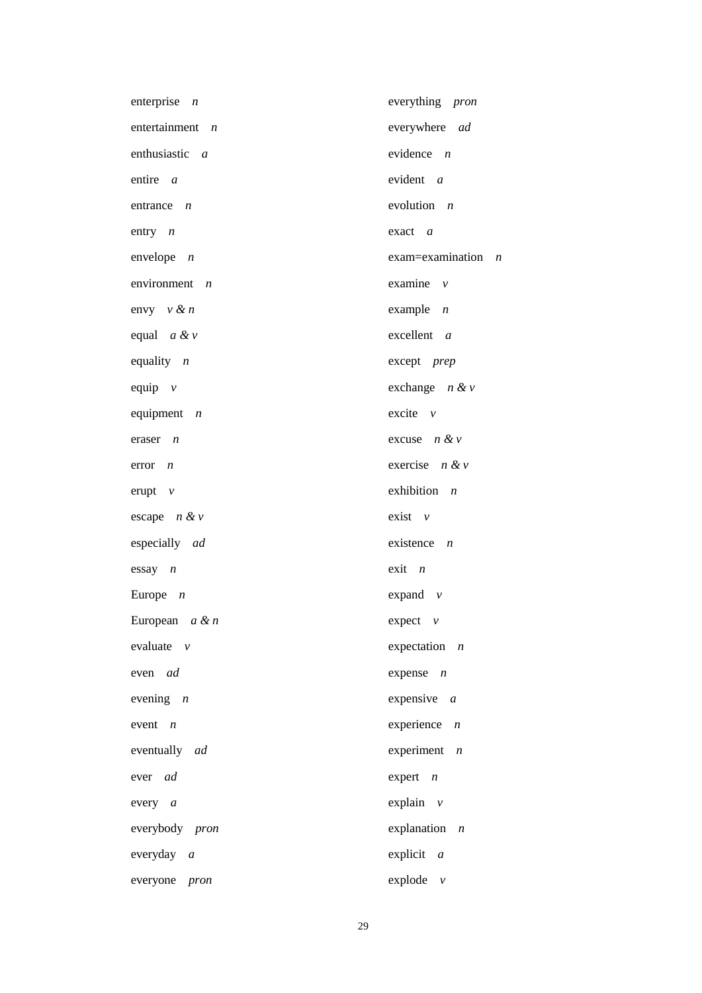| enterprise $n$    | everything pron               |
|-------------------|-------------------------------|
| entertainment $n$ | everywhere ad                 |
| enthusiastic $a$  | evidence $n$                  |
| entire a          | evident $a$                   |
| entrance $n$      | evolution $n$                 |
| entry $n$         | $\text{exact}$ a              |
| envelope $n$      | $exam = examination$ <i>n</i> |
| environment $n$   | examine $\nu$                 |
| envy $v \& n$     | example $n$                   |
| equal $a \& v$    | excellent a                   |
| equality $n$      | except prep                   |
| equip $v$         | exchange $n \& v$             |
| equipment $n$     | excite $v$                    |
| eraser $n$        | excuse $n \& v$               |
| $error \t n$      | exercise $n \& v$             |
| erupt $\nu$       | exhibition $n$                |
| escape $n \& v$   | $exist \quad v$               |
| especially ad     | existence $n$                 |
| $essay$ $n$       | $exit \, n$                   |
| Europe $n$        | expand $\nu$                  |
| European $a \& n$ | $expect$ $v$                  |
| evaluate $v$      | expectation $n$               |
| even ad           | expense $n$                   |
| evening $n$       | expensive $a$                 |
| event $n$         | experience $n$                |
| eventually ad     | experiment $n$                |
| ever ad           | expert $n$                    |
| every $a$         | explain $v$                   |
| everybody pron    | explanation $n$               |
| everyday $a$      | explicit $a$                  |
| everyone pron     | explode $v$                   |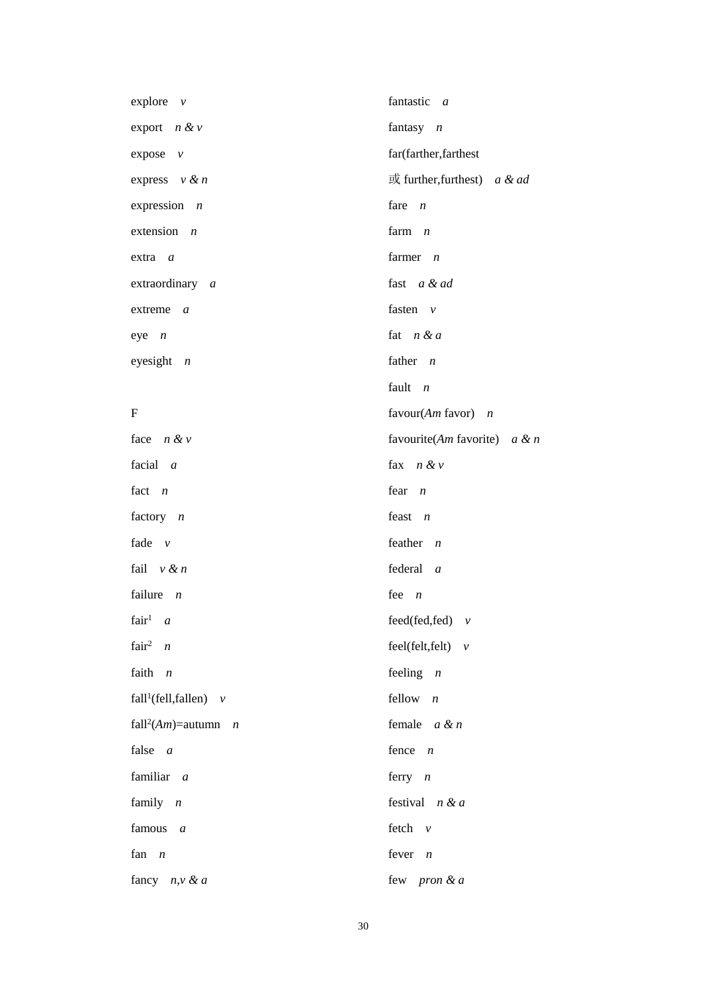| explore $v$                                     | fantastic a                         |
|-------------------------------------------------|-------------------------------------|
| export $n & v$                                  | fantasy $n$                         |
| expose v                                        | far(farther,farthest                |
| express $v \& n$                                | $\vec{p}$ further, furthest) a & ad |
| expression $n$                                  | fare $n$                            |
| extension $n$                                   | farm $n$                            |
| $extra$ a                                       | farmer $n$                          |
| extraordinary a                                 | fast a & ad                         |
| extreme<br>$\overline{a}$                       | fasten $v$                          |
| $eye$ $n$                                       | fat $n & a$                         |
| eyesight $n$                                    | father $n$                          |
|                                                 | fault $n$                           |
| $\mathbf F$                                     | favour(Am favor) $n$                |
| face $n \& v$                                   | favourite(Am favorite) $a \& m$     |
| facial $a$                                      | fax $n & v$                         |
| fact $n$                                        | fear $n$                            |
| factory $n$                                     | feast $n$                           |
| fade $v$                                        | feather $n$                         |
| fail $v \& n$                                   | federal a                           |
| failure $n$                                     | fee $n$                             |
| fair <sup>1</sup> <i>a</i>                      | feed(fed,fed) $v$                   |
| fair <sup>2</sup> $n$                           | feel(felt, felt) $v$                |
| faith<br>$\overline{n}$                         | feeling $n$                         |
| fall <sup>1</sup> (fell, fallen) $v$            | fellow $n$                          |
| fall <sup>2</sup> ( <i>Am</i> )=autumn <i>n</i> | female $a \& n$                     |
| false $a$                                       | fence $n$                           |
| familiar a                                      | ferry $n$                           |
| family $n$                                      | festival $n \& a$                   |
| famous<br>$\overline{a}$                        | fetch $v$                           |
| fan $n$                                         | fever $n$                           |
| fancy $n, v \& a$                               | few pron & a                        |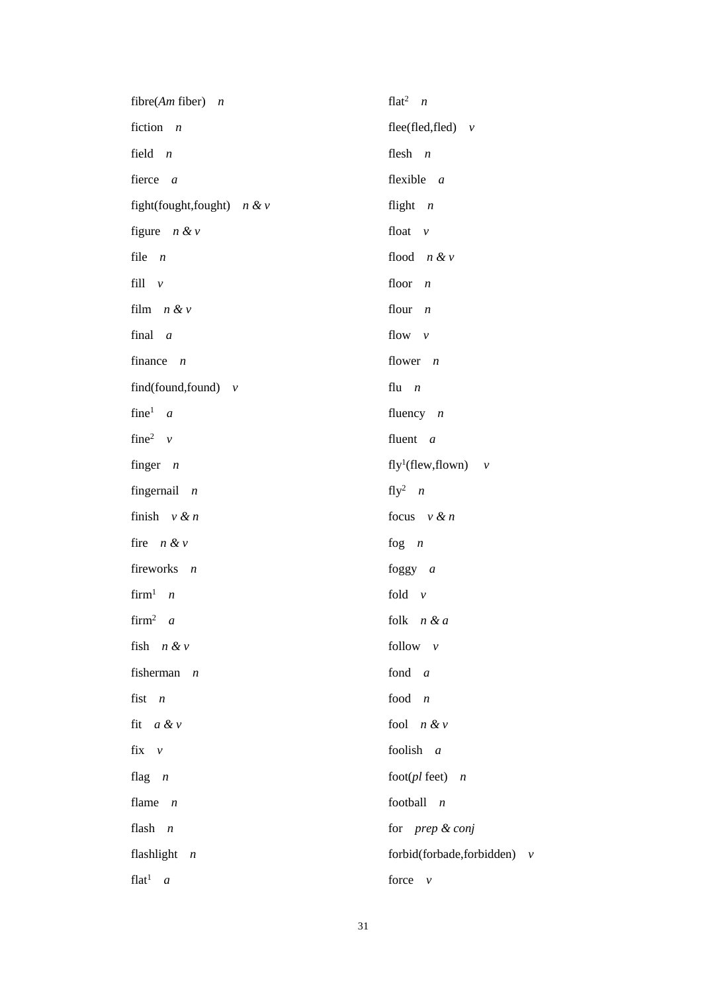| fibre(Am fiber) $n$                   | flat <sup>2</sup> $n$              |
|---------------------------------------|------------------------------------|
| fiction $n$                           | flee(fled,fled) $v$                |
| field $n$                             | flesh $n$                          |
| fierce a                              | flexible $a$                       |
| fight(fought,fought) $n \& v$         | flight $n$                         |
| figure $n \& v$                       | float $v$                          |
| file $n$                              | flood $n & v$                      |
| fill $\nu$                            | floor $n$                          |
| film $n \& v$                         | flour $n$                          |
| final $a$                             | flow $v$                           |
| finance $n$                           | flower $n$                         |
| find(found, found) $v$                | flu $n$                            |
| fine <sup>1</sup> $a$                 | fluency $n$                        |
| fine <sup>2</sup> $\nu$               | fluent $a$                         |
| finger $n$                            | fly <sup>1</sup> (flew, flown) $v$ |
| fingernail $n$                        | fly <sup>2</sup> $n$               |
| finish $v \& n$                       | focus $v \& n$                     |
| fire $n \& v$                         | fog $n$                            |
| fireworks $n$                         | foggy $a$                          |
| $firm1$ <i>n</i>                      | fold $v$                           |
| $firm^2 \quad a$                      | folk $n & a$                       |
| fish $n \& v$                         | follow $v$                         |
| fisherman<br>$\overline{n}$           | fond $a$                           |
| fist<br>$\overline{n}$                | food<br>$\boldsymbol{n}$           |
| fit $a \& v$                          | fool $n & v$                       |
| fix<br>$\nu$                          | foolish<br>$\overline{a}$          |
| flag $n$                              | foot(pl feet) $n$                  |
| flame<br>$\overline{n}$               | football $n$                       |
| flash<br>$\boldsymbol{n}$             | for prep & conj                    |
| flashlight $n$                        | forbid(forbade,forbidden) v        |
| flat <sup>1</sup><br>$\boldsymbol{a}$ | force<br>$\mathcal V$              |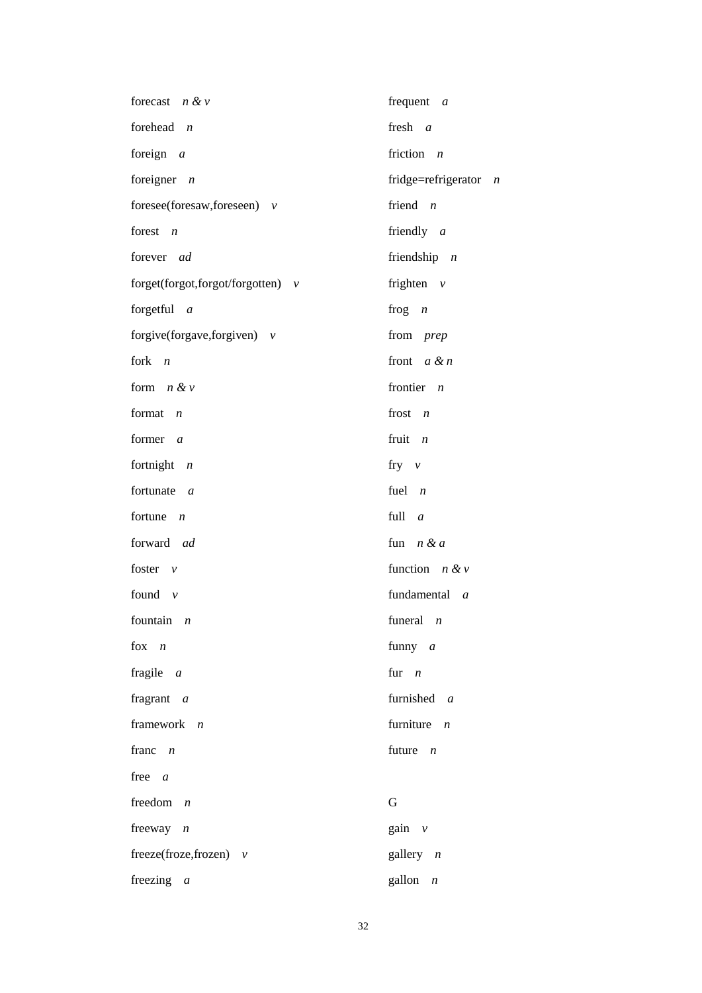| forecast $n \& v$                   | frequent $a$                            |
|-------------------------------------|-----------------------------------------|
| forehead $n$                        | fresh $a$                               |
| foreign $a$                         | friction $n$                            |
| foreigner $n$                       | fridge=refrigerator<br>$\boldsymbol{n}$ |
| foresee(foresaw, foreseen) $v$      | friend $n$                              |
| forest $n$                          | friendly $a$                            |
| forever ad                          | friendship $n$                          |
| forget(forgot,forgot/forgotten) $v$ | frighten $v$                            |
| forgetful $a$                       | frog $n$                                |
| forgive(forgave, forgiven) $v$      | from prep                               |
| fork $n$                            | front $a \& n$                          |
| form $n \& v$                       | frontier $n$                            |
| format $n$                          | frost $n$                               |
| former $a$                          | fruit $n$                               |
| fortnight $n$                       | fry $\nu$                               |
| fortunate $a$                       | fuel $n$                                |
| fortune $n$                         | full $a$                                |
| forward ad                          | fun $n & a$                             |
| foster $v$                          | function $n \& v$                       |
| found $v$                           | fundamental a                           |
| fountain $n$                        | funeral $n$                             |
| fox $n$                             | funny $a$                               |
| fragile $a$                         | fur $n$                                 |
| fragrant $a$                        | furnished a                             |
| framework $n$                       | furniture $n$                           |
| franc $n$                           | future $n$                              |
| free $a$                            |                                         |
| freedom $n$                         | G                                       |
| freeway $n$                         | gain $v$                                |
| freeze(froze,frozen) $v$            | gallery $n$                             |
| freezing $a$                        | gallon $n$                              |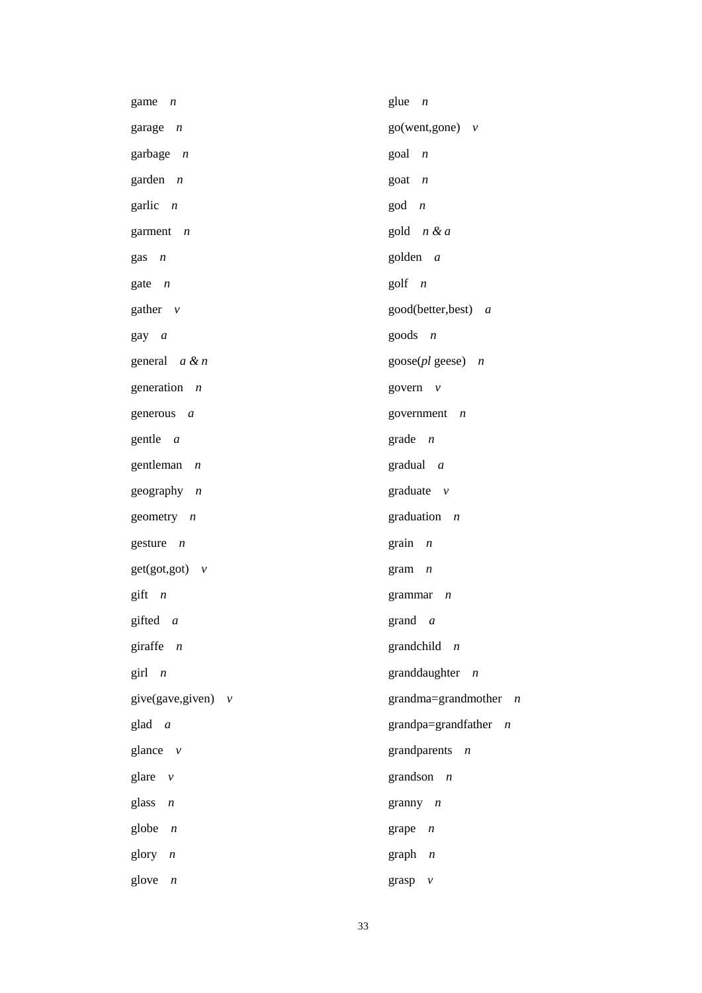| game<br>$\overline{n}$      | glue $n$                                           |
|-----------------------------|----------------------------------------------------|
| garage n                    | $go(went, gone)$ $v$                               |
| garbage <i>n</i>            | $goal \t n$                                        |
| garden <i>n</i>             | $\text{goal}$ $n$                                  |
| garlic <i>n</i>             | $\text{god}$ $n$                                   |
| garment n                   | gold $n & a$                                       |
| gas<br>$\overline{n}$       | golden a                                           |
| gate $n$                    | $g$ olf $n$                                        |
| gather $\nu$                | good(better,best) a                                |
| gay a                       | goods $n$                                          |
| general <i>a &amp; n</i>    | $\text{goose}(pl \text{ geese})$<br>$\overline{n}$ |
| generation <i>n</i>         | govern $v$                                         |
| generous<br>$\overline{a}$  | government $n$                                     |
| gentle a                    | $grade$ <i>n</i>                                   |
| gentleman<br>$\overline{n}$ | gradual a                                          |
| geography n                 | graduate $v$                                       |
| geometry $n$                | graduation $n$                                     |
| gesture $n$                 | grain<br>$\boldsymbol{n}$                          |
| $get(got, got)$ $v$         | gram<br>$\boldsymbol{n}$                           |
| $g$ ift <i>n</i>            | grammar<br>$\boldsymbol{n}$                        |
| gifted a                    | grand $a$                                          |
| giraffe<br>$\boldsymbol{n}$ | grandchild $n$                                     |
| girl<br>$\overline{n}$      | granddaughter $n$                                  |
| give(gave,given) $v$        | grandma=grandmother<br>$\overline{\phantom{a}}$    |
| glad a                      | grandpa=grandfather<br>$\boldsymbol{n}$            |
| glance $v$                  | grandparents<br>$\overline{n}$                     |
| glare<br>$\mathcal V$       | grandson $n$                                       |
| glass<br>$\boldsymbol{n}$   | granny $n$                                         |
| globe<br>$\boldsymbol{n}$   | grape<br>$\boldsymbol{n}$                          |
| glory<br>$\boldsymbol{n}$   | graph $n$                                          |
| glove<br>$\boldsymbol{n}$   | grasp<br>$\mathcal V$                              |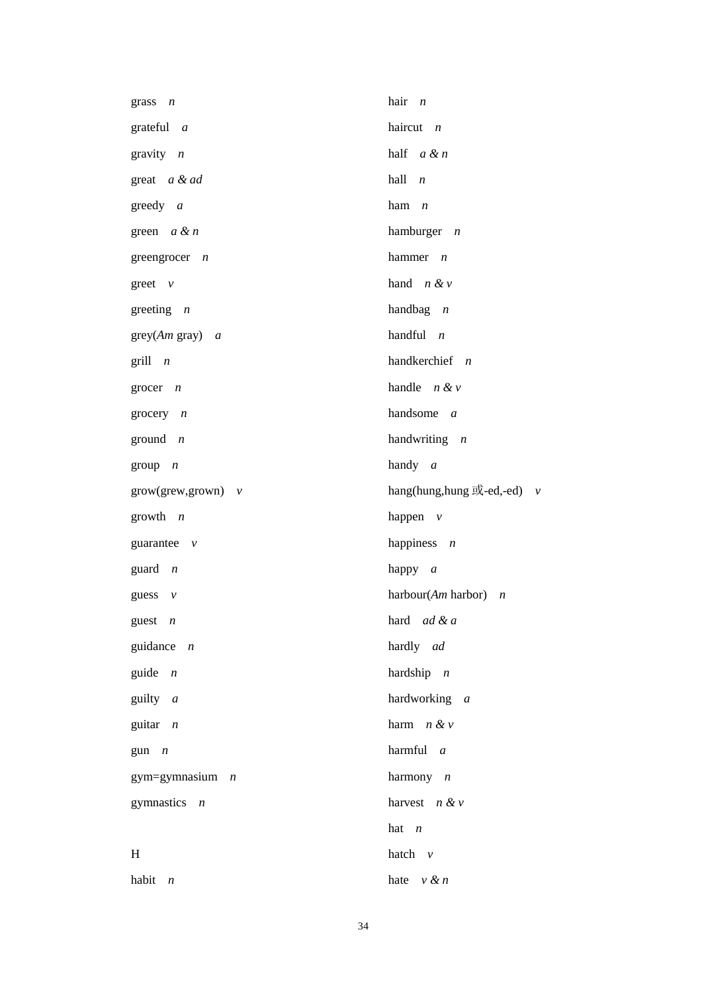| grass $n$            | hair $n$                                          |
|----------------------|---------------------------------------------------|
| grateful $a$         | haircut $n$                                       |
| gravity $n$          | half $a \& n$                                     |
| great a & ad         | hall $n$                                          |
| greedy $a$           | ham $n$                                           |
| green $a \& n$       | hamburger $n$                                     |
| greengrocer $n$      | hammer $n$                                        |
| greet $v$            | hand $n & v$                                      |
| greeting $n$         | handbag $n$                                       |
| $grey(Am\ gray)$ a   | handful $n$                                       |
| $grill$ <i>n</i>     | handkerchief $n$                                  |
| grocer $n$           | handle $n \& v$                                   |
| grocery $n$          | handsome $a$                                      |
| ground $n$           | handwriting $n$                                   |
| group $n$            | handy $a$                                         |
| $grow(grew,grown)$ v | hang(hung,hung $\overrightarrow{xy}$ -ed,-ed) $v$ |
| growth $n$           | happen $v$                                        |
| guarantee $v$        | happiness $n$                                     |
| guard $n$            | happy $a$                                         |
| guess $v$            | harbour(Am harbor) $n$                            |
| guest $n$            | hard $ad \& a$                                    |
| guidance $n$         | hardly ad                                         |
| guide $n$            | hardship $n$                                      |
| guilty $a$           | hardworking a                                     |
| guitar $n$           | harm $n & v$                                      |
| $gun \t n$           | harmful $a$                                       |
| gym=gymnasium $n$    | harmony $n$                                       |
| gymnastics $n$       | harvest $n & v$                                   |
|                      | hat $n$                                           |
| H                    | hatch $v$                                         |
| habit $n$            | hate $v \& n$                                     |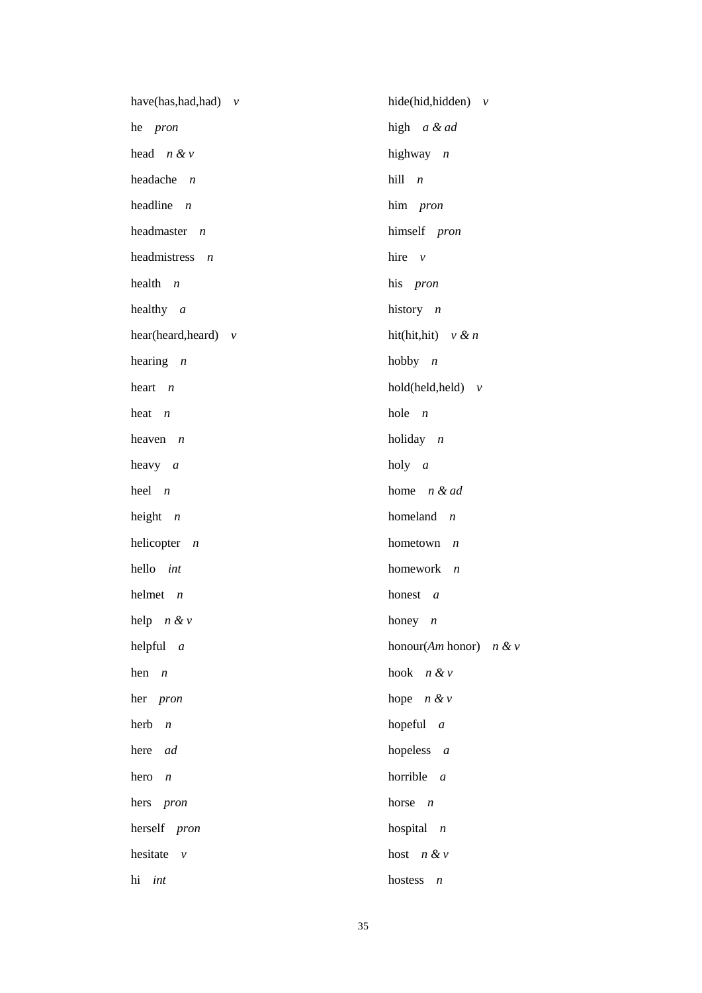| have(has,had,had) $v$     | hide(hid,hidden) $v$                 |
|---------------------------|--------------------------------------|
| he pron                   | high a & ad                          |
| head $n \& v$             | highway $n$                          |
| headache $n$              | hill n                               |
| headline $n$              | him pron                             |
| headmaster $n$            | himself pron                         |
| headmistress $n$          | hire $\nu$                           |
| health $n$                | his pron                             |
| healthy $a$               | history $n$                          |
| hear(heard,heard) $v$     | hit(hit,hit) $v \& n$                |
| hearing $n$               | hobby $n$                            |
| heart $n$                 | $hold(held, held)$ v                 |
| heat $n$                  | hole $n$                             |
| heaven $n$                | holiday $n$                          |
| heavy $a$                 | holy $a$                             |
| $heel$ $n$                | home $n \&ad$                        |
| height $n$                | homeland $n$                         |
| helicopter $n$            | hometown $n$                         |
| hello int                 | homework $n$                         |
| helmet $n$                | honest a                             |
| help $n \& v$             | honey $n$                            |
| helpful<br>$\overline{a}$ | honour $(Am \text{ honor})$<br>n & v |
| hen<br>$\overline{n}$     | hook $n & v$                         |
| her <i>pron</i>           | hope $n \& v$                        |
| herb<br>$\boldsymbol{n}$  | hopeful $a$                          |
| here<br>ad                | hopeless $a$                         |
| hero<br>$\boldsymbol{n}$  | horrible<br>$\mathfrak{a}$           |
| hers pron                 | horse<br>$\overline{n}$              |
| herself pron              | hospital $n$                         |
| hesitate<br>$\nu$         | host $n \& v$                        |
| hi<br>int                 | hostess<br>$\boldsymbol{n}$          |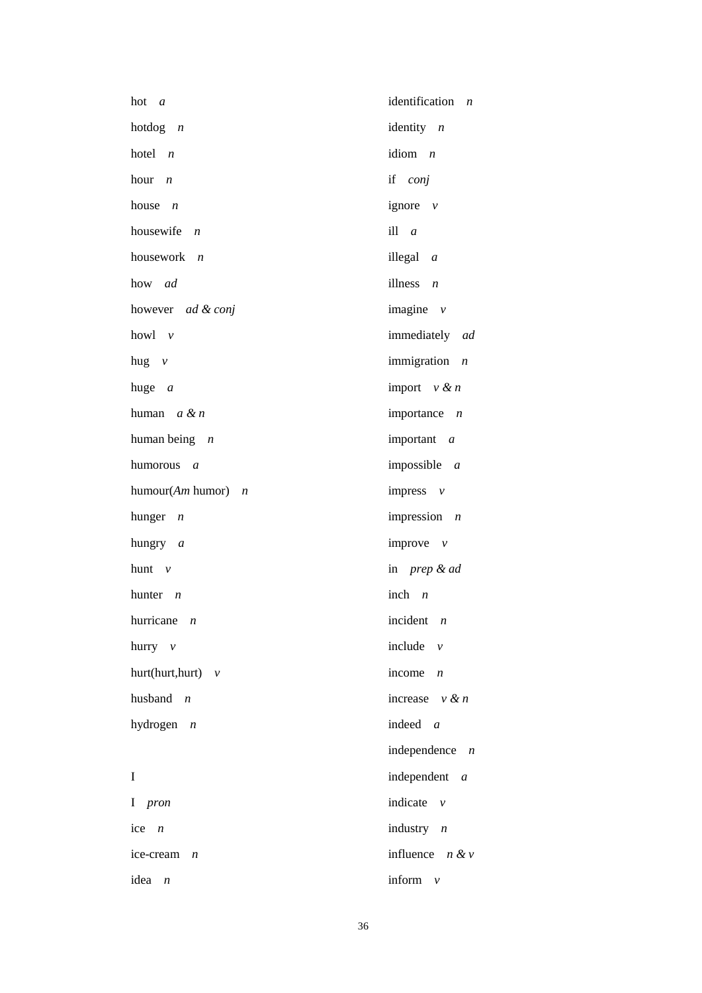| hot a                       | identification $n$                     |
|-----------------------------|----------------------------------------|
| hotdog $n$                  | identity $n$                           |
| hotel $n$                   | idiom $n$                              |
| hour $n$                    | if conj                                |
| house<br>$\boldsymbol{n}$   | ignore $v$                             |
| housewife $n$               | ill $a$                                |
| housework $n$               | illegal $a$                            |
| how ad                      | illness $n$                            |
| however ad & conj           | imagine $v$                            |
| howl $\nu$                  | immediately ad                         |
| hug $v$                     | immigration $n$                        |
| huge $a$                    | import $v \& n$                        |
| human $a \& n$              | importance $n$                         |
| human being $n$             | important a                            |
| humorous a                  | impossible $a$                         |
| humour(Am humor) $n$        | impress $v$                            |
| hunger $n$                  | impression $n$                         |
| hungry a                    | improve $\nu$                          |
| hunt $v$                    | in prep & ad                           |
| hunter $n$                  | inch $n$                               |
| hurricane $n$               | incident $n$                           |
| hurry $v$                   | include $\nu$                          |
| $hurt(hurt, hurt)$ $\nu$    | income<br>$\boldsymbol{n}$             |
| husband $n$                 | increase $v \& n$                      |
| hydrogen $n$                | indeed $a$                             |
|                             | independence<br>$\boldsymbol{n}$       |
| I                           | independent a                          |
| I pron                      | indicate<br>$\boldsymbol{\mathcal{V}}$ |
| ice<br>$\overline{n}$       | industry $n$                           |
| ice-cream<br>$\overline{n}$ | influence $n \& v$                     |
| idea<br>$\boldsymbol{n}$    | inform<br>$\mathcal V$                 |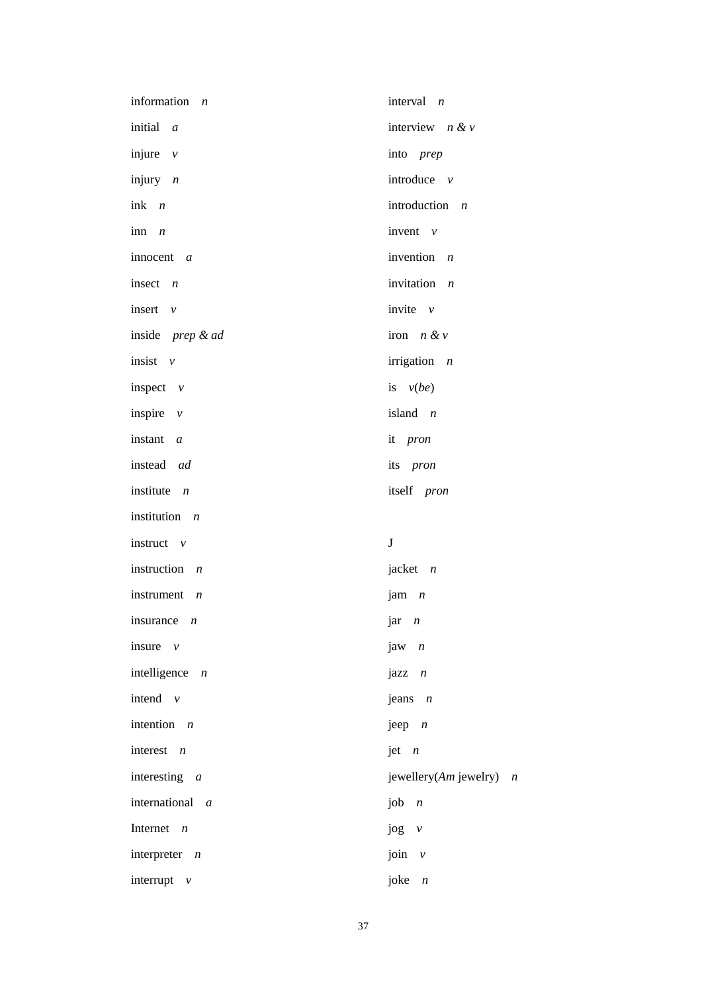| information<br>$\overline{n}$ | interval $n$                              |
|-------------------------------|-------------------------------------------|
| initial a                     | interview $n \& v$                        |
| injure $v$                    | into prep                                 |
| injury $n$                    | introduce $v$                             |
| ink $n$                       | introduction $n$                          |
| inn $n$                       | invent $v$                                |
| innocent $a$                  | invention $n$                             |
| insect $n$                    | invitation $n$                            |
| insert $v$                    | invite $\nu$                              |
| inside prep & ad              | iron $n \& v$                             |
| insist $v$                    | irrigation $n$                            |
| inspect $\nu$                 | is $v(be)$                                |
| inspire $v$                   | island $n$                                |
| instant a                     | it pron                                   |
| instead ad                    | its pron                                  |
| institute $n$                 | itself pron                               |
| institution $n$               |                                           |
| instruct $v$                  | $\bf J$                                   |
| instruction $n$               | jacket $n$                                |
| instrument $n$                | jam $n$                                   |
| insurance $n$                 | $jar \t n$                                |
| insure $\nu$                  | jaw $n$                                   |
| intelligence $n$              | $j$ azz $n$                               |
| intend $v$                    | jeans $n$                                 |
| intention $n$                 | jeep $n$                                  |
| interest $n$                  | jet $n$                                   |
| interesting $a$               | jewellery(Am jewelry)<br>$\boldsymbol{n}$ |
| international a               | job $n$                                   |
| Internet $n$                  | jog<br>$\mathcal{V}$                      |
| interpreter $n$               | join<br>$\mathcal{V}$                     |
| interrupt $v$                 | joke<br>$\sqrt{n}$                        |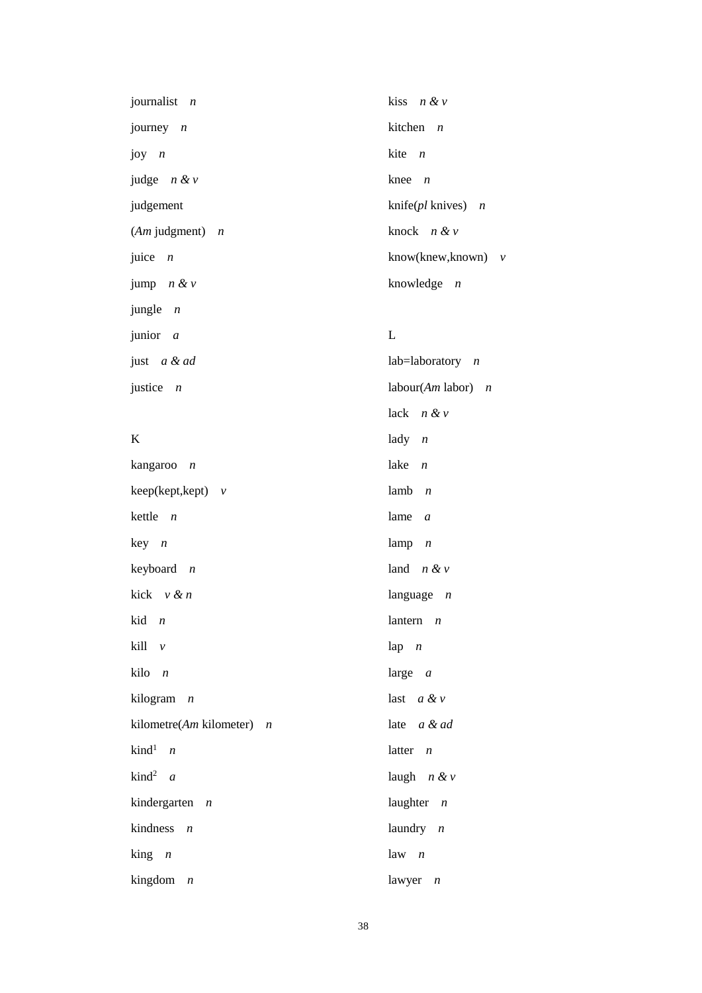| journalist $n$      | kiss $n \& v$                |
|---------------------|------------------------------|
| journey $n$         | kitchen $n$                  |
| joy $n$             | kite $n$                     |
| judge $n \& v$      | knee $n$                     |
| judgement           | knife( <i>pl</i> knives) $n$ |
| $(Am$ judgment) $n$ | knock $n \& v$               |
| juice $n$           | know(knew,known) $v$         |
| jump $n \& v$       | knowledge $n$                |
| jungle $n$          |                              |
| junior $a$          | L                            |
| just a & ad         | $lab = laboratory$ <i>n</i>  |
| justice $n$         | labour(Am labor) $n$         |

lack *n & v*

lady *n*

### K

| kangaroo n                  | lake<br>$\boldsymbol{n}$   |
|-----------------------------|----------------------------|
| $keep(keyt, kept) \quad v$  | lamb $n$                   |
| kettle $n$                  | lame $a$                   |
| $key \t n$                  | lamp $n$                   |
| keyboard $n$                | land $n \& v$              |
| kick v & n                  | language $n$               |
| kid n                       | lantern $n$                |
| kill v                      | lap $n$                    |
| kilo <i>n</i>               | large $a$                  |
| kilogram n                  | last $a \& v$              |
| kilometre(Am kilometer) $n$ | late a & ad                |
| $\text{kind}^1$ <i>n</i>    | latter $n$                 |
| kind <sup>2</sup> a         | laugh $n \& v$             |
| kindergarten <i>n</i>       | laughter $n$               |
| kindness n                  | laundry $n$                |
| $\lim g$ <i>n</i>           | $law \t n$                 |
| kingdom<br>$\boldsymbol{n}$ | lawyer<br>$\boldsymbol{n}$ |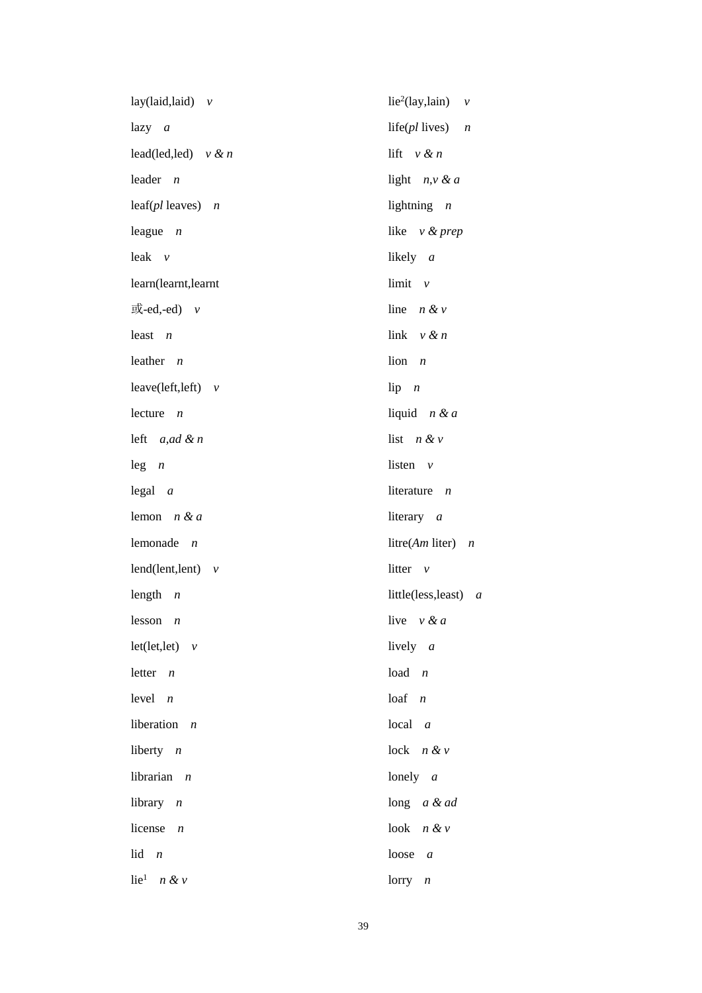| lay(laid,laid) $v$           | lie <sup>2</sup> (lay,lain) $v$ |
|------------------------------|---------------------------------|
| $lazy \t a$                  | life( $pl$ lives) $n$           |
| lead(led,led) $v \& n$       | lift $v \& n$                   |
| leader $n$                   | light $n, v \& a$               |
| leaf( $pl$ leaves) $n$       | lightning $n$                   |
| league $n$                   | like $v \& prep$                |
| leak $v$                     | likely a                        |
| learn(learnt,learnt          | $limit \quad v$                 |
| 或-ed,-ed) v                  | line $n \& v$                   |
| least $n$                    | link $v \& n$                   |
| leather $n$                  | $\lim n$                        |
| leave(left,left) $v$         | $lip \t n$                      |
| lecture<br>$\overline{n}$    | liquid $n & d$                  |
| left $a, ad \& n$            | list $n \& v$                   |
| $leg \t n$                   | listen $v$                      |
| $\text{legal } a$            | literature $n$                  |
| lemon $n & a$                | literary $a$                    |
| lemonade $n$                 | litre(Am liter) $n$             |
| lend(lent,lent) $v$          | litter $v$                      |
| length<br>$\boldsymbol{n}$   | little(less, least) $a$         |
| $lesson$ <i>n</i>            | live $v \& a$                   |
| $let(left,let)$ $v$          | lively $a$                      |
| letter $n$                   | $load$ $n$                      |
| $level \, n$                 | $\log f$ <i>n</i>               |
| liberation<br>$\overline{n}$ | $local \t a$                    |
| liberty $n$                  | $lock$ $n & v$                  |
| librarian $n$                | lonely $a$                      |
| library $n$                  | long $a \& ad$                  |
| license<br>$\boldsymbol{n}$  | look $n \& v$                   |
| lid<br>$\boldsymbol{n}$      | loose<br>$\boldsymbol{a}$       |
| lie <sup>1</sup> $n \& v$    | $lorry$ <i>n</i>                |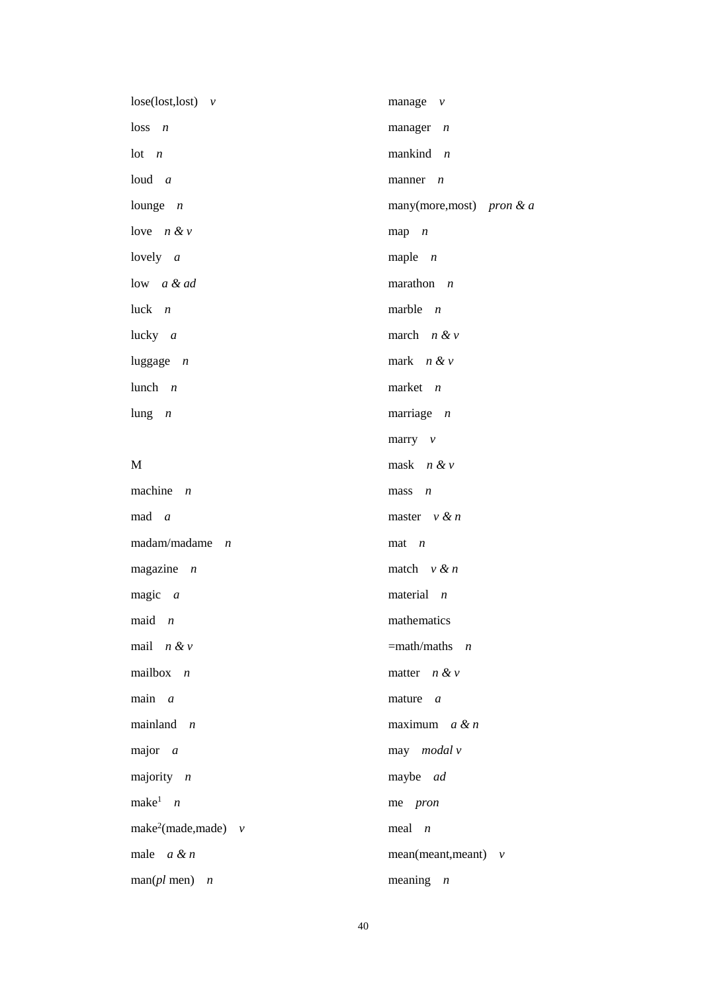| $lose (lost, lost)$ v             | manage $\nu$                |
|-----------------------------------|-----------------------------|
| $loss$ <i>n</i>                   | manager $n$                 |
| $lot \t n$                        | mankind $n$                 |
| $loud \t a$                       | manner $n$                  |
| lounge $n$                        | many(more, most) pron & $a$ |
| love $n \& v$                     | $map$ $n$                   |
| lovely $a$                        | maple $n$                   |
| low a & ad                        | marathon $n$                |
| luck $n$                          | marble $n$                  |
| lucky $a$                         | march $n \& v$              |
| luggage $n$                       | mark $n & v$                |
| lunch $n$                         | market $n$                  |
| lung $n$                          | marriage $n$                |
|                                   | marry $v$                   |
| M                                 | mask $n & v$                |
| machine $n$                       | $mass \t n$                 |
| $mad \, a$                        | master $v \& n$             |
| $madam/madame$ <i>n</i>           | $\text{mat}$ <i>n</i>       |
| magazine $n$                      | match $v \& n$              |
| magic $a$                         | material $n$                |
| $maid \t n$                       | mathematics                 |
| mail $n & v$                      | $=$ math/maths <i>n</i>     |
| mailbox $n$                       | matter $n \& v$             |
| $main$ a                          | mature $a$                  |
| mainland $n$                      | maximum $a \& n$            |
| major $a$                         | may modal v                 |
| majority $n$                      | maybe ad                    |
| make <sup>1</sup> $n$             | me pron                     |
| make <sup>2</sup> (made,made) $v$ | $\text{meal}$ <i>n</i>      |
| male $a \& n$                     | $mean(mean, meant)$ $v$     |
| $man(pl$ men) <i>n</i>            | meaning $n$                 |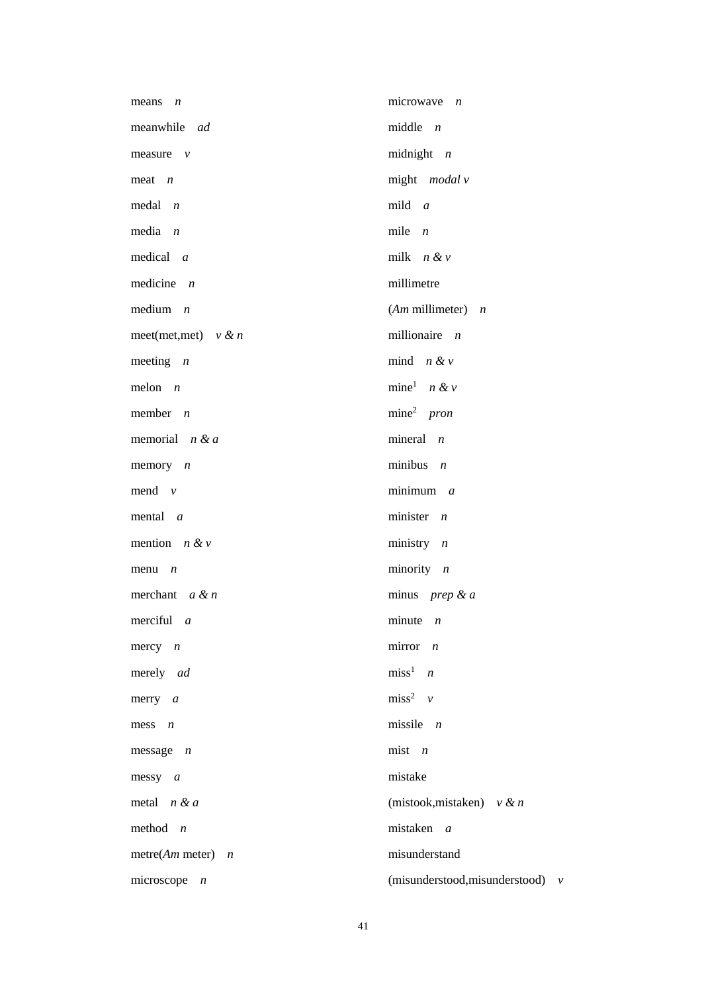| means $n$               | microwave $n$                      |
|-------------------------|------------------------------------|
| meanwhile ad            | middle $n$                         |
| measure $\nu$           | midnight $n$                       |
| $meat$ <i>n</i>         | might modal v                      |
| $\text{medal}$ <i>n</i> | mild $a$                           |
| media $n$               | mile $n$                           |
| medical $a$             | milk $n & v$                       |
| medicine $n$            | millimetre                         |
| medium $n$              | $(Am$ millimeter) $n$              |
| meet(met,met) $v \& n$  | millionaire $n$                    |
| meeting $n$             | mind $n & v$                       |
| melon $n$               | mine <sup>1</sup> $n \& v$         |
| member $n$              | $mine2$ pron                       |
| memorial $n \& a$       | mineral $n$                        |
| memory $n$              | minibus $n$                        |
| mend $v$                | $minimum \, a$                     |
| mental $a$              | minister $n$                       |
| mention $n \& v$        | ministry $n$                       |
| $menu$ <i>n</i>         | minority $n$                       |
| merchant $a \& n$       | minus <i>prep</i> & $a$            |
| merciful $a$            | minute $n$                         |
| $mercy$ <i>n</i>        | mirror $n$                         |
| merely ad               | $miss1$ <i>n</i>                   |
| $merry$ a               | $miss2$ v                          |
| mess $n$                | missile $n$                        |
| $message$ <i>n</i>      | $mist$ <i>n</i>                    |
| messy a                 | mistake                            |
| metal $n & a$           | (mistook, mistaken) $v \& n$       |
| method $n$              | mistaken a                         |
| metre( $Am$ meter) $n$  | misunderstand                      |
| microscope $n$          | (misunderstood, misunderstood) $v$ |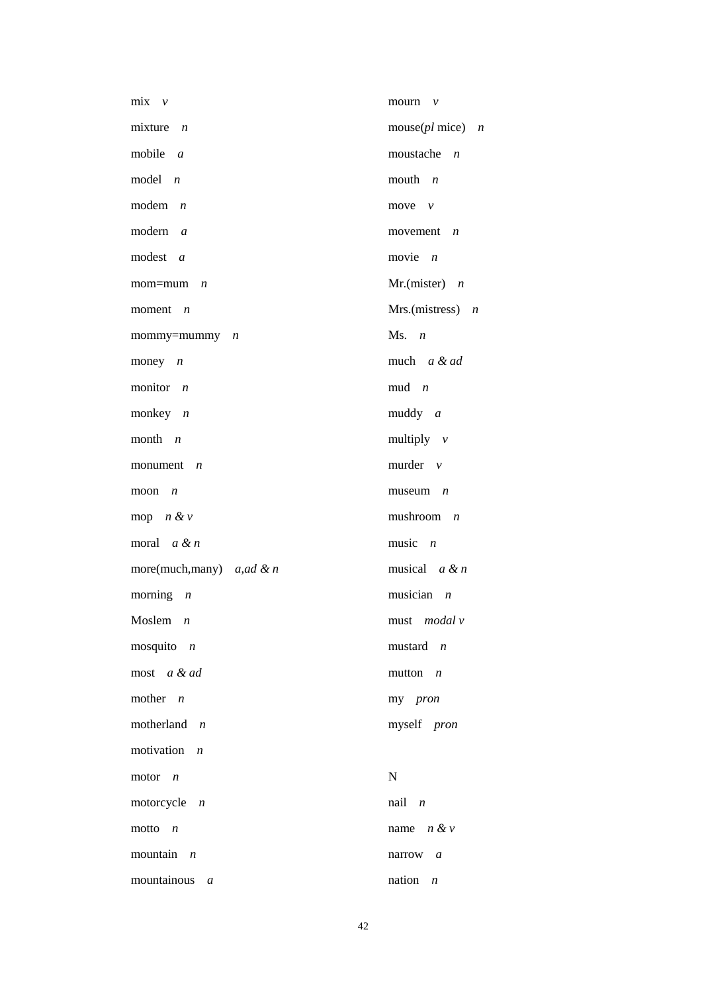| $mix \quad v$                   | mourn $\nu$                  |
|---------------------------------|------------------------------|
| mixture<br>$\overline{n}$       | $mouse(pl$ mice) <i>n</i>    |
| mobile $a$                      | moustache $n$                |
| model $n$                       | mouth $n$                    |
| modem $n$                       | move $\nu$                   |
| modern $a$                      | movement $n$                 |
| modest a                        | movie $n$                    |
| mom=mum<br>$\boldsymbol{n}$     | Mr.(mister) $n$              |
| moment $n$                      | Mrs.(mistress) $n$           |
| mommy=mummy $n$                 | $Ms.$ $n$                    |
| money $n$                       | much a & ad                  |
| monitor $n$                     | $mud$ <i>n</i>               |
| monkey $n$                      | $muddy \, a$                 |
| month $n$                       | multiply $v$                 |
| monument $n$                    | murder $v$                   |
| moon<br>$\overline{n}$          | $museum$ <i>n</i>            |
| mop $n \& v$                    | mushroom<br>$\boldsymbol{n}$ |
| moral $a \& n$                  | music $n$                    |
| more(much,many) $a, ad \& n$    | musical $a \& n$             |
| morning $n$                     | musician $n$                 |
| Moslem $n$                      | must <i>modal</i> $\nu$      |
| mosquito $n$                    | $mustard$ <i>n</i>           |
| most a & ad                     | mutton $n$                   |
| mother $n$                      | my pron                      |
| motherland $n$                  | myself pron                  |
| motivation $n$                  |                              |
| motor $n$                       | ${\bf N}$                    |
| motorcycle $n$                  | $nail$ $n$                   |
| motto $n$                       | name $n & v$                 |
| mountain $n$                    | narrow $a$                   |
| mountainous<br>$\boldsymbol{a}$ | nation $n$                   |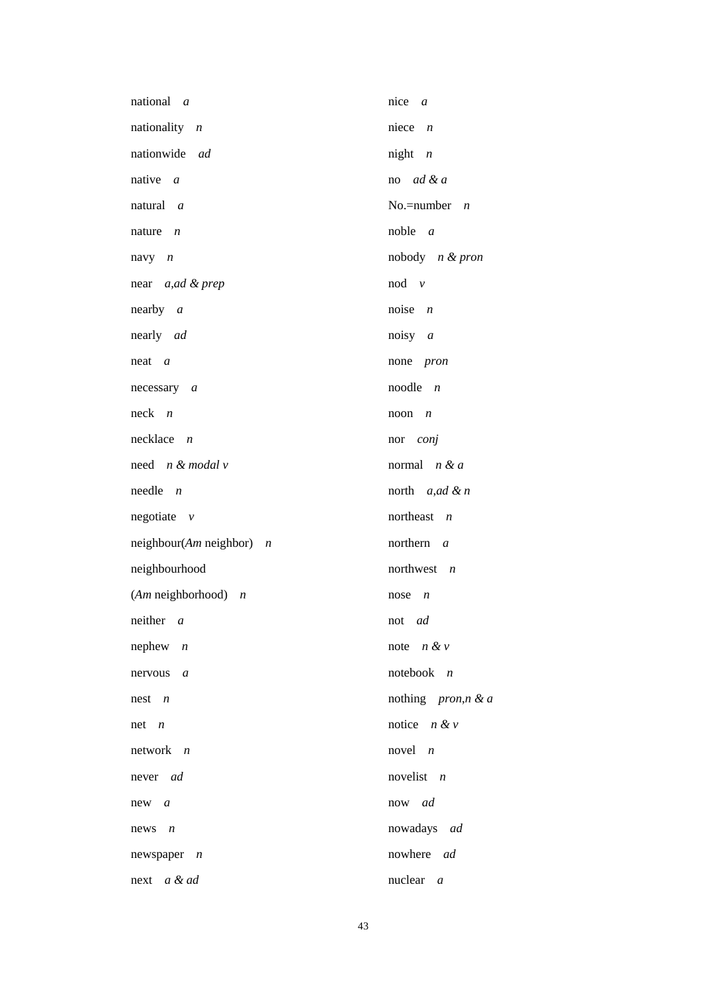| national a                          | nice $a$                 |
|-------------------------------------|--------------------------|
| nationality $n$                     | niece $n$                |
| nationwide ad                       | $night$ $n$              |
| native $a$                          | no $ad \& a$             |
| natural a                           | No.=number $n$           |
| nature $n$                          | noble $a$                |
| navy $n$                            | nobody $n & pron$        |
| near <i>a,ad &amp; prep</i>         | $nod \, v$               |
| nearly a                            | noise $n$                |
| nearly ad                           | noisy $a$                |
| $neat \, a$                         | none pron                |
| necessary a                         | noodle $n$               |
| $neck$ <i>n</i>                     | noon<br>$\overline{n}$   |
| $necklace$ <i>n</i>                 | nor conj                 |
| need n & modal v                    | normal $n & a$           |
| $needle$ $n$                        | north $a, ad \& n$       |
| $negotiate \quad v$                 | northeast $n$            |
| $neighbor(Am \neq n)$ neighbor) $n$ | northern <i>a</i>        |
| neighbourhood                       | northwest $n$            |
| $(Am$ neighborhood) $n$             | nose<br>$\boldsymbol{n}$ |
| neither $a$                         | not <i>ad</i>            |
| nephew $n$                          | note $n \& v$            |
| nervous a                           | notebook $n$             |
| $nest \t n$                         | nothing pron,n & a       |
| $net \quad n$                       | notice $n \& v$          |
| $network$ $n$                       | novel $n$                |
| never <i>ad</i>                     | novelist $n$             |
| new a                               | now ad                   |
| $news$ $n$                          | nowadays ad              |
| newspaper $n$                       | nowhere ad               |
| next a & ad                         | nuclear $a$              |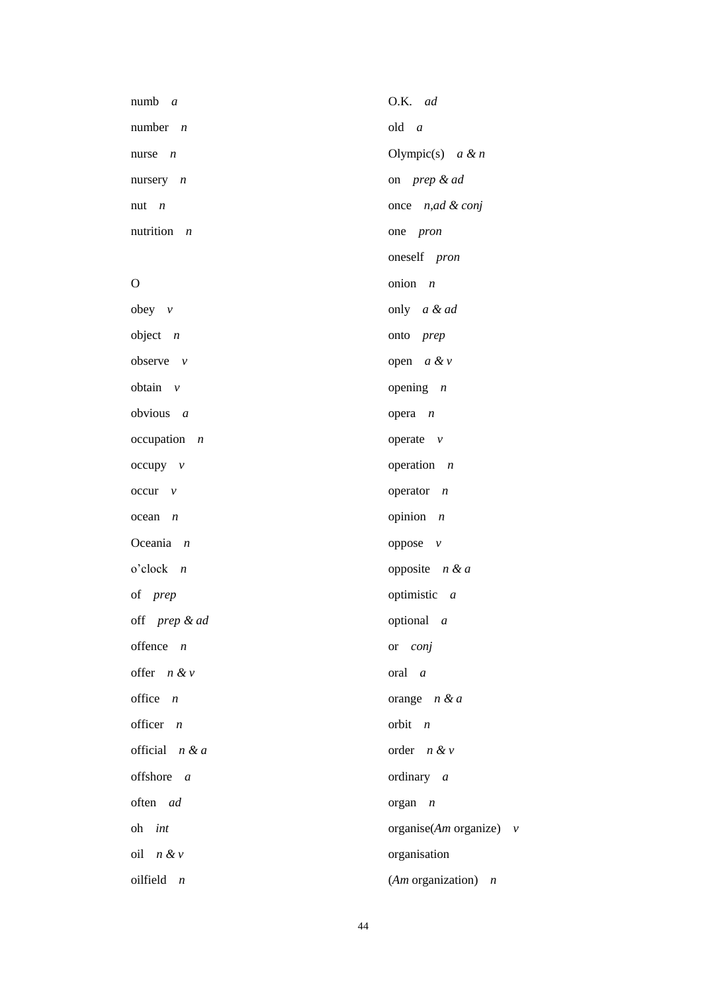| $numb \t a$           | O.K. ad                   |
|-----------------------|---------------------------|
| number $n$            | $old \ a$                 |
| nurse $n$             | Olympic(s) $a \& n$       |
| nursery $n$           | on prep & ad              |
| nut $n$               | once $n, ad \& conj$      |
| nutrition $n$         | one pron                  |
|                       | oneself pron              |
| $\mathbf O$           | onion $n$                 |
| obey $\nu$            | only a & ad               |
| object $n$            | onto <i>prep</i>          |
| observe $v$           | open $a \& v$             |
| obtain $v$            | opening $n$               |
| obvious $a$           | opera $n$                 |
| $occupation$ <i>n</i> | operate $v$               |
| $occupy \quad v$      | operation $n$             |
| $occur$ $v$           | operator $n$              |
| $ocean \t n$          | opinion $n$               |
| Oceania $n$           | oppose $v$                |
| $o$ 'clock $n$        | opposite $n \& a$         |
| of prep               | optimistic $a$            |
| off prep & ad         | optional <i>a</i>         |
| offence $n$           | or <i>conj</i>            |
| offer $n & v$         | $\quad \text{or} \quad a$ |
| office $n$            | orange $n & d$            |
| officer $n$           | orbit $n$                 |
| official $n & a$      | order $n & v$             |
| offshore a            | ordinary $a$              |
| often ad              | $organ \t n$              |
| oh <i>int</i>         | organise(Am organize) $v$ |
| oil $n \& v$          | organisation              |
| oilfield $n$          | (Am organization) $n$     |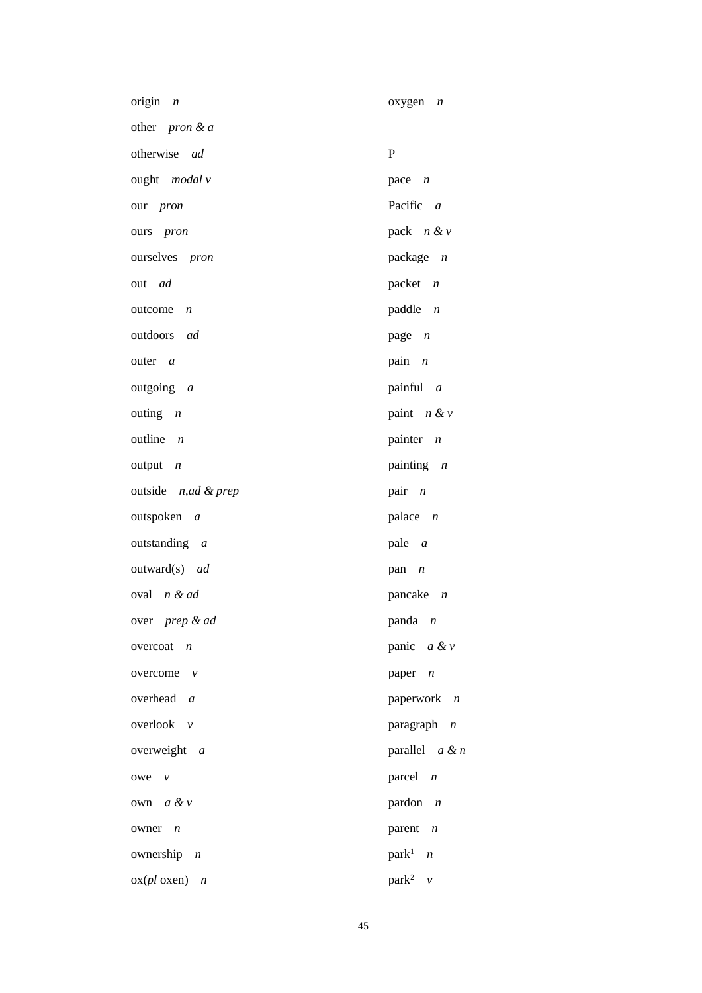| origin $n$                | oxygen $n$                 |
|---------------------------|----------------------------|
| other <i>pron &amp; a</i> |                            |
| otherwise ad              | ${\bf P}$                  |
| ought <i>modal</i> v      | pace $n$                   |
| our <i>pron</i>           | Pacific a                  |
| ours <i>pron</i>          | pack $n \& v$              |
| ourselves <i>pron</i>     | package $n$                |
| out <i>ad</i>             | packet $n$                 |
| $outcome$ $n$             | paddle $n$                 |
| outdoors ad               | page $n$                   |
| outer <i>a</i>            | pain $n$                   |
| outgoing a                | painful $a$                |
| outing $n$                | paint $n \& v$             |
| outline $n$               | painter $n$                |
| $output \t n$             | painting $n$               |
| outside n,ad & prep       | pair $n$                   |
| outspoken a               | palace $n$                 |
| outstanding a             | pale <i>a</i>              |
| outward(s) ad             | pan $n$                    |
| oval n & ad               | pancake $n$                |
| over <i>prep</i> & ad     | panda $n$                  |
| overcoat $n$              | panic $a \& v$             |
| overcome<br>$\mathcal{V}$ | paper $n$                  |
| overhead a                | paperwork $n$              |
| overlook v                | paragraph $n$              |
| overweight $a$            | parallel $a \& n$          |
| $owe \quad v$             | parcel $n$                 |
| own a & v                 | pardon $n$                 |
| owner<br>$\overline{n}$   | parent $n$                 |
| ownership $n$             | park <sup>1</sup> <i>n</i> |
| $\alpha$ (pl oxen) n      | park <sup>2</sup> $\nu$    |

45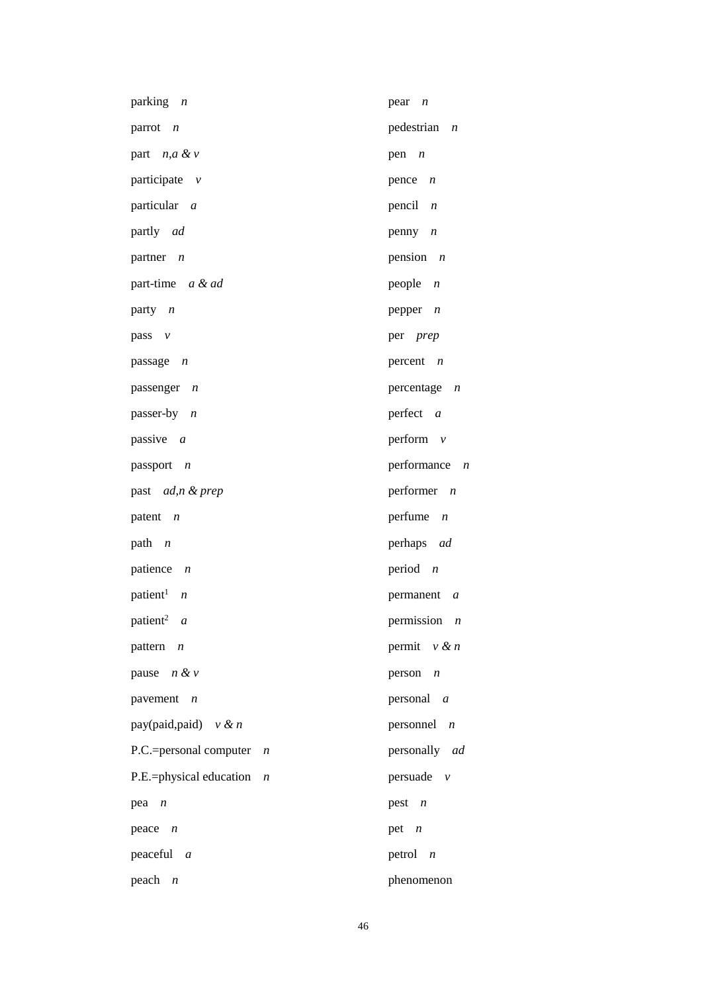| parking <i>n</i>                          | $pear$ $n$                     |
|-------------------------------------------|--------------------------------|
| parrot $n$                                | pedestrian<br>$\boldsymbol{n}$ |
| part $n, a \& v$                          | pen $n$                        |
| participate v                             | pence $n$                      |
| particular a                              | pencil $n$                     |
| partly ad                                 | penny $n$                      |
| partner $n$                               | pension $n$                    |
| part-time a & ad                          | people $n$                     |
| party $n$                                 | pepper $n$                     |
| pass $v$                                  | per prep                       |
| passage $n$                               | percent $n$                    |
| passenger n                               | percentage $n$                 |
| passer-by $n$                             | perfect a                      |
| passive a                                 | perform $v$                    |
| passport n                                | performance $n$                |
| past ad,n & prep                          | performer $n$                  |
| patent $n$                                | perfume<br>$\boldsymbol{n}$    |
| path $n$                                  | perhaps ad                     |
| patience $n$                              | period $n$                     |
| patient <sup>1</sup> $n$                  | permanent a                    |
| patient <sup>2</sup> $a$                  | permission $n$                 |
| pattern $n$                               | permit $v \& n$                |
| pause $n \& v$                            | person<br>$\boldsymbol{n}$     |
| pavement $n$                              | personal $a$                   |
| pay(paid,paid) $v \& n$                   | personnel $n$                  |
| P.C.=personal computer<br>$\overline{n}$  | personally ad                  |
| P.E.=physical education<br>$\overline{n}$ | persuade $v$                   |
| $pea$ $n$                                 | pest $n$                       |
| peace $n$                                 | pet $n$                        |
| peaceful $a$                              | petrol $n$                     |
| $peach$ <i>n</i>                          | phenomenon                     |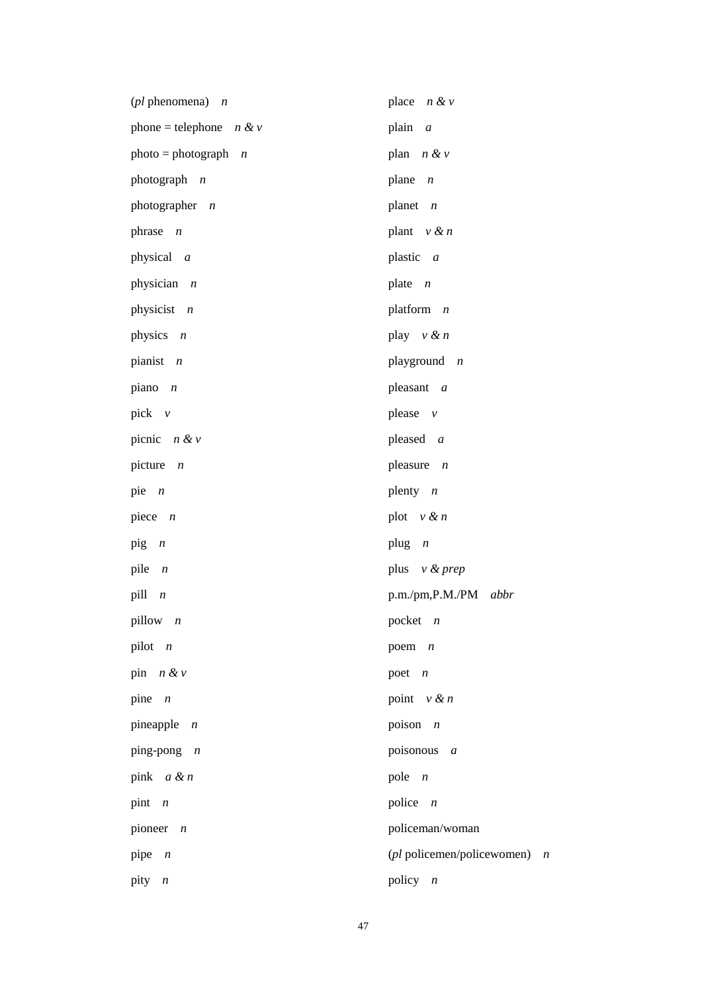| ( $pl$ phenomena) $n$      | place $n \& v$               |
|----------------------------|------------------------------|
| phone = telephone $n \& v$ | plain<br>$\boldsymbol{a}$    |
| $photo = photograph \t n$  | plan $n \& v$                |
| photograph n               | plane<br>$\overline{n}$      |
| photographer $n$           | planet $n$                   |
| phrase $n$                 | plant $v \& n$               |
| physical a                 | plastic a                    |
| physician $n$              | plate<br>$\overline{n}$      |
| physicist $n$              | platform $n$                 |
| physics $n$                | play $v \& n$                |
| pianist $n$                | playground $n$               |
| piano $n$                  | pleasant a                   |
| pick $v$                   | please $\nu$                 |
| picnic $n \& v$            | pleased a                    |
| picture $n$                | pleasure $n$                 |
| pie $n$                    | plenty $n$                   |
| piece $n$                  | plot $v \& n$                |
| $\pi$                      | plug $n$                     |
| pile<br>$\overline{n}$     | plus $v$ & prep              |
| pill<br>$\boldsymbol{n}$   | p.m./pm,P.M./PM abbr         |
| pillow $n$                 | pocket $n$                   |
| pilot $n$                  | poem $n$                     |
| pin $n \& v$               | poet $n$                     |
| pine $n$                   | point $v \& n$               |
| pineapple $n$              | poison $n$                   |
| ping-pong $n$              | poisonous a                  |
| pink $a & n$               | pole $n$                     |
| pint $n$                   | police $n$                   |
| pioneer<br>$\overline{n}$  | policeman/woman              |
| pipe $n$                   | (pl policemen/policewomen) n |
| pity<br>$\boldsymbol{n}$   | policy $n$                   |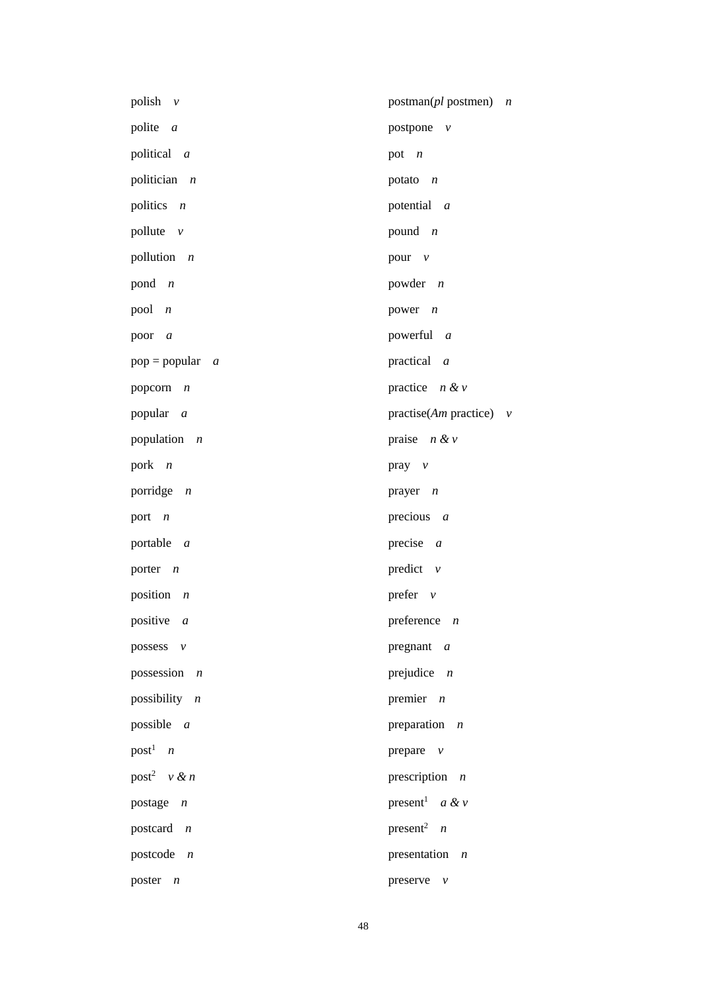| polish $\nu$               | $postman(pl$ postmen)<br>$\boldsymbol{n}$ |
|----------------------------|-------------------------------------------|
| polite a                   | postpone $v$                              |
| political a                | pot $n$                                   |
| politician $n$             | potato $n$                                |
| politics $n$               | potential <i>a</i>                        |
| pollute $v$                | pound $n$                                 |
| pollution $n$              | pour $v$                                  |
| pond $n$                   | powder $n$                                |
| $pool \t n$                | power $n$                                 |
| poor a                     | powerful a                                |
| $pop = popular \ a$        | practical $a$                             |
| popcorn $n$                | practice $n \& v$                         |
| popular a                  | practise( <i>Am</i> practice) $v$         |
| population $n$             | praise $n \& v$                           |
| pork $n$                   | $pray \quad v$                            |
| porridge $n$               | prayer $n$                                |
| port <i>n</i>              | precious $a$                              |
| portable <i>a</i>          | precise $a$                               |
| porter $n$                 | predict $v$                               |
| position $n$               | prefer $v$                                |
| positive a                 | preference $n$                            |
| possess $v$                | pregnant $a$                              |
| possession $n$             | prejudice $n$                             |
| possibility $n$            | premier $n$                               |
| possible $a$               | preparation $n$                           |
| $post1$ <i>n</i>           | prepare $v$                               |
| post <sup>2</sup> $v \& n$ | prescription $n$                          |
| postage $n$                | present <sup>1</sup> <i>a</i> & <i>v</i>  |
| postcard $n$               | present <sup>2</sup> <i>n</i>             |
| postcode $n$               | presentation $n$                          |
| poster $n$                 | preserve $v$                              |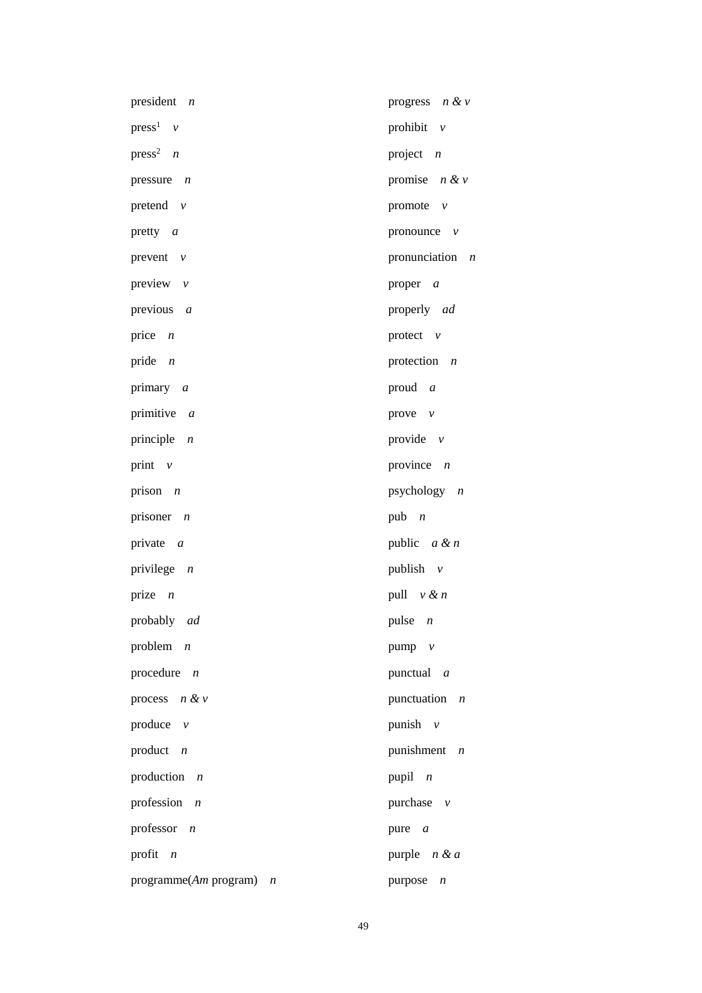| president $n$                             | progress $n \& v$           |
|-------------------------------------------|-----------------------------|
| $press1$ v                                | prohibit $v$                |
| $press^2$ <i>n</i>                        | project $n$                 |
| pressure $n$                              | promise $n \& v$            |
| pretend $v$                               | promote $v$                 |
| pretty $a$                                | pronounce $v$               |
| prevent $v$                               | pronunciation $n$           |
| preview $v$                               | proper <i>a</i>             |
| previous $a$                              | properly ad                 |
| price $n$                                 | protect $v$                 |
| pride $n$                                 | protection $n$              |
| primary a                                 | proud $a$                   |
| primitive $a$                             | prove $v$                   |
| principle $n$                             | provide $v$                 |
| print $v$                                 | province $n$                |
| prison $n$                                | psychology $n$              |
| prisoner $n$                              | pub $n$                     |
| private $a$                               | public $a \& n$             |
| privilege $n$                             | publish $v$                 |
| prize $n$                                 | pull $v \& n$               |
| probably ad                               | pulse $n$                   |
| problem $n$                               | pump v                      |
| procedure $n$                             | punctual <i>a</i>           |
| process $n & v$                           | punctuation $n$             |
| produce $v$                               | punish $v$                  |
| product $n$                               | punishment $n$              |
| production<br>$\overline{n}$              | pupil $n$                   |
| profession $n$                            | purchase $v$                |
| professor $n$                             | pure <i>a</i>               |
| profit $n$                                | purple $n & d$              |
| programme(Am program)<br>$\boldsymbol{n}$ | purpose<br>$\boldsymbol{n}$ |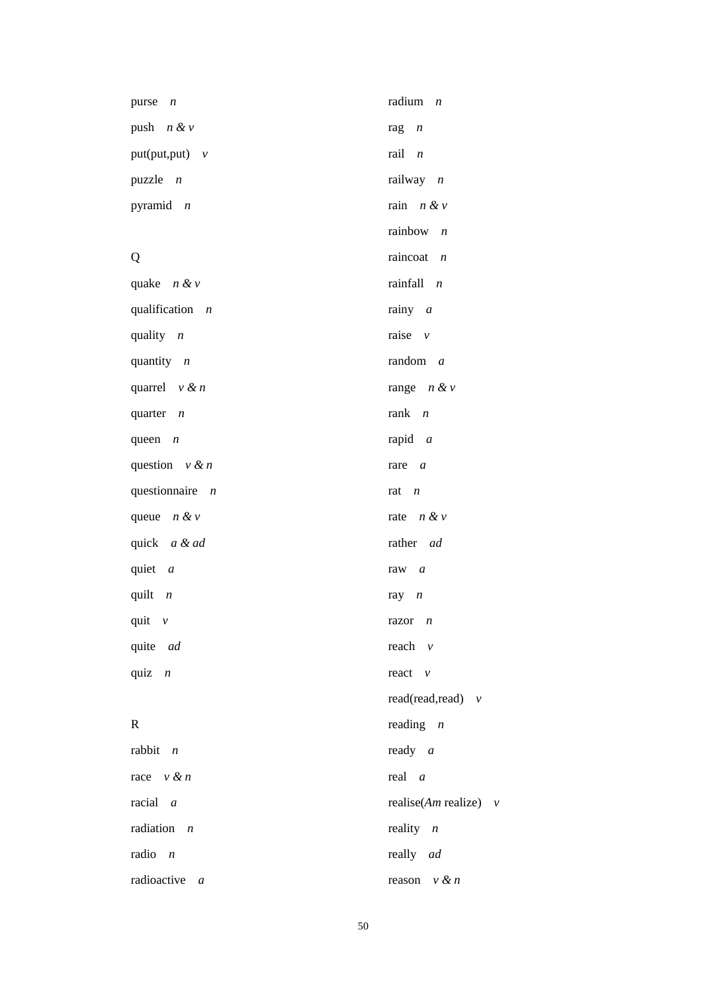| purse $n$         | radium $n$              |
|-------------------|-------------------------|
| push $n \& v$     | rag<br>$\boldsymbol{n}$ |
| $put(put, put)$ v | $rail$ $n$              |
| puzzle $n$        | railway $n$             |
| pyramid $n$       | rain $n \& v$           |
|                   | rainbow $n$             |
| Q                 | raincoat $n$            |
| quake $n \& v$    | rainfall $n$            |
| qualification $n$ | rainy $a$               |
| quality $n$       | raise $v$               |
| quantity $n$      | random $a$              |
| quarrel $v \& n$  | range $n \& v$          |
| quarter $n$       | rank $n$                |
| queen $n$         | rapid $a$               |
| question $v \& n$ | rare $a$                |
| questionnaire $n$ | rat $n$                 |
| queue $n \& v$    | rate $n \& v$           |
| quick a & ad      | rather ad               |
| quiet $a$         | raw $a$                 |
| quilt $n$         | ray $n$                 |
| quit $\nu$        | $razor$ $n$             |
| quite ad          | reach $v$               |
| quiz $n$          | react $v$               |
|                   | read(read,read) $v$     |
| $\mathbf R$       | reading $n$             |
| rabbit $n$        | ready $a$               |
| race $v \& n$     | $real$ a                |
| $racial \, a$     | realise(Am realize) $v$ |
| radiation $n$     | reality $n$             |
| radio $n$         | really ad               |
| radioactive a     | reason $v \& n$         |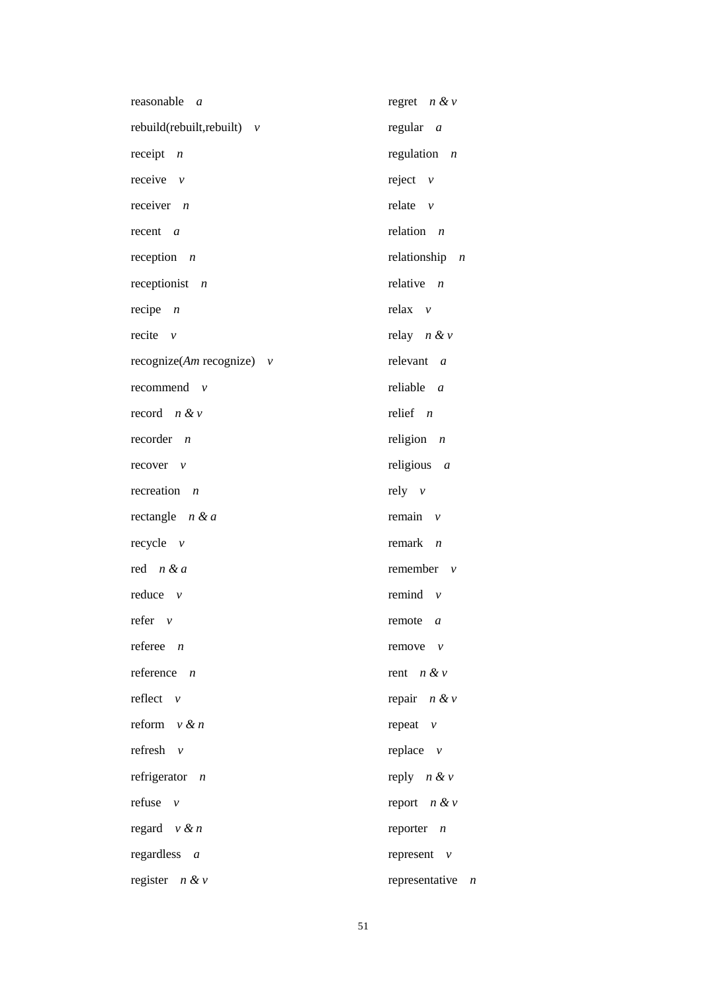| reasonable<br>$\overline{a}$  | regret $n \& v$                    |
|-------------------------------|------------------------------------|
| rebuild(rebuilt, rebuilt) $v$ | regular $a$                        |
| receipt $n$                   | regulation $n$                     |
| receive $\nu$                 | reject $v$                         |
| receiver $n$                  | relate $v$                         |
| $recent \, a$                 | relation $n$                       |
| reception $n$                 | relationship $n$                   |
| receptionist $n$              | relative $n$                       |
| recipe $n$                    | relax $v$                          |
| recite $\nu$                  | relay $n \& v$                     |
| recognize(Am recognize) $v$   | relevant $a$                       |
| recommend $v$                 | reliable $a$                       |
| record $n \& v$               | relief $n$                         |
| $reorder$ <i>n</i>            | religion $n$                       |
| $recover \quad v$             | religious $a$                      |
| recreation<br>$\overline{n}$  | $rely \quad v$                     |
| rectangle $n & a$             | remain $v$                         |
| $recycle \quad v$             | remark $n$                         |
| red $n & a$                   | remember $v$                       |
| $reduce \quad v$              | remind $v$                         |
| $refer \quad v$               | remote $a$                         |
| referee $n$                   | $remove \quad v$                   |
| reference $n$                 | rent $n \& v$                      |
| reflect $v$                   | repair $n \& v$                    |
| reform $v \& n$               | repeat $v$                         |
| refresh $v$                   | replace $v$                        |
| refrigerator $n$              | reply $n \& v$                     |
| refuse<br>$\mathcal{V}$       | report $n \& v$                    |
| regard $v \& n$               | reporter $n$                       |
| regardless a                  | represent $v$                      |
| register $n \& v$             | representative<br>$\boldsymbol{n}$ |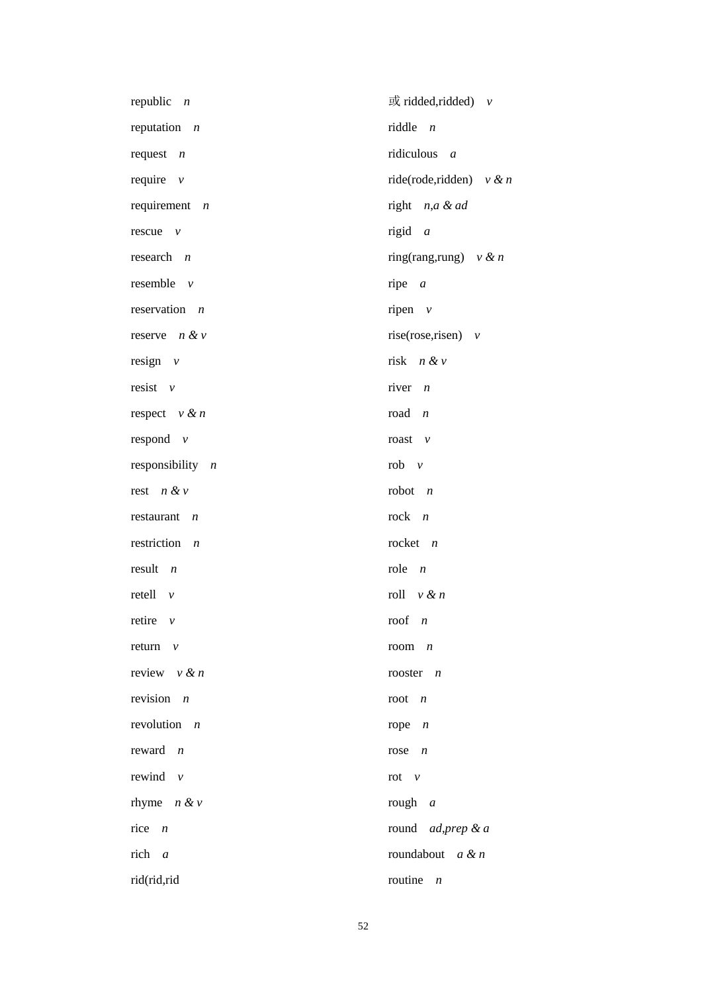| republic $n$                  | $\vec{p}$ ridded, ridded) $v$ |
|-------------------------------|-------------------------------|
| reputation $n$                | riddle $n$                    |
| request $n$                   | ridiculous a                  |
| require $v$                   | ride(rode,ridden) $v \& n$    |
| requirement $n$               | right n,a & ad                |
| rescue $v$                    | rigid $a$                     |
| research $n$                  | ring(rang,rung) $v \& n$      |
| resemble $v$                  | ripe $a$                      |
| reservation $n$               | ripen $v$                     |
| reserve $n & v$               | rise(rose, risen) $v$         |
| resign $v$                    | risk $n \& v$                 |
| resist $v$                    | river $n$                     |
| respect $v \& n$              | road $n$                      |
| respond $v$                   | roast $v$                     |
| responsibility $n$            | rob $v$                       |
| rest $n \& v$                 | robot $n$                     |
| restaurant<br>$\overline{n}$  | $rock \t n$                   |
| restriction<br>$\overline{n}$ | rocket $n$                    |
| $result \t n$                 | $role \t n$                   |
| retell<br>$\mathcal V$        | roll $v \& n$                 |
| retire $\nu$                  | roof $n$                      |
| return $v$                    | room $n$                      |
| review $v \& n$               | rooster $n$                   |
| revision $n$                  | root $n$                      |
| revolution $n$                | rope $n$                      |
| reward $n$                    | rose<br>$\boldsymbol{n}$      |
| rewind<br>$\mathcal{V}$       | rot $\nu$                     |
| rhyme $n \& v$                | rough $a$                     |
| rice $n$                      | round ad, prep & a            |
| rich $a$                      | roundabout $a \& n$           |
| rid(rid,rid                   | routine<br>$\boldsymbol{n}$   |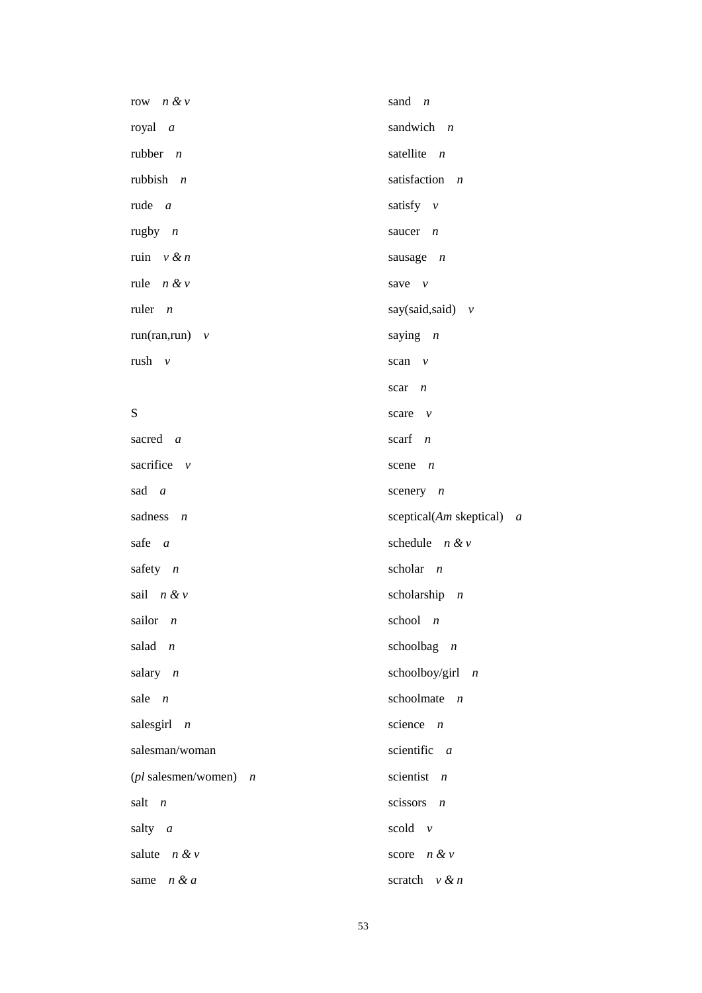| row $n \& v$                           | sand $n$                       |
|----------------------------------------|--------------------------------|
| royal a                                | sandwich $n$                   |
| rubber $n$                             | satellite $n$                  |
| rubbish $n$                            | satisfaction $n$               |
| rude $a$                               | satisfy $v$                    |
| rugby $n$                              | saucer $n$                     |
| ruin $v \& n$                          | sausage $n$                    |
| rule $n \& v$                          | save $\nu$                     |
| ruler $n$                              | say(said,said) $v$             |
| $run(ran, run)$ $v$                    | saying $n$                     |
| rush $v$                               | scan $v$                       |
|                                        | scar $n$                       |
| S                                      | scare $v$                      |
| sacred a                               | scarf $n$                      |
| sacrifice $v$                          | scene $n$                      |
| sad a                                  | scenery $n$                    |
| sadness $n$                            | sceptical( $Am$ skeptical) $a$ |
| safe $a$                               | schedule $n \& v$              |
| safety $n$                             | scholar $n$                    |
| sail $n \& v$                          | scholarship $n$                |
| sailor $n$                             | school $n$                     |
| salad $n$                              | schoolbag $n$                  |
| salary $n$                             | schoolboy/girl $n$             |
| sale $n$                               | schoolmate $n$                 |
| salesgirl $n$                          | science<br>$\boldsymbol{n}$    |
| salesman/woman                         | scientific $a$                 |
| $(pl \text{ salesman/women})$ <i>n</i> | scientist $n$                  |
| salt<br>$\overline{n}$                 | scissors<br>$\boldsymbol{n}$   |
| salty $a$                              | scold $v$                      |
| salute $n \& v$                        | score $n & v$                  |
| n & a<br>same                          | scratch $v \& n$               |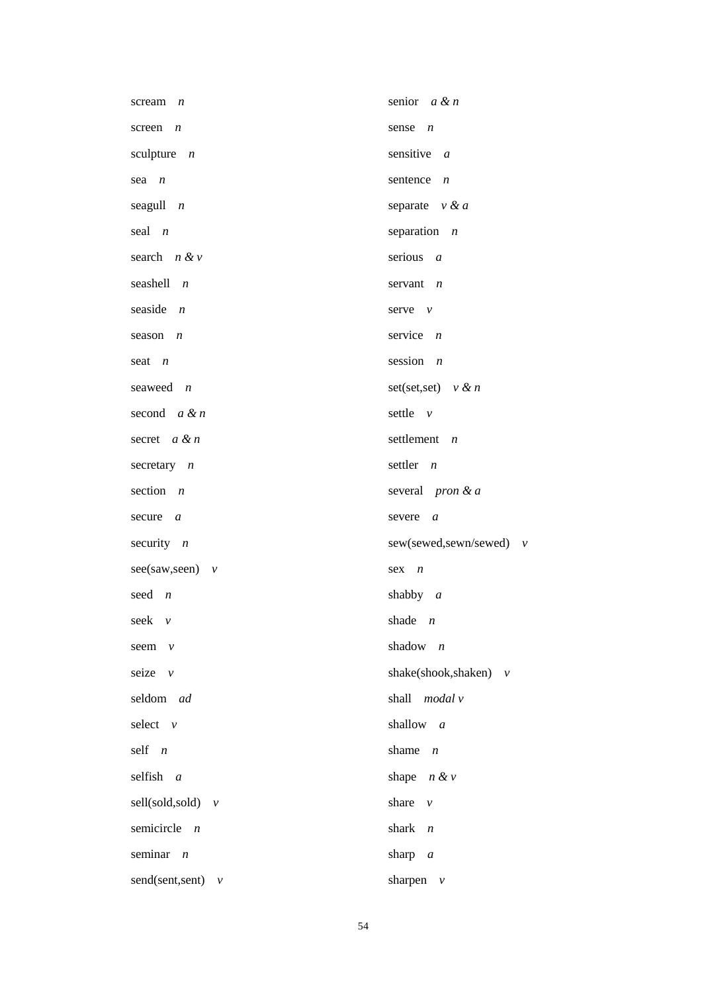| scream<br>$\overline{n}$ | senior $a \& n$              |
|--------------------------|------------------------------|
| screen $n$               | sense $n$                    |
| sculpture $n$            | sensitive $a$                |
| $sea$ $n$                | sentence<br>$\boldsymbol{n}$ |
| seagull $n$              | separate $v \& a$            |
| seal $n$                 | separation $n$               |
| search $n \& v$          | serious $a$                  |
| seashell $n$             | servant $n$                  |
| seaside $n$              | serve $\nu$                  |
| season<br>$\overline{n}$ | service $n$                  |
| seat $n$                 | session $n$                  |
| seaweed <i>n</i>         | set(set,set) $v \& n$        |
| second $a \& n$          | settle $v$                   |
| secret $a & n$           | settlement $n$               |
| secretary $n$            | settler $n$                  |
| section $n$              | several <i>pron</i> $\&a$    |
| secure $a$               | severe<br>$\boldsymbol{a}$   |
| security $n$             | sew(sewed,sewn/sewed) v      |
| $see (saw, seen)$ v      | $sex$ $n$                    |
| seed $n$                 | shabby $a$                   |
| seek v                   | shade $n$                    |
| seem<br>$\mathcal V$     | shadow $n$                   |
| seize $v$                | shake(shook,shaken) $v$      |
| seldom ad                | shall modal v                |
| select $v$               | shallow a                    |
| self $n$                 | shame<br>$\boldsymbol{n}$    |
| selfish a                | shape $n \& v$               |
| $self(sold,sold)$ $v$    | share<br>$\mathcal V$        |
| semicircle $n$           | shark<br>$\boldsymbol{n}$    |
| seminar $n$              | sharp $a$                    |
| send(sent,sent) $v$      | sharpen $\nu$                |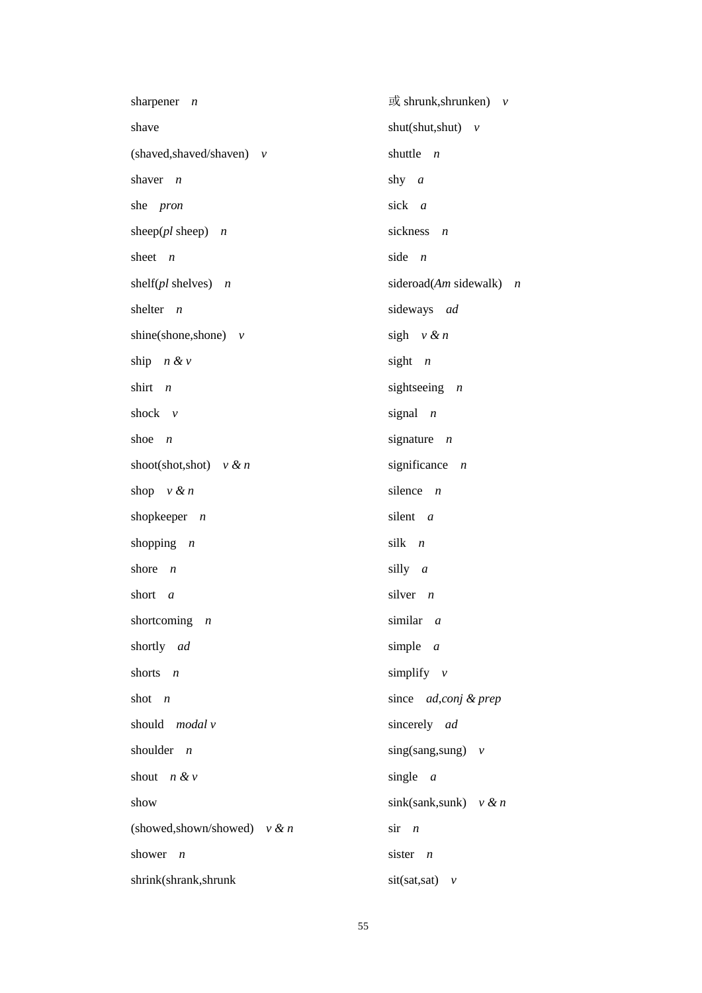| sharpener<br>$\boldsymbol{n}$   | $\vec{E}$ shrunk, shrunken) $v$  |
|---------------------------------|----------------------------------|
| shave                           | shut(shut,shut) $v$              |
| (shaved, shaved/shaven) v       | shuttle<br>$\boldsymbol{n}$      |
| shaver<br>$\boldsymbol{n}$      | shy $a$                          |
| she pron                        | sick a                           |
| sheep( $pl$ sheep) $n$          | sickness<br>$\boldsymbol{n}$     |
| sheet $n$                       | side<br>$\overline{n}$           |
| shelf( $pl$ shelves) $n$        | sideroad(Am sidewalk) $n$        |
| shelter<br>$\boldsymbol{n}$     | sideways ad                      |
| shine(shone,shone) $v$          | sigh $v \& n$                    |
| ship $n \& v$                   | sight $n$                        |
| shirt<br>$\overline{n}$         | sight<br>seeing $n$              |
| shock $v$                       | signal<br>$\overline{n}$         |
| shoe<br>$\overline{n}$          | signature $n$                    |
| shoot(shot,shot) $v \& n$       | significance<br>$\boldsymbol{n}$ |
| shop $v \& n$                   | silence<br>$\overline{n}$        |
| shopkeeper $n$                  | silent a                         |
| shopping $n$                    | silk n                           |
| shore<br>$\boldsymbol{n}$       | silly a                          |
| short<br>$\boldsymbol{a}$       | silver $n$                       |
| shortcoming $n$                 | similar a                        |
| shortly ad                      | simple $a$                       |
| shorts $n$                      | simplify $v$                     |
| shot $n$                        | since ad,conj & prep             |
| should modal v                  | sincerely ad                     |
| shoulder $n$                    | sing(sang,sung) $v$              |
| shout $n & v$                   | single $a$                       |
| show                            | sink(sank,sunk) $v \& n$         |
| (showed, shown/showed) $v \& n$ | $\sin$ <i>n</i>                  |
| shower<br>$\overline{n}$        | sister $n$                       |
| shrink(shrank,shrunk            | $sit(sat,sat)$ $\nu$             |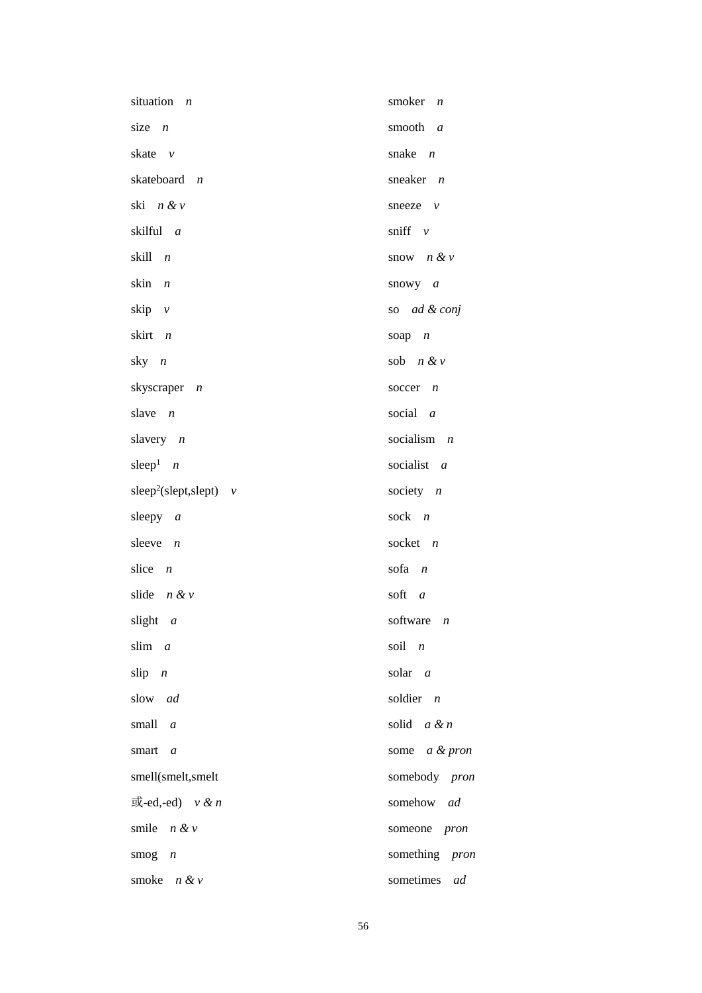| situation<br>$\overline{n}$           | smoker $n$            |
|---------------------------------------|-----------------------|
| size $n$                              | smooth a              |
| skate v                               | snake $n$             |
| skateboard n                          | sneaker $n$           |
| ski n & v                             | sneeze $v$            |
| skilful a                             | sniff $\nu$           |
| skill<br>$\overline{n}$               | snow $n & v$          |
| skin n                                | snowy $a$             |
| skip $v$                              | so ad & conj          |
| skirt<br>$\overline{n}$               | soap $n$              |
| sky $n$                               | sob $n \& v$          |
| skyscraper $n$                        | soccer $n$            |
| slave $n$                             | social $a$            |
| slavery $n$                           | socialism $n$         |
| sleep <sup>1</sup> $n$                | socialist a           |
| sleep <sup>2</sup> (slept, slept) $v$ | society $n$           |
| sleepy $a$                            | sock $n$              |
| sleeve $n$                            | socket $n$            |
| slice $n$                             | $\sin n$              |
| slide $n \& v$                        | soft a                |
| slight a                              | software $n$          |
| slim a                                | soil n                |
| $slip$ $n$                            | solar a               |
| slow ad                               | soldier $n$           |
| small a                               | solid $a \& n$        |
| smart a                               | some a & pron         |
| smell(smelt,smelt                     | somebody pron         |
| 或-ed,-ed) $v \& n$                    | somehow <i>ad</i>     |
| smile $n & v$                         | someone <i>pron</i>   |
| smog $n$                              | something <i>pron</i> |
| smoke $n \& v$                        | sometimes<br>ad       |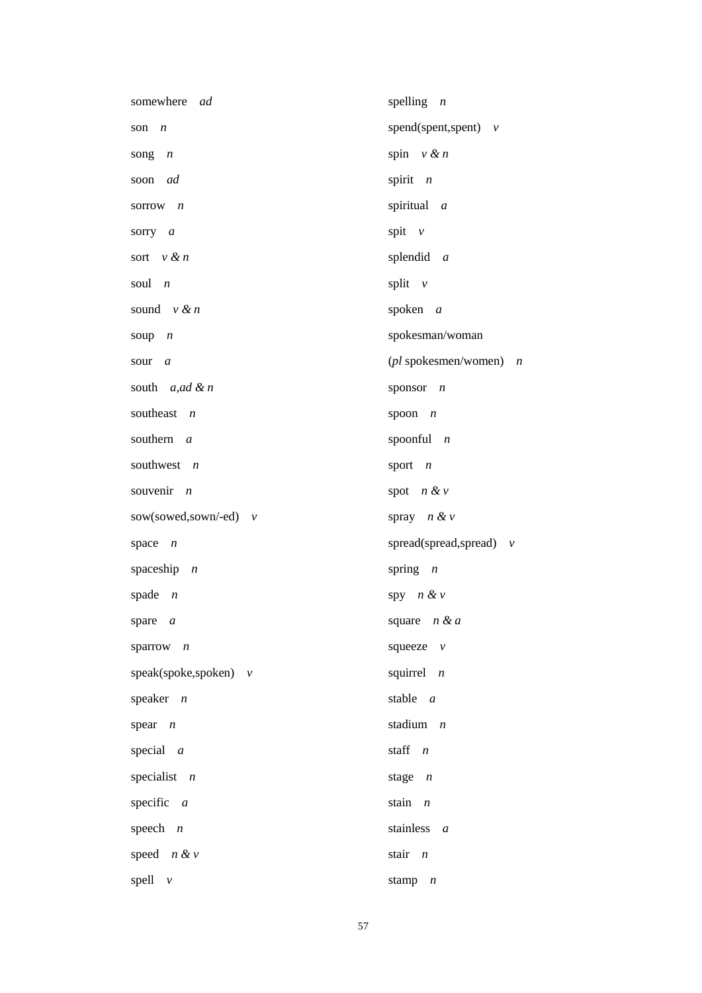| somewhere<br>ad              | spelling $n$                                     |
|------------------------------|--------------------------------------------------|
| son<br>$\boldsymbol{n}$      | spend(spent,spent) $v$                           |
| song<br>$\boldsymbol{n}$     | spin $v \& n$                                    |
| ad<br>soon                   | spirit $n$                                       |
| sorrow $n$                   | spiritual a                                      |
| sorry $a$                    | spit $v$                                         |
| sort $v \& n$                | splendid $a$                                     |
| soul $n$                     | split $v$                                        |
| sound $v \& n$               | spoken $a$                                       |
| soup<br>$\overline{n}$       | spokesman/woman                                  |
| sour<br>$\boldsymbol{a}$     | ( <i>pl</i> spokesmen/women)<br>$\boldsymbol{n}$ |
| south $a, ad \& n$           | sponsor $n$                                      |
| southeast $n$                | spoon $n$                                        |
| southern<br>$\overline{a}$   | spoonful $n$                                     |
| southwest $n$                | sport $n$                                        |
| souvenir<br>$\boldsymbol{n}$ | spot $n & v$                                     |
| sow(sowed,sown/-ed) $v$      | spray $n \& v$                                   |
| space $n$                    | spread(spread,spread) $v$                        |
| spaceship $n$                | spring $n$                                       |
| spade $n$                    | spy $n & v$                                      |
| spare $a$                    | square $n & d$                                   |
| sparrow $n$                  | squeeze $v$                                      |
| speak(spoke,spoken) $v$      | squirrel $n$                                     |
| speaker $n$                  | stable $a$                                       |
| spear $n$                    | stadium $n$                                      |
| special $a$                  | staff n                                          |
| specialist $n$               | stage $n$                                        |
| specific $a$                 | stain $n$                                        |
| speech $n$                   | stainless $a$                                    |
| speed $n \& v$               | stair n                                          |
| spell $v$                    | stamp $n$                                        |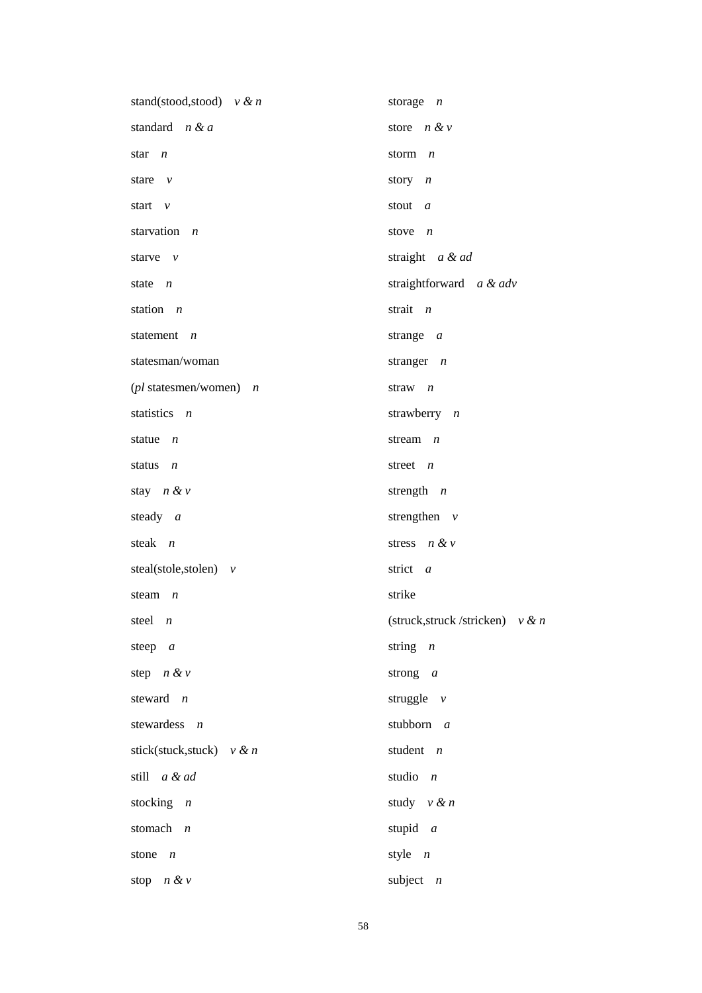| stand(stood,stood) $v \& n$  | storage $n$                          |
|------------------------------|--------------------------------------|
| standard n & a               | store $n \& v$                       |
| star <i>n</i>                | storm $n$                            |
| stare $v$                    | story $n$                            |
| start $\nu$                  | stout $a$                            |
| starvation<br>$\overline{n}$ | stove $n$                            |
| starve $\nu$                 | straight a & ad                      |
| state $n$                    | straightforward a & adv              |
| station <i>n</i>             | strait $n$                           |
| statement n                  | strange $a$                          |
| statesman/woman              | stranger $n$                         |
| (pl statesmen/women) n       | straw $n$                            |
| statistics <i>n</i>          | strawberry $n$                       |
| statue $n$                   | stream $n$                           |
| status<br>$\overline{n}$     | street $n$                           |
| stay $n \& v$                | strength $n$                         |
| steady a                     | strengthen $v$                       |
| steak <i>n</i>               | stress $n & v$                       |
| steal(stole,stolen) $v$      | strict a                             |
| steam $n$                    | strike                               |
| steel <i>n</i>               | (struck, struck / stricken) $v \& n$ |
| steep $a$                    | string $n$                           |
| step $n \& v$                | strong $a$                           |
| steward <i>n</i>             | struggle $v$                         |
| stewardess $n$               | stubborn $a$                         |
| stick(stuck,stuck) $v \& n$  | student $n$                          |
| still a & ad                 | studio $n$                           |
| stocking $n$                 | study $v \& n$                       |
| stomach n                    | stupid $a$                           |
| stone $n$                    | style $n$                            |
| stop $n \& v$                | subject $n$                          |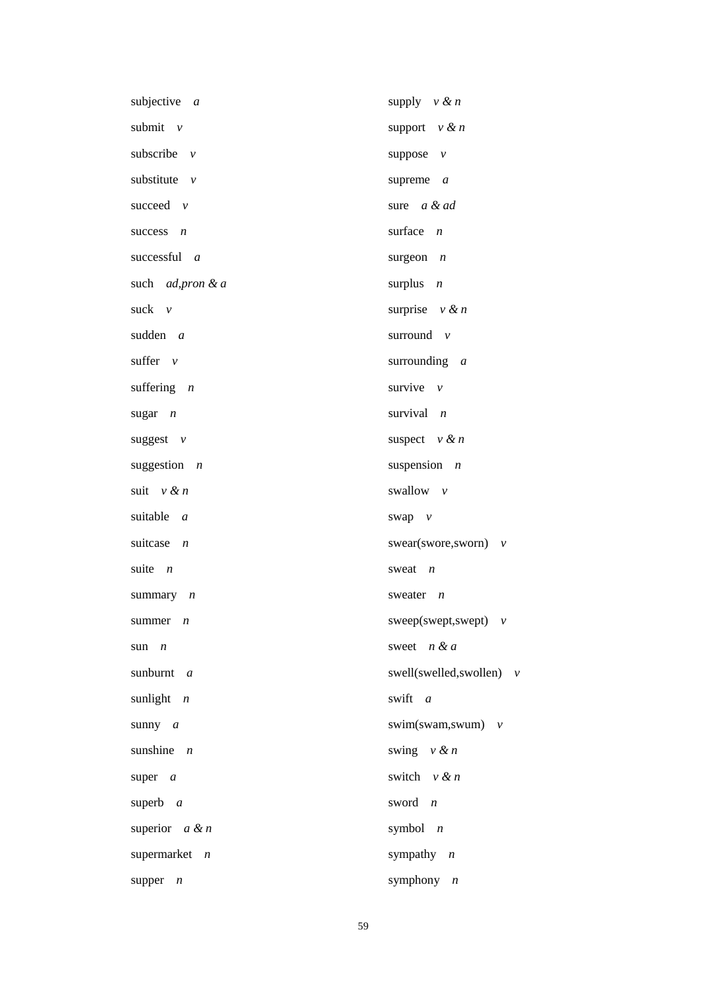| subjective $a$               | supply $v \& n$             |
|------------------------------|-----------------------------|
| submit $v$                   | support $v \& n$            |
| subscribe $v$                | suppose $v$                 |
| substitute $\nu$             | supreme $a$                 |
| succeed $\nu$                | sure a & ad                 |
| success $n$                  | surface $n$                 |
| successful a                 | surgeon $n$                 |
| such <i>ad, pron &amp; a</i> | surplus $n$                 |
| suck $\nu$                   | surprise $v \& n$           |
| sudden a                     | surround $\nu$              |
| suffer $\nu$                 | surrounding $a$             |
| suffering $n$                | survive $\nu$               |
| sugar $n$                    | survival $n$                |
| suggest $v$                  | suspect $v \& n$            |
| suggestion $n$               | suspension $n$              |
| suit $v \& n$                | swallow v                   |
| suitable a                   | swap $v$                    |
| suitcase $n$                 | swear(swore,sworn) $v$      |
| suite $n$                    | sweat $n$                   |
| summary $n$                  | sweater<br>$\boldsymbol{n}$ |
| summer $n$                   | sweep(swept,swept) $v$      |
| sun $n$                      | sweet $n & a$               |
| sunburnt a                   | swell(swelled, swollen) $v$ |
| sunlight $n$                 | swift a                     |
| sunny $a$                    | swim(swam,swum) $v$         |
| sunshine $n$                 | swing $v \& n$              |
| super $a$                    | switch $v \& n$             |
| superb $a$                   | sword n                     |
| superior $a \& n$            | symbol $n$                  |
| supermarket $n$              | sympathy $n$                |
| supper<br>n                  | symphony $n$                |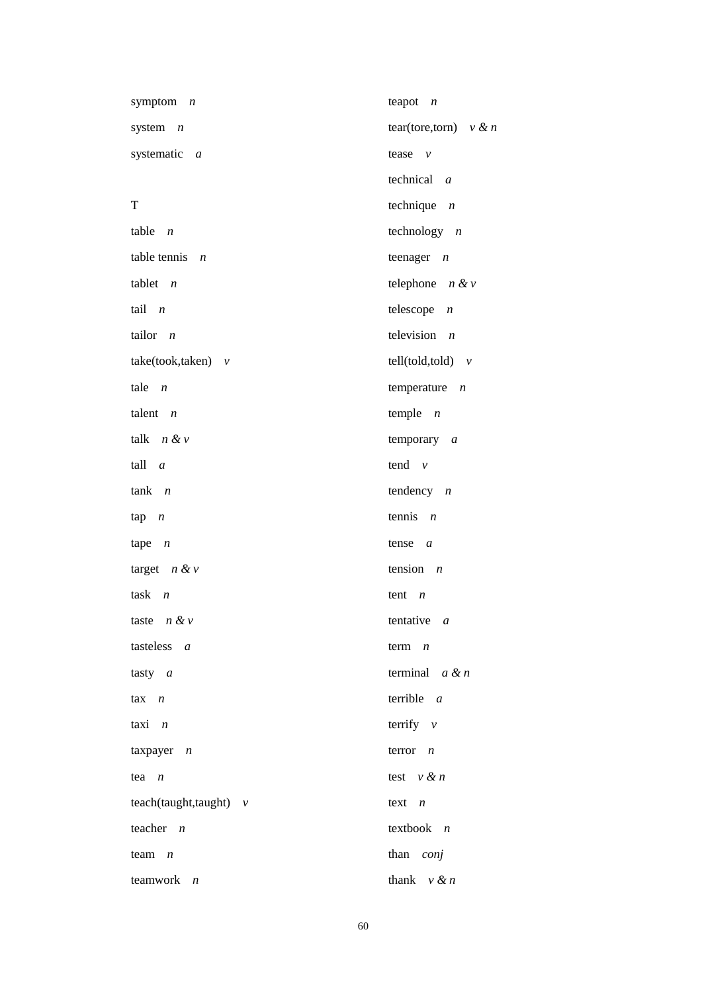| symptom $n$                 | teapot<br>$\boldsymbol{n}$    |
|-----------------------------|-------------------------------|
| system $n$                  | tear(tore,torn) $v \& n$      |
| systematic a                | tease $v$                     |
|                             | technical $a$                 |
| T                           | technique $n$                 |
| table $n$                   | technology $n$                |
| table tennis $n$            | teenager $n$                  |
| tablet $n$                  | telephone $n & v$             |
| tail $n$                    | telescope<br>$\boldsymbol{n}$ |
| tailor $n$                  | television $n$                |
| $take(took, taken)$ v       | $tell(told, told)$ $v$        |
| tale $n$                    | temperature $n$               |
| talent $n$                  | temple $n$                    |
| talk $n \& v$               | temporary $a$                 |
| tall a                      | tend $v$                      |
| $tank$ $n$                  | tendency $n$                  |
| $\tan n$                    | tennis $n$                    |
| $\text{tape}$ $n$           | tense $a$                     |
| target $n \& v$             | tension $n$                   |
| task $n$                    | tent $n$                      |
| taste $n \& v$              | tentative $a$                 |
| tasteless $a$               | term $n$                      |
| tasty $a$                   | terminal $a \& n$             |
| $\max$ $n$                  | terrible $a$                  |
| taxi $n$                    | terrify $v$                   |
| taxpayer $n$                | terror $n$                    |
| tea $n$                     | test $v \& n$                 |
| $teach(taught, taught)$ $v$ | text $n$                      |
| teacher $n$                 | textbook $n$                  |
| team $n$                    | than conj                     |
| teamwork $n$                | thank $v \& n$                |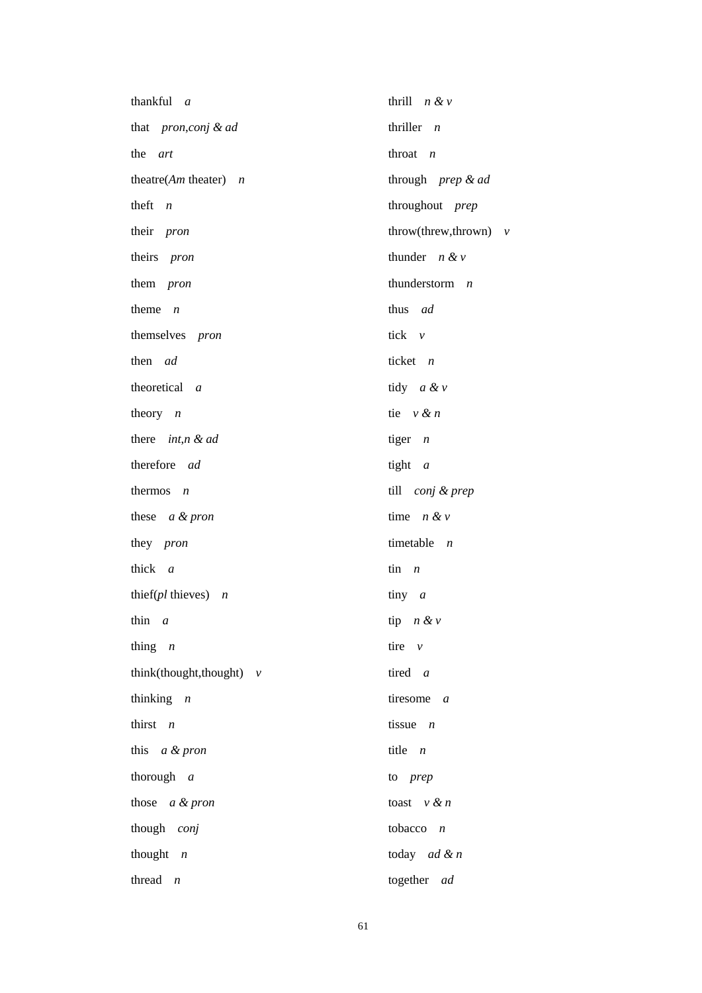| thankful a                     | thrill $n & v$               |
|--------------------------------|------------------------------|
| that <i>pron,conj &amp; ad</i> | thriller $n$                 |
| the art                        | throat $n$                   |
| theatre( $Am$ theater) $n$     | through prep & ad            |
| theft $n$                      | throughout prep              |
| their pron                     | throw(threw,thrown) $v$      |
| theirs pron                    | thunder $n \& v$             |
| them <i>pron</i>               | thunderstorm $n$             |
| theme $n$                      | thus ad                      |
| themselves pron                | tick $\nu$                   |
| then ad                        | ticket $n$                   |
| theoretical a                  | tidy $a \& v$                |
| theory $n$                     | tie $v \& n$                 |
| there $int, n \& ad$           | tiger $n$                    |
| therefore ad                   | tight $a$                    |
| thermos $n$                    | till conj & prep             |
| these $a \& pron$              | time $n \& v$                |
| they <i>pron</i>               | timetable $n$                |
| thick a                        | $\sin$ <i>n</i>              |
| thier $(pl \text{ thieves})$ n | tiny $a$                     |
| thin $a$                       | tip $n \& v$                 |
| thing $n$                      | tire $v$                     |
| think(thought,thought) $v$     | tired a                      |
| thinking $n$                   | tiresome<br>$\boldsymbol{a}$ |
| thirst $n$                     | tissue $n$                   |
| this a & pron                  | title $n$                    |
| thorough $a$                   | to prep                      |
| those $a \& pron$              | toast $v \& n$               |
| though conj                    | tobacco $n$                  |
| thought $n$                    | today $ad \& n$              |
| thread<br>$\boldsymbol{n}$     | together ad                  |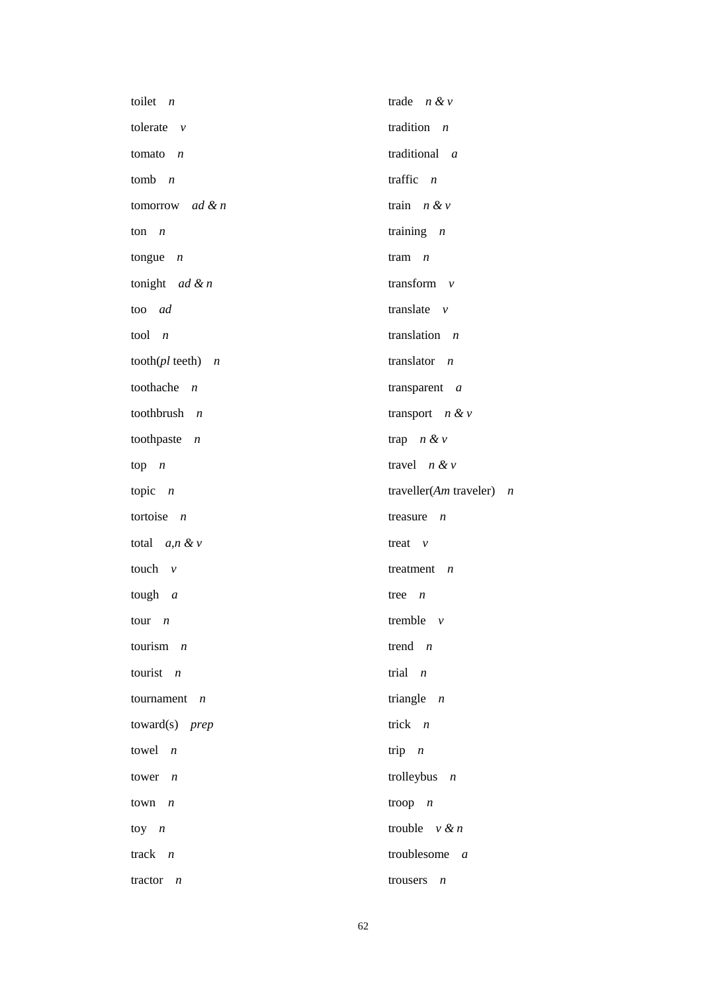| toilet $n$                  | trade $n & v$                |
|-----------------------------|------------------------------|
| tolerate $v$                | tradition $n$                |
| tomato $n$                  | traditional a                |
| tomb $n$                    | traffic $n$                  |
| tomorrow <i>ad &amp; n</i>  | train $n \& v$               |
| ton $n$                     | training $n$                 |
| tongue $n$                  | tram $n$                     |
| tonight <i>ad &amp; n</i>   | transform $v$                |
| too ad                      | translate $v$                |
| tool $n$                    | translation $n$              |
| tooth( $pl$ teeth) $n$      | translator $n$               |
| toothache $n$               | transparent $a$              |
| toothbrush $n$              | transport $n & v$            |
| toothpaste $n$              | trap $n \& v$                |
| $top \t n$                  | travel $n \& v$              |
| topic $n$                   | traveller(Am traveler) $n$   |
| tortoise $n$                | treasure<br>$\boldsymbol{n}$ |
| total $a, n \& v$           | treat $v$                    |
| touch $\nu$                 | treatment $n$                |
| tough $a$                   | tree<br>$\boldsymbol{n}$     |
| tour $n$                    | tremble $v$                  |
| tourism $n$                 | trend $n$                    |
| tourist $n$                 | trial $n$                    |
| tournament $n$              | triangle $n$                 |
| $toward(s)$ prep            | trick $n$                    |
| towel $n$                   | trip $n$                     |
| tower $n$                   | trolleybus $n$               |
| town $n$                    | troop $n$                    |
| $toy \t n$                  | trouble $v \& n$             |
| track $n$                   | troublesome $a$              |
| tractor<br>$\boldsymbol{n}$ | trousers<br>$\boldsymbol{n}$ |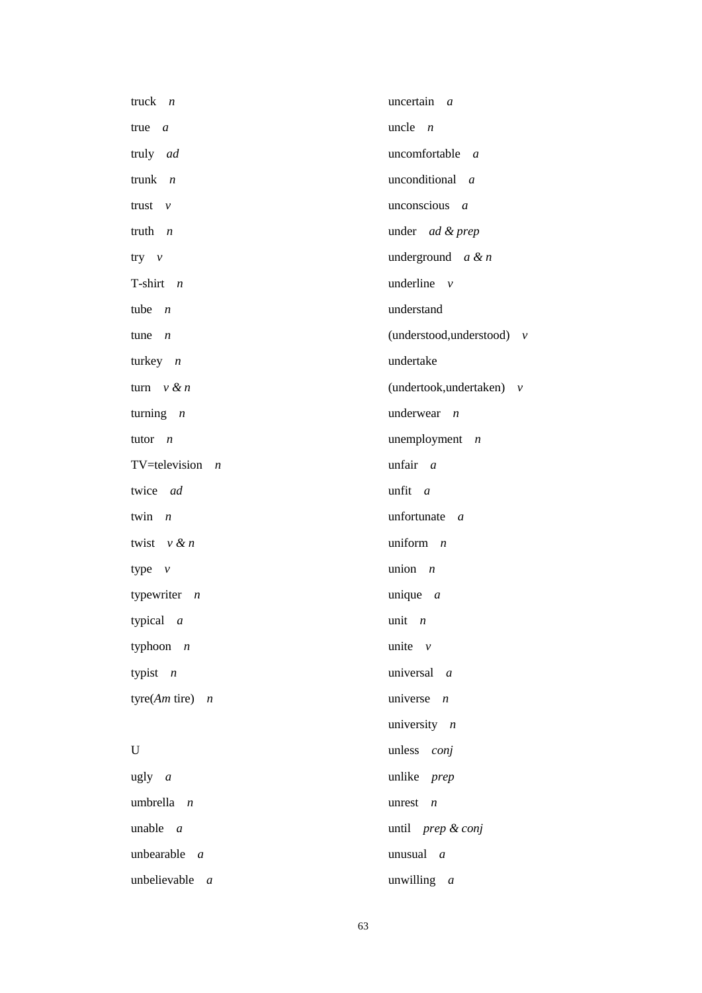| truck $n$                | uncertain $a$                    |
|--------------------------|----------------------------------|
| $true \t a$              | uncle $n$                        |
| truly ad                 | uncomfortable a                  |
| trunk $n$                | unconditional a                  |
| trust<br>$\mathcal V$    | unconscious $a$                  |
| truth $n$                | under ad & prep                  |
| $try \quad v$            | underground $a \& n$             |
| T-shirt $n$              | underline $v$                    |
| tube $n$                 | understand                       |
| tune<br>$\boldsymbol{n}$ | (understood, understood) $v$     |
| turkey $n$               | undertake                        |
| turn $v \& n$            | (undertook, undertaken) $v$      |
| turning $n$              | underwear $n$                    |
| tutor $n$                | unemployment<br>$\boldsymbol{n}$ |
| TV=television $n$        | unfair a                         |
| twice ad                 | unfit a                          |
| twin<br>$\overline{n}$   | unfortunate $a$                  |
| twist $v \& n$           | uniform $n$                      |
| type $v$                 | union $n$                        |
| typewriter $n$           | unique $a$                       |
| typical $a$              | unit $n$                         |
| typhoon $n$              | unite $\nu$                      |
| typist $n$               | universal a                      |
| tyre(Am tire) $n$        | universe $n$                     |
|                          | university $n$                   |
| U                        | unless conj                      |
| $ugly \ a$               | unlike prep                      |
| umbrella $n$             | unrest $n$                       |
| unable $a$               | until prep & conj                |
| unbearable $a$           | unusual $a$                      |
| unbelievable $a$         | unwilling a                      |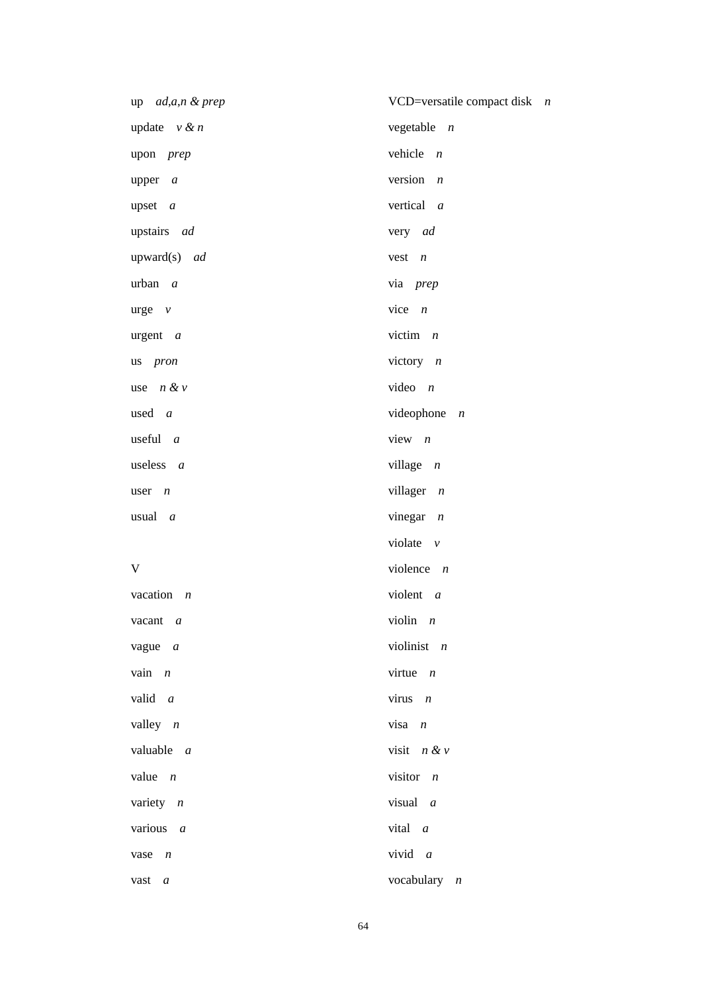| up ad,a,n & prep    | VCD=versatile compact disk $n$ |
|---------------------|--------------------------------|
| update $v \& n$     | vegetable $n$                  |
| upon prep           | vehicle $n$                    |
| upper $a$           | version $n$                    |
| upset $a$           | vertical a                     |
| upstairs ad         | very ad                        |
| upward(s) ad        | $vest \t n$                    |
| $urban \, a$        | via prep                       |
| $\text{urge}$ $\nu$ | vice $n$                       |
| $\arg$ ent $a$      | victim $n$                     |
| us pron             | victory $n$                    |
| use $n & v$         | video $n$                      |
| used <i>a</i>       | videophone<br>$\overline{n}$   |
| useful $a$          | view $n$                       |
| useless $a$         | village $n$                    |
| user $n$            | villager $n$                   |
| usual $a$           | vinegar $n$                    |
|                     | violate $v$                    |
| V                   | violence $n$                   |
| vacation $n$        | violent $a$                    |
| vacant $a$          | violin $n$                     |
| vague $a$           | violinist $n$                  |
| vain $n$            | virtue $n$                     |
| valid a             | virus $n$                      |
| valley $n$          | $visa$ $n$                     |
| valuable $a$        | visit $n & v$                  |
| value $n$           | visitor $n$                    |
| variety $n$         | visual $a$                     |
| various $a$         | vital a                        |
| vase $n$            | vivid $a$                      |
| vast a              | vocabulary $n$                 |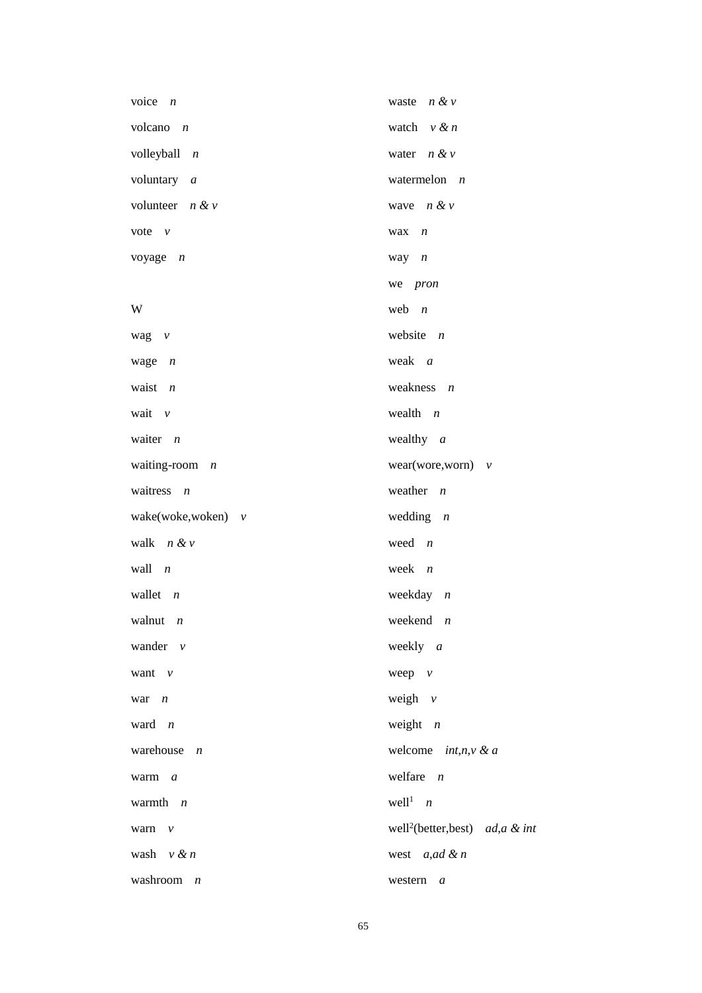| voice $n$            | waste $n \& v$                               |
|----------------------|----------------------------------------------|
| volcano $n$          | watch $v \& n$                               |
| volleyball $n$       | water $n \& v$                               |
| voluntary $a$        | watermelon $n$                               |
| volunteer $n \& v$   | wave $n \& v$                                |
| vote $\nu$           | wax $n$                                      |
| voyage $n$           | way $n$                                      |
|                      | we pron                                      |
| W                    | web $n$                                      |
| wag $v$              | website $n$                                  |
| wage $n$             | weak a                                       |
| waist $n$            | weakness $n$                                 |
| wait $\nu$           | wealth $n$                                   |
| waiter $n$           | wealthy $a$                                  |
| waiting-room $n$     | wear(wore,worn) $v$                          |
| waitress $n$         | weather $n$                                  |
| wake(woke,woken) $v$ | wedding $n$                                  |
| walk $n & v$         | weed $n$                                     |
| wall $n$             | week $n$                                     |
| wallet $n$           | weekday $n$                                  |
| walnut $n$           | weekend $n$                                  |
| wander $v$           | weekly $a$                                   |
| want $v$             | weep $v$                                     |
| war $n$              | weigh $v$                                    |
| ward $n$             | weight $n$                                   |
| warehouse $n$        | welcome $int, n, v \& a$                     |
| warm $a$             | welfare $n$                                  |
| warmth $n$           | $well1$ <i>n</i>                             |
| warn $v$             | well <sup>2</sup> (better, best) ad, a & int |
| wash $v \& n$        | west $a, ad \& n$                            |
| washroom $n$         | western<br>$\boldsymbol{a}$                  |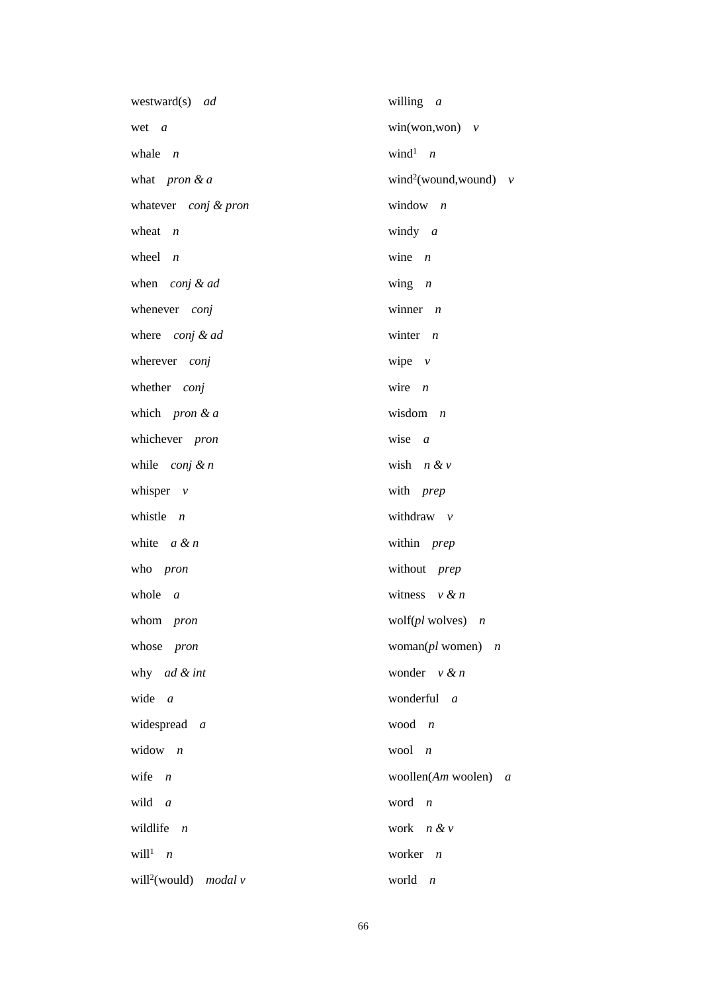| westward(s) ad                      | willing $a$                          |
|-------------------------------------|--------------------------------------|
| wet a                               | $win(won, won)$ v                    |
| whale $n$                           | wind <sup>1</sup> $n$                |
| what <i>pron</i> & $a$              | wind <sup>2</sup> (wound, wound) $v$ |
| whatever conj & pron                | window $n$                           |
| wheat $n$                           | windy $a$                            |
| wheel $n$                           | wine $n$                             |
| when conj & ad                      | wing $n$                             |
| whenever conj                       | winner $n$                           |
| where conj & ad                     | winter $n$                           |
| wherever conj                       | wipe $v$                             |
| whether conj                        | wire $n$                             |
| which pron & $a$                    | wisdom $n$                           |
| whichever pron                      | wise $a$                             |
| while $\text{conj } \& n$           | wish $n \& v$                        |
| whisper $v$                         | with prep                            |
| whistle $n$                         | withdraw $v$                         |
| white $a \& n$                      | within prep                          |
| who pron                            | without prep                         |
| whole $a$                           | witness $v \& n$                     |
| whom <i>pron</i>                    | wolf( $pl$ wolves) $n$               |
| whose pron                          | woman( $pl$ women) $n$               |
| why ad & int                        | wonder $v \& n$                      |
| wide<br>$\overline{a}$              | wonderful a                          |
| widespread a                        | wood $n$                             |
| widow $n$                           | wool $n$                             |
| wife<br>$\overline{n}$              | woollen $(Am$ woolen) $a$            |
| wild $a$                            | word<br>$\overline{n}$               |
| wildlife $n$                        | work $n & v$                         |
| will <sup>1</sup> $n$               | worker $n$                           |
| will <sup>2</sup> (would) modal $v$ | world<br>$\boldsymbol{n}$            |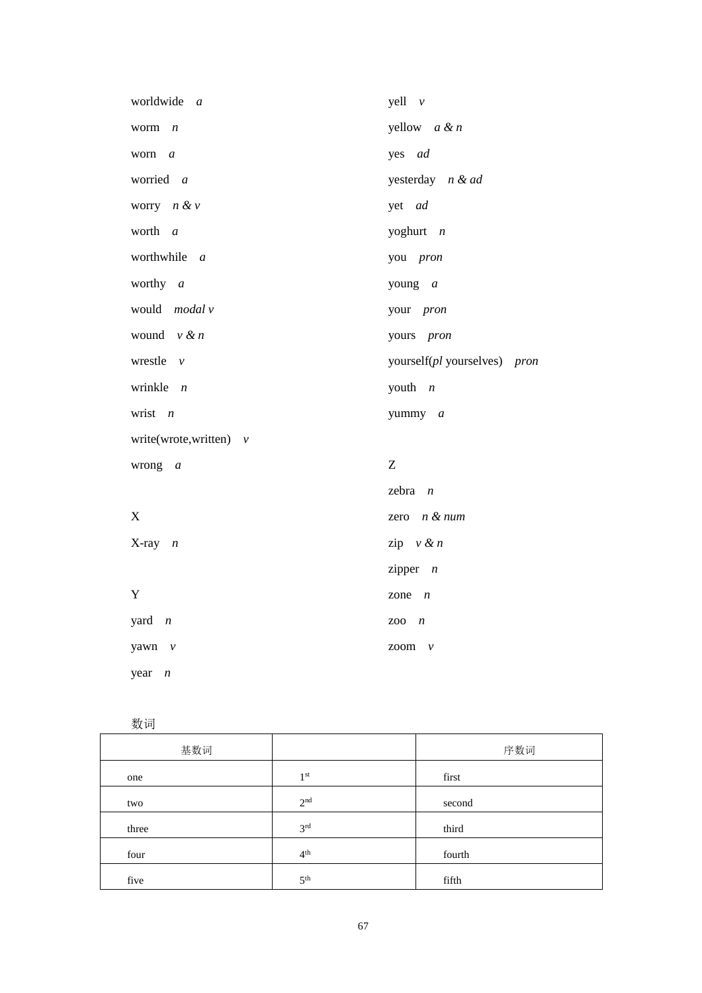| worldwide a              | $yell \nu$                   |
|--------------------------|------------------------------|
| worm $n$                 | yellow $a \& n$              |
| worn a                   | yes ad                       |
| worried a                | yesterday n & ad             |
| worry $n \& v$           | yet ad                       |
| worth a                  | yoghurt $n$                  |
| worthwhile a             | you pron                     |
| worthy $a$               | young $a$                    |
| would modal v            | your pron                    |
| wound $v \& n$           | yours pron                   |
| wrestle $v$              | yourself(pl yourselves) pron |
| wrinkle $n$              | youth $n$                    |
| wrist $n$                | yummy a                      |
| write(wrote,written) $v$ |                              |
| wrong<br>$\overline{a}$  | Z                            |
|                          | zebra $n$                    |
| X                        | zero $n &$ fum               |
| $X-ray$ $n$              | zip $v \& n$                 |
|                          | zipper $n$                   |
| Y                        | zone<br>$\overline{n}$       |
| yard $n$                 | ZOO<br>$\overline{n}$        |
| yawn v                   | zoom<br>$\mathcal V$         |
| year<br>$\boldsymbol{n}$ |                              |

数词

| 基数词   |                 | 序数词    |
|-------|-----------------|--------|
| one   | 1 <sup>st</sup> | first  |
| two   | 2 <sup>nd</sup> | second |
| three | 3 <sup>rd</sup> | third  |
| four  | 4 <sup>th</sup> | fourth |
| five  | 5 <sup>th</sup> | fifth  |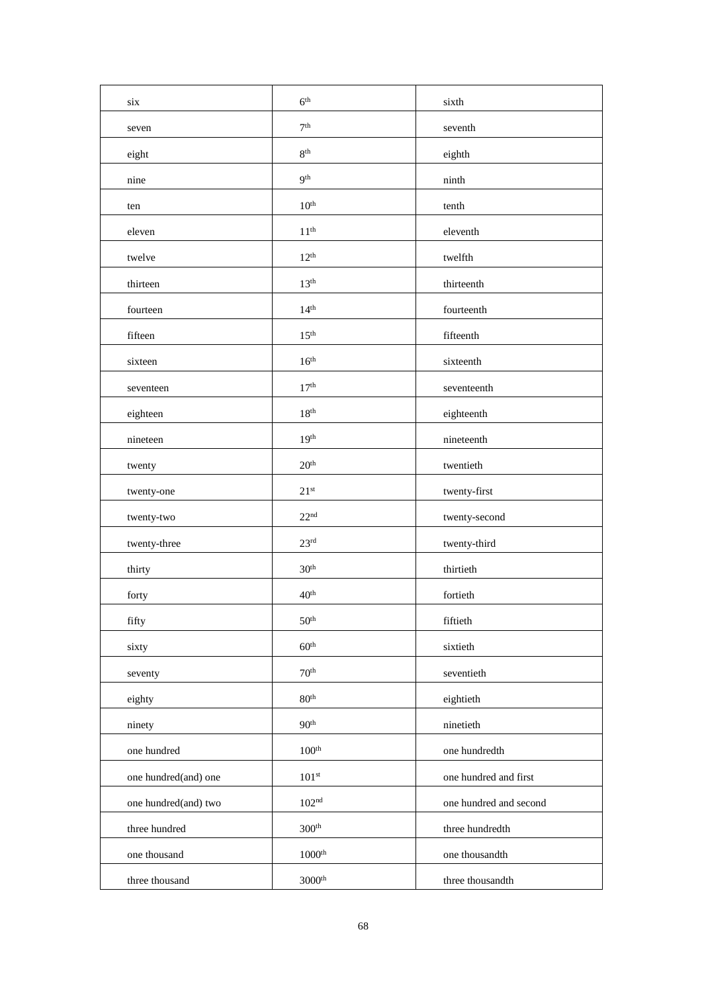| six                  | $6^{\rm th}$      | sixth                  |
|----------------------|-------------------|------------------------|
| seven                | $7^{\rm th}$      | seventh                |
| eight                | $8^{\rm th}$      | eighth                 |
| nine                 | 9 <sup>th</sup>   | ninth                  |
| ten                  | 10 <sup>th</sup>  | tenth                  |
| eleven               | 11 <sup>th</sup>  | eleventh               |
| twelve               | $12^{th}$         | twelfth                |
| thirteen             | 13 <sup>th</sup>  | thirteenth             |
| fourteen             | 14 <sup>th</sup>  | fourteenth             |
| fifteen              | 15 <sup>th</sup>  | fifteenth              |
| sixteen              | 16 <sup>th</sup>  | sixteenth              |
| seventeen            | 17 <sup>th</sup>  | seventeenth            |
| eighteen             | 18 <sup>th</sup>  | eighteenth             |
| nineteen             | 19 <sup>th</sup>  | nineteenth             |
| twenty               | $20^{\rm th}$     | twentieth              |
| twenty-one           | 21 <sup>st</sup>  | twenty-first           |
| twenty-two           | 22 <sup>nd</sup>  | twenty-second          |
| twenty-three         | $23^{\rm rd}$     | twenty-third           |
| thirty               | 30 <sup>th</sup>  | thirtieth              |
| forty                | 40 <sup>th</sup>  | fortieth               |
| fifty                | $50^{\rm th}$     | fiftieth               |
| sixty                | 60 <sup>th</sup>  | sixtieth               |
| seventy              | 70 <sup>th</sup>  | seventieth             |
| eighty               | 80 <sup>th</sup>  | eightieth              |
| ninety               | 90 <sup>th</sup>  | ninetieth              |
| one hundred          | 100 <sup>th</sup> | one hundredth          |
| one hundred(and) one | $101^{\rm st}$    | one hundred and first  |
| one hundred(and) two | 102 <sup>nd</sup> | one hundred and second |
| three hundred        | 300 <sup>th</sup> | three hundredth        |
| one thousand         | $1000^{\rm th}$   | one thousandth         |
| three thousand       | $3000^{\rm th}$   | three thousandth       |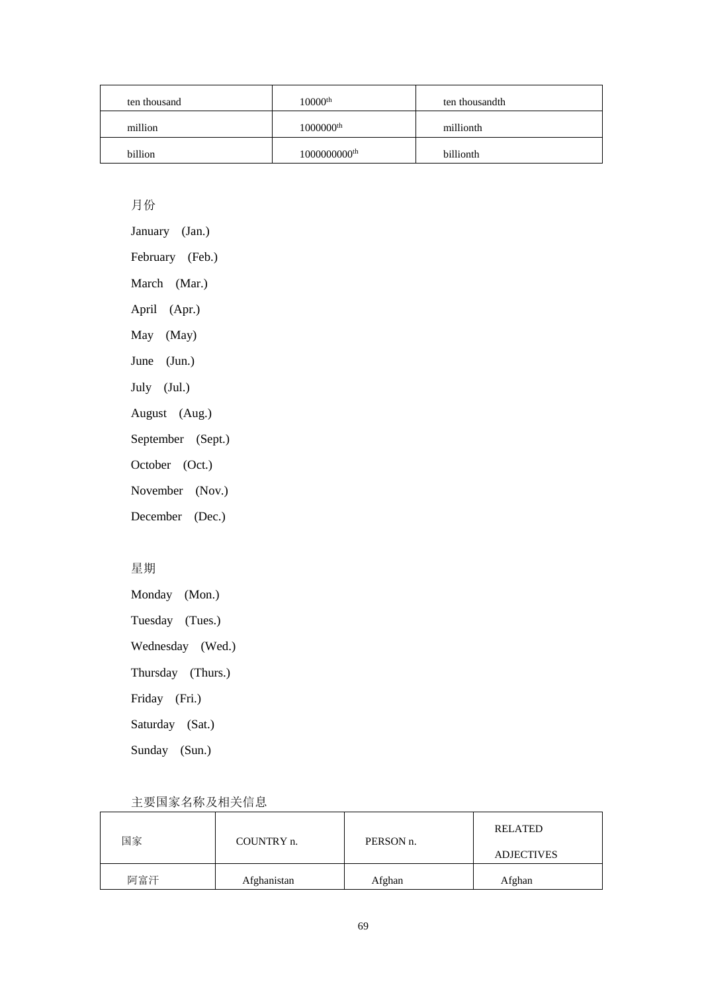| ten thousand | $10000$ <sup>th</sup>    | ten thousandth |
|--------------|--------------------------|----------------|
| million      | $1000000$ <sup>th</sup>  | millionth      |
| billion      | 1000000000 <sup>th</sup> | billionth      |

### 月份

January (Jan.) February (Feb.) March (Mar.) April (Apr.) May (May) June (Jun.) July (Jul.) August (Aug.) September (Sept.) October (Oct.) November (Nov.) December (Dec.)

### 星期

Monday (Mon.)

Tuesday (Tues.)

Wednesday (Wed.)

Thursday (Thurs.)

Friday (Fri.)

Saturday (Sat.)

Sunday (Sun.)

| 国家  | COUNTRY n.  | PERSON <sub>n.</sub> | <b>RELATED</b>    |
|-----|-------------|----------------------|-------------------|
|     |             |                      | <b>ADJECTIVES</b> |
| 阿富汗 | Afghanistan | Afghan               | Afghan            |

### 主要国家名称及相关信息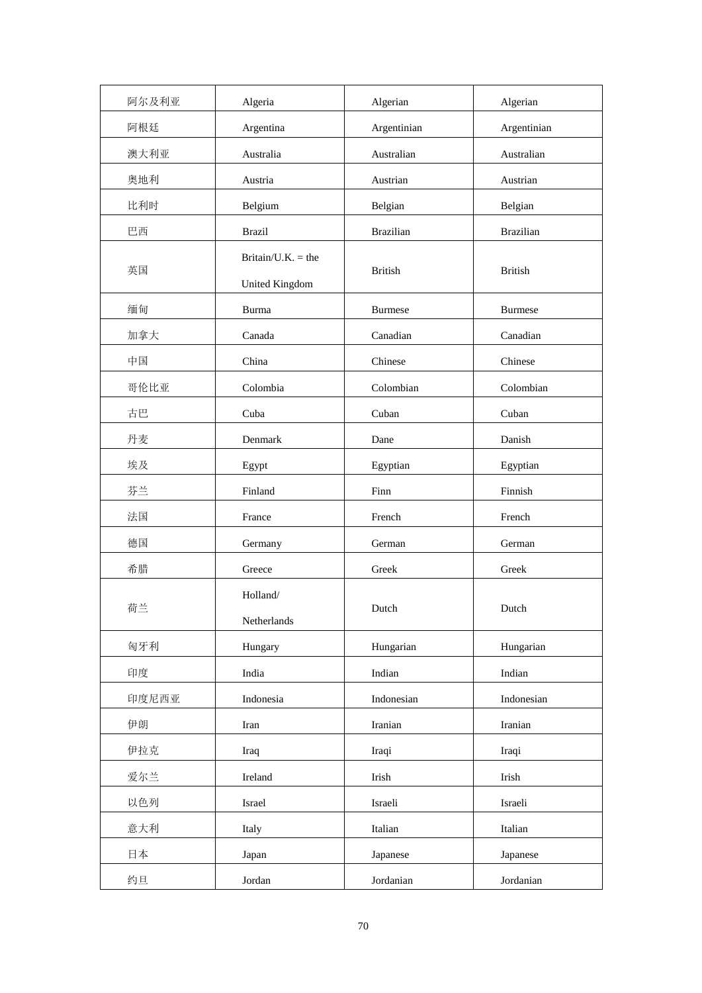| 阿尔及利亚 | Algeria                              | Algerian         | Algerian         |
|-------|--------------------------------------|------------------|------------------|
| 阿根廷   | Argentina                            | Argentinian      | Argentinian      |
| 澳大利亚  | Australia                            | Australian       | Australian       |
| 奥地利   | Austria                              | Austrian         | Austrian         |
| 比利时   | Belgium                              | Belgian          | Belgian          |
| 巴西    | <b>Brazil</b>                        | <b>Brazilian</b> | <b>Brazilian</b> |
| 英国    | Britain/U.K. = the<br>United Kingdom | <b>British</b>   | <b>British</b>   |
| 缅甸    | Burma                                | <b>Burmese</b>   | <b>Burmese</b>   |
| 加拿大   | Canada                               | Canadian         | Canadian         |
| 中国    | China                                | Chinese          | Chinese          |
| 哥伦比亚  | Colombia                             | Colombian        | Colombian        |
| 古巴    | Cuba                                 | Cuban            | Cuban            |
| 丹麦    | Denmark                              | Dane             | Danish           |
| 埃及    | Egypt                                | Egyptian         | Egyptian         |
| 芬兰    | Finland                              | Finn             | Finnish          |
| 法国    | France                               | French           | French           |
| 德国    | Germany                              | German           | German           |
| 希腊    | Greece                               | Greek            | Greek            |
| 荷兰    | Holland/<br>Netherlands              | Dutch            | Dutch            |
| 匈牙利   | Hungary                              | Hungarian        | Hungarian        |
| 印度    | India                                | Indian           | Indian           |
| 印度尼西亚 | Indonesia                            | Indonesian       | Indonesian       |
| 伊朗    | Iran                                 | Iranian          | Iranian          |
| 伊拉克   | Iraq                                 | Iraqi            | Iraqi            |
| 爱尔兰   | Ireland                              | Irish            | Irish            |
| 以色列   | Israel                               | Israeli          | Israeli          |
| 意大利   | Italy                                | Italian          | Italian          |
| 日本    | Japan                                | Japanese         | Japanese         |
| 约旦    | Jordan                               | Jordanian        | Jordanian        |